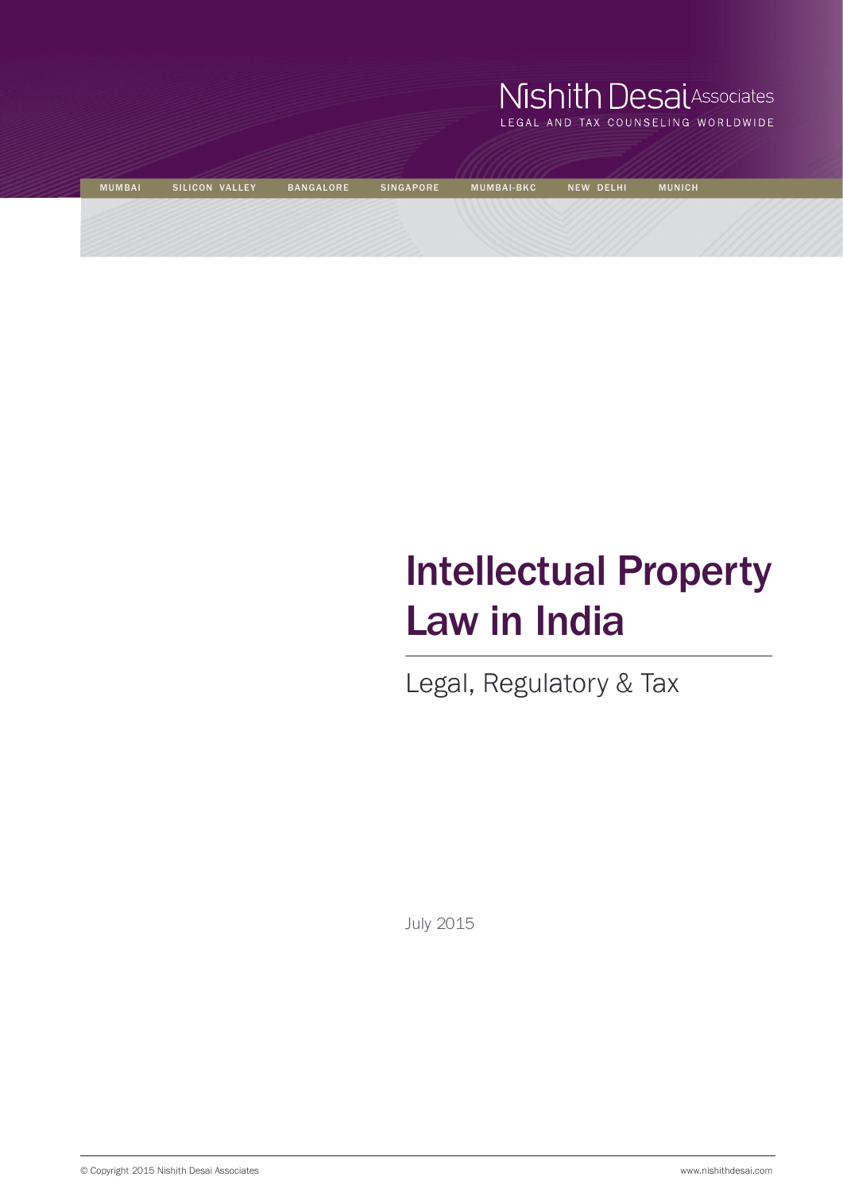|               |                |                  |                  | Mishith Desal Associates<br>LEGAL AND TAX COUNSELING WORLDWIDE |                  |               |  |
|---------------|----------------|------------------|------------------|----------------------------------------------------------------|------------------|---------------|--|
| <b>MUMBAI</b> | SILICON VALLEY | <b>BANGALORE</b> | <b>SINGAPORE</b> | <b>MUMBAI-BKC</b>                                              | <b>NEW DELHI</b> | <b>MUNICH</b> |  |
|               |                |                  |                  |                                                                |                  |               |  |

# Intellectual Property Law in India

Legal, Regulatory & Tax

July 2015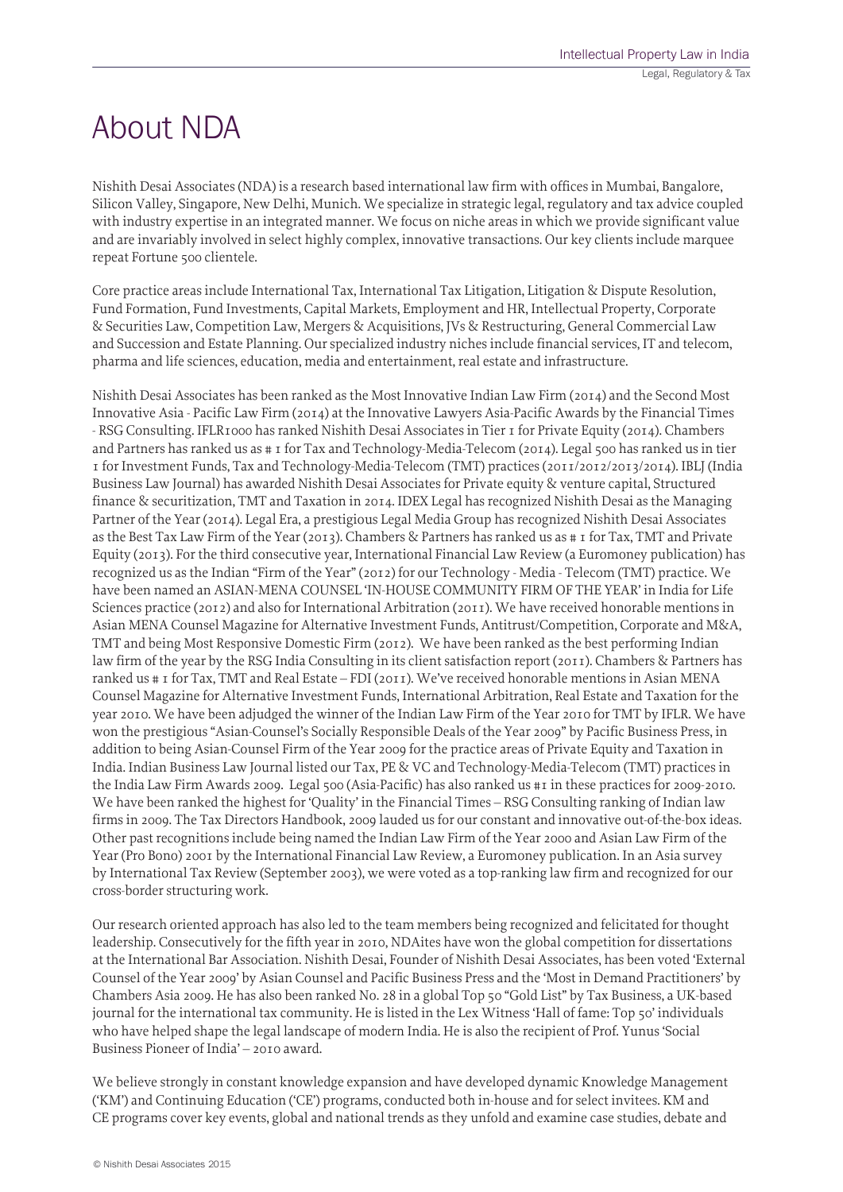# About NDA

Nishith Desai Associates (NDA) is a research based international law firm with offices in Mumbai, Bangalore, Silicon Valley, Singapore, New Delhi, Munich. We specialize in strategic legal, regulatory and tax advice coupled with industry expertise in an integrated manner. We focus on niche areas in which we provide significant value and are invariably involved in select highly complex, innovative transactions. Our key clients include marquee repeat Fortune 500 clientele.

Core practice areas include International Tax, International Tax Litigation, Litigation & Dispute Resolution, Fund Formation, Fund Investments, Capital Markets, Employment and HR, Intellectual Property, Corporate & Securities Law, Competition Law, Mergers & Acquisitions, JVs & Restructuring, General Commercial Law and Succession and Estate Planning. Our specialized industry niches include financial services, IT and telecom, pharma and life sciences, education, media and entertainment, real estate and infrastructure.

Nishith Desai Associates has been ranked as the Most Innovative Indian Law Firm (2014) and the Second Most Innovative Asia - Pacific Law Firm (2014) at the Innovative Lawyers Asia-Pacific Awards by the Financial Times - RSG Consulting. IFLR1000 has ranked Nishith Desai Associates in Tier 1 for Private Equity (2014). Chambers and Partners has ranked us as # 1 for Tax and Technology-Media-Telecom (2014). Legal 500 has ranked us in tier 1 for Investment Funds, Tax and Technology-Media-Telecom (TMT) practices (2011/2012/2013/2014). IBLJ (India Business Law Journal) has awarded Nishith Desai Associates for Private equity & venture capital, Structured finance & securitization, TMT and Taxation in 2014. IDEX Legal has recognized Nishith Desai as the Managing Partner of the Year (2014). Legal Era, a prestigious Legal Media Group has recognized Nishith Desai Associates as the Best Tax Law Firm of the Year (2013). Chambers & Partners has ranked us as # 1 for Tax, TMT and Private Equity (2013). For the third consecutive year, International Financial Law Review (a Euromoney publication) has recognized us as the Indian "Firm of the Year" (2012) for our Technology - Media - Telecom (TMT) practice. We have been named an ASIAN-MENA COUNSEL 'IN-HOUSE COMMUNITY FIRM OF THE YEAR' in India for Life Sciences practice (2012) and also for International Arbitration (2011). We have received honorable mentions in Asian MENA Counsel Magazine for Alternative Investment Funds, Antitrust/Competition, Corporate and M&A, TMT and being Most Responsive Domestic Firm (2012). We have been ranked as the best performing Indian law firm of the year by the RSG India Consulting in its client satisfaction report (2011). Chambers & Partners has ranked us # 1 for Tax, TMT and Real Estate – FDI (2011). We've received honorable mentions in Asian MENA Counsel Magazine for Alternative Investment Funds, International Arbitration, Real Estate and Taxation for the year 2010. We have been adjudged the winner of the Indian Law Firm of the Year 2010 for TMT by IFLR. We have won the prestigious "Asian-Counsel's Socially Responsible Deals of the Year 2009" by Pacific Business Press, in addition to being Asian-Counsel Firm of the Year 2009 for the practice areas of Private Equity and Taxation in India. Indian Business Law Journal listed our Tax, PE & VC and Technology-Media-Telecom (TMT) practices in the India Law Firm Awards 2009. Legal 500 (Asia-Pacific) has also ranked us #1 in these practices for 2009-2010. We have been ranked the highest for 'Quality' in the Financial Times – RSG Consulting ranking of Indian law firms in 2009. The Tax Directors Handbook, 2009 lauded us for our constant and innovative out-of-the-box ideas. Other past recognitions include being named the Indian Law Firm of the Year 2000 and Asian Law Firm of the Year (Pro Bono) 2001 by the International Financial Law Review, a Euromoney publication. In an Asia survey by International Tax Review (September 2003), we were voted as a top-ranking law firm and recognized for our cross-border structuring work.

Our research oriented approach has also led to the team members being recognized and felicitated for thought leadership. Consecutively for the fifth year in 2010, NDAites have won the global competition for dissertations at the International Bar Association. Nishith Desai, Founder of Nishith Desai Associates, has been voted 'External Counsel of the Year 2009' by Asian Counsel and Pacific Business Press and the 'Most in Demand Practitioners' by Chambers Asia 2009. He has also been ranked No. 28 in a global Top 50 "Gold List" by Tax Business, a UK-based journal for the international tax community. He is listed in the Lex Witness 'Hall of fame: Top 50' individuals who have helped shape the legal landscape of modern India. He is also the recipient of Prof. Yunus 'Social Business Pioneer of India' – 2010 award.

We believe strongly in constant knowledge expansion and have developed dynamic Knowledge Management ('KM') and Continuing Education ('CE') programs, conducted both in-house and for select invitees. KM and CE programs cover key events, global and national trends as they unfold and examine case studies, debate and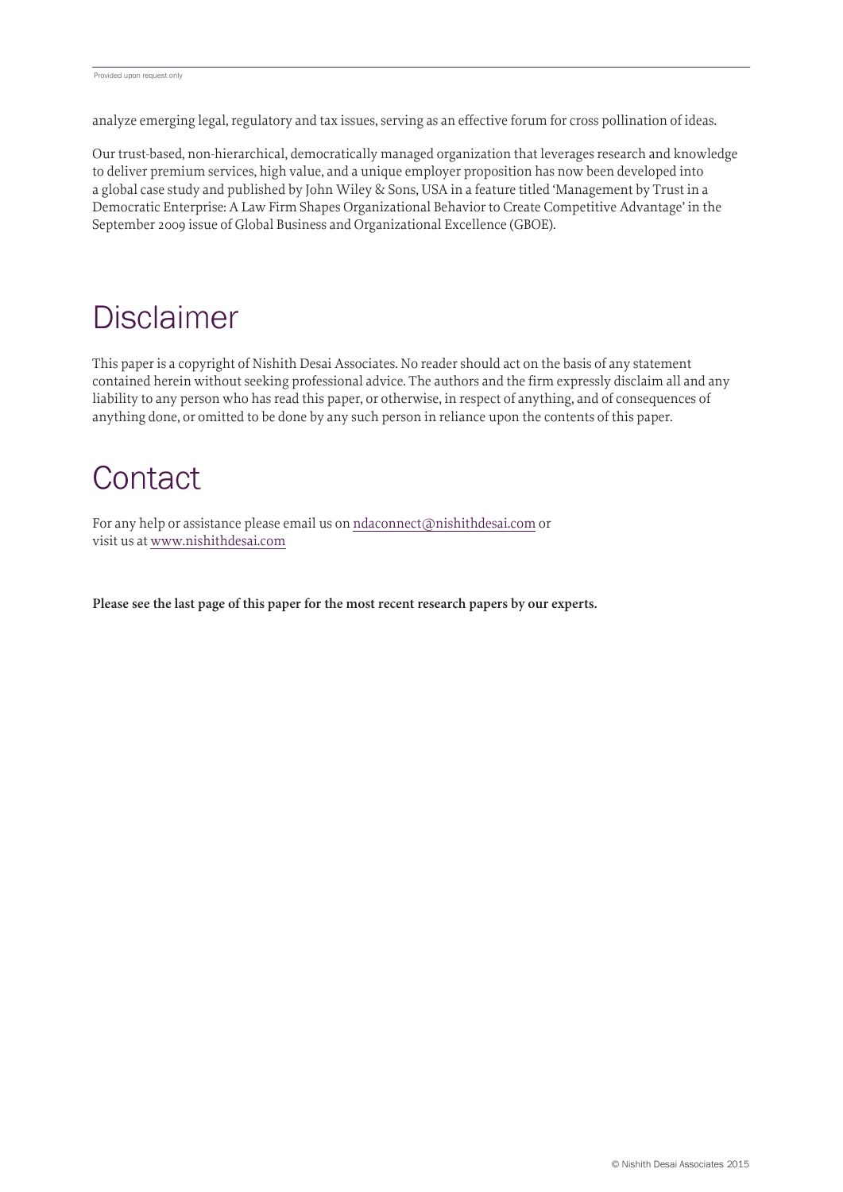analyze emerging legal, regulatory and tax issues, serving as an effective forum for cross pollination of ideas.

Our trust-based, non-hierarchical, democratically managed organization that leverages research and knowledge to deliver premium services, high value, and a unique employer proposition has now been developed into a global case study and published by John Wiley & Sons, USA in a feature titled 'Management by Trust in a Democratic Enterprise: A Law Firm Shapes Organizational Behavior to Create Competitive Advantage' in the September 2009 issue of Global Business and Organizational Excellence (GBOE).

# **Disclaimer**

This paper is a copyright of Nishith Desai Associates. No reader should act on the basis of any statement contained herein without seeking professional advice. The authors and the firm expressly disclaim all and any liability to any person who has read this paper, or otherwise, in respect of anything, and of consequences of anything done, or omitted to be done by any such person in reliance upon the contents of this paper.

# **Contact**

For any help or assistance please email us on ndaconnect@nishithdesai.com or visit us at www.nishithdesai.com

**Please see the last page of this paper for the most recent research papers by our experts.**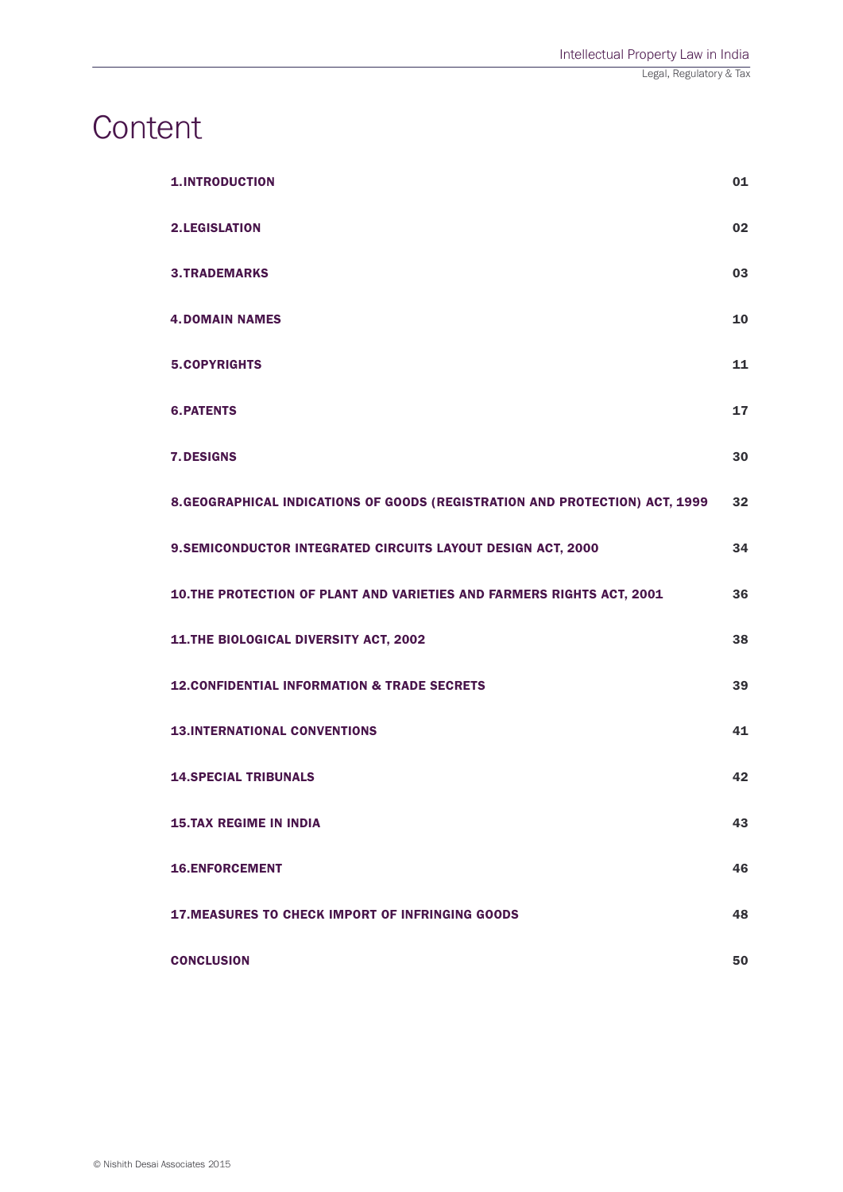# **Content**

| <b>1.INTRODUCTION</b>                                                        | 01 |
|------------------------------------------------------------------------------|----|
| <b>2.LEGISLATION</b>                                                         | 02 |
| <b>3.TRADEMARKS</b>                                                          | 03 |
| <b>4. DOMAIN NAMES</b>                                                       | 10 |
| <b>5.COPYRIGHTS</b>                                                          | 11 |
| <b>6.PATENTS</b>                                                             | 17 |
| <b>7. DESIGNS</b>                                                            | 30 |
| 8. GEOGRAPHICAL INDICATIONS OF GOODS (REGISTRATION AND PROTECTION) ACT, 1999 | 32 |
| 9. SEMICONDUCTOR INTEGRATED CIRCUITS LAYOUT DESIGN ACT, 2000                 | 34 |
| 10.THE PROTECTION OF PLANT AND VARIETIES AND FARMERS RIGHTS ACT, 2001        | 36 |
| 11.THE BIOLOGICAL DIVERSITY ACT, 2002                                        | 38 |
| <b>12. CONFIDENTIAL INFORMATION &amp; TRADE SECRETS</b>                      | 39 |
| <b>13.INTERNATIONAL CONVENTIONS</b>                                          | 41 |
| <b>14.SPECIAL TRIBUNALS</b>                                                  | 42 |
| <b>15.TAX REGIME IN INDIA</b>                                                | 43 |
| <b>16.ENFORCEMENT</b>                                                        | 46 |
| <b>17. MEASURES TO CHECK IMPORT OF INFRINGING GOODS</b>                      | 48 |
| <b>CONCLUSION</b>                                                            | 50 |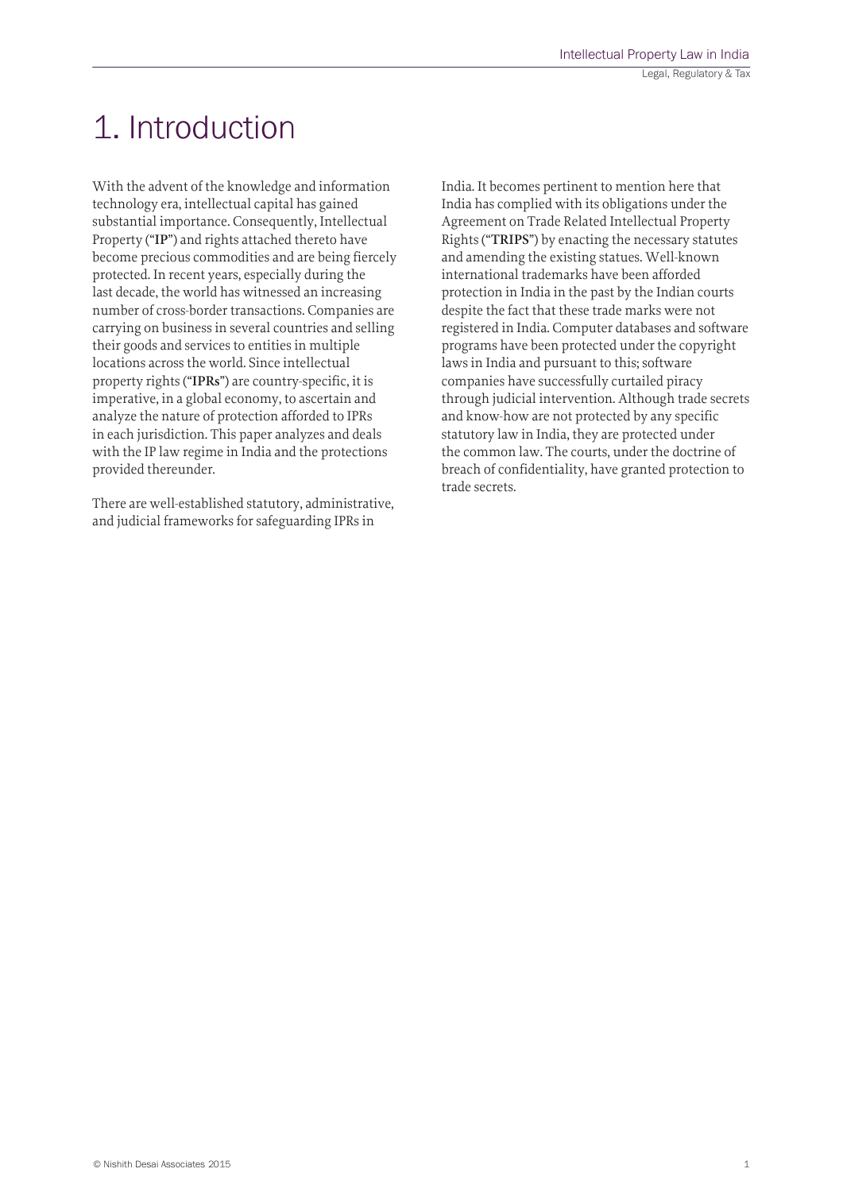# 1. Introduction

With the advent of the knowledge and information technology era, intellectual capital has gained substantial importance. Consequently, Intellectual Property ("**IP**") and rights attached thereto have become precious commodities and are being fiercely protected. In recent years, especially during the last decade, the world has witnessed an increasing number of cross-border transactions. Companies are carrying on business in several countries and selling their goods and services to entities in multiple locations across the world. Since intellectual property rights ("**IPRs**") are country-specific, it is imperative, in a global economy, to ascertain and analyze the nature of protection afforded to IPRs in each jurisdiction. This paper analyzes and deals with the IP law regime in India and the protections provided thereunder.

There are well-established statutory, administrative, and judicial frameworks for safeguarding IPRs in

India. It becomes pertinent to mention here that India has complied with its obligations under the Agreement on Trade Related Intellectual Property Rights ("**TRIPS**") by enacting the necessary statutes and amending the existing statues. Well-known international trademarks have been afforded protection in India in the past by the Indian courts despite the fact that these trade marks were not registered in India. Computer databases and software programs have been protected under the copyright laws in India and pursuant to this; software companies have successfully curtailed piracy through judicial intervention. Although trade secrets and know-how are not protected by any specific statutory law in India, they are protected under the common law. The courts, under the doctrine of breach of confidentiality, have granted protection to trade secrets.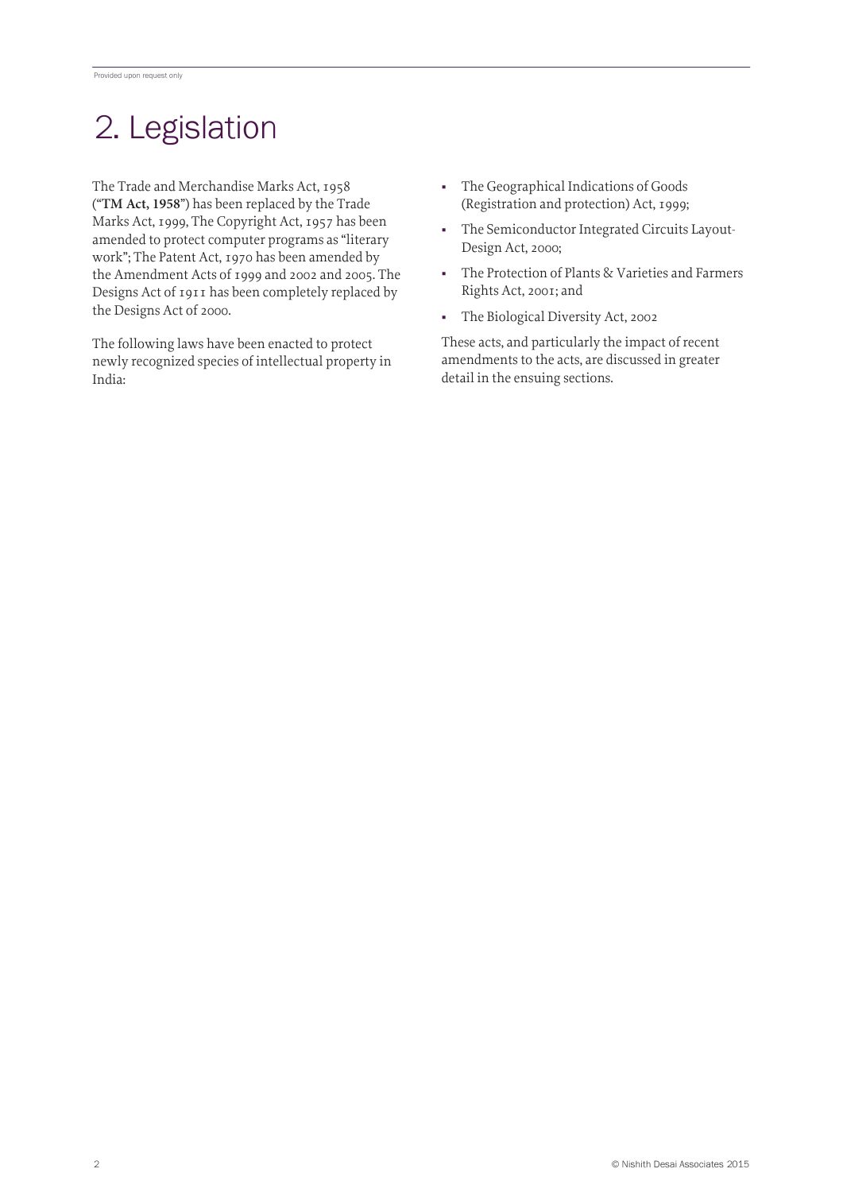# 2. Legislation

The Trade and Merchandise Marks Act, 1958 ("**TM Act, 1958**") has been replaced by the Trade Marks Act, 1999, The Copyright Act, 1957 has been amended to protect computer programs as "literary work"; The Patent Act, 1970 has been amended by the Amendment Acts of 1999 and 2002 and 2005. The Designs Act of 1911 has been completely replaced by the Designs Act of 2000.

The following laws have been enacted to protect newly recognized species of intellectual property in India:

- The Geographical Indications of Goods (Registration and protection) Act, 1999;
- The Semiconductor Integrated Circuits Layout-Design Act, 2000;
- The Protection of Plants & Varieties and Farmers Rights Act, 2001; and
- The Biological Diversity Act, 2002

These acts, and particularly the impact of recent amendments to the acts, are discussed in greater detail in the ensuing sections.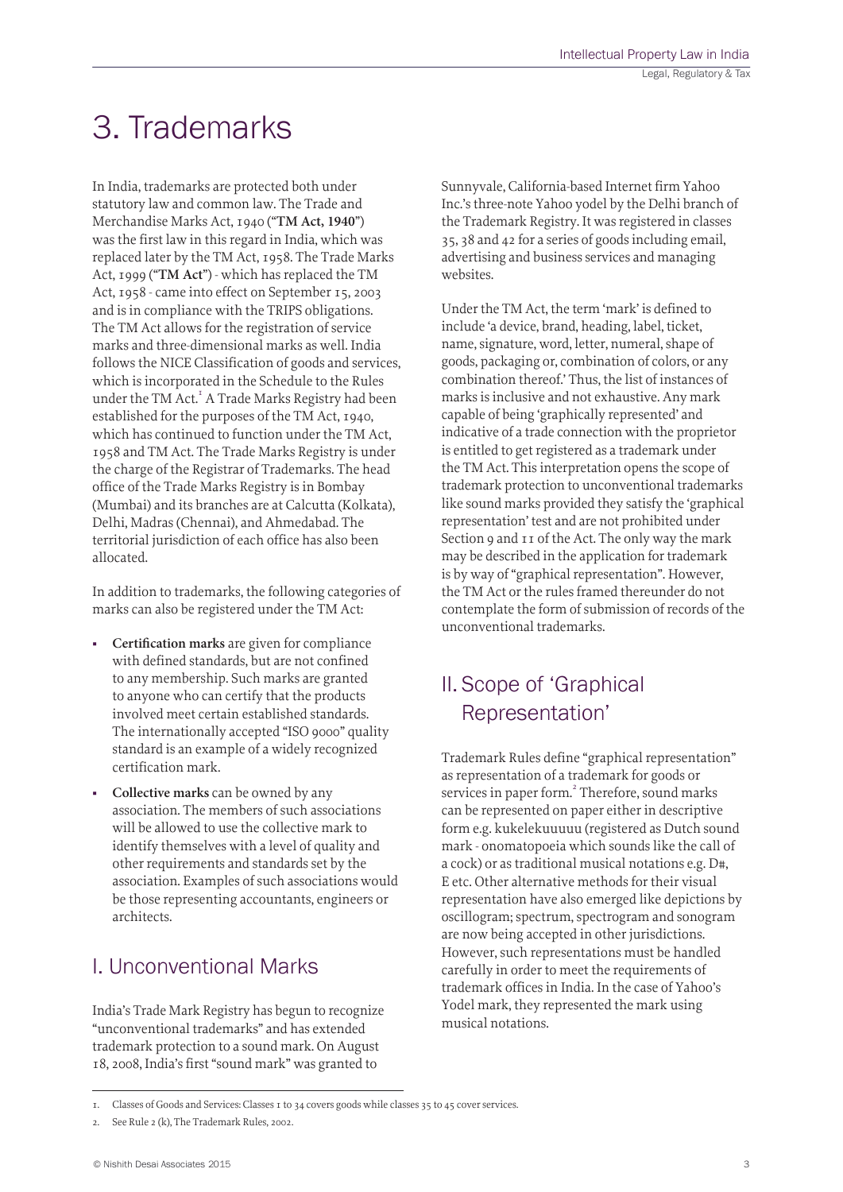# 3. Trademarks

In India, trademarks are protected both under statutory law and common law. The Trade and Merchandise Marks Act, 1940 ("**TM Act, 1940**") was the first law in this regard in India, which was replaced later by the TM Act, 1958. The Trade Marks Act, 1999 ("**TM Act**") - which has replaced the TM Act, 1958 - came into effect on September 15, 2003 and is in compliance with the TRIPS obligations. The TM Act allows for the registration of service marks and three-dimensional marks as well. India follows the NICE Classification of goods and services, which is incorporated in the Schedule to the Rules under the TM Act.<sup>I</sup> A Trade Marks Registry had been established for the purposes of the TM Act, 1940, which has continued to function under the TM Act, 1958 and TM Act. The Trade Marks Registry is under the charge of the Registrar of Trademarks. The head office of the Trade Marks Registry is in Bombay (Mumbai) and its branches are at Calcutta (Kolkata), Delhi, Madras (Chennai), and Ahmedabad. The territorial jurisdiction of each office has also been allocated.

In addition to trademarks, the following categories of marks can also be registered under the TM Act:

- **Certification marks** are given for compliance with defined standards, but are not confined to any membership. Such marks are granted to anyone who can certify that the products involved meet certain established standards. The internationally accepted "ISO 9000" quality standard is an example of a widely recognized certification mark.
- **Collective marks** can be owned by any association. The members of such associations will be allowed to use the collective mark to identify themselves with a level of quality and other requirements and standards set by the association. Examples of such associations would be those representing accountants, engineers or architects.

### I. Unconventional Marks

India's Trade Mark Registry has begun to recognize "unconventional trademarks" and has extended trademark protection to a sound mark. On August 18, 2008, India's first "sound mark" was granted to

Sunnyvale, California-based Internet firm Yahoo Inc.'s three-note Yahoo yodel by the Delhi branch of the Trademark Registry. It was registered in classes 35, 38 and 42 for a series of goods including email, advertising and business services and managing websites.

Under the TM Act, the term 'mark' is defined to include 'a device, brand, heading, label, ticket, name, signature, word, letter, numeral, shape of goods, packaging or, combination of colors, or any combination thereof.' Thus, the list of instances of marks is inclusive and not exhaustive. Any mark capable of being 'graphically represented' and indicative of a trade connection with the proprietor is entitled to get registered as a trademark under the TM Act. This interpretation opens the scope of trademark protection to unconventional trademarks like sound marks provided they satisfy the 'graphical representation' test and are not prohibited under Section 9 and 11 of the Act. The only way the mark may be described in the application for trademark is by way of "graphical representation". However, the TM Act or the rules framed thereunder do not contemplate the form of submission of records of the unconventional trademarks.

# II. Scope of 'Graphical Representation'

Trademark Rules define "graphical representation" as representation of a trademark for goods or services in paper form.<sup>2</sup> Therefore, sound marks can be represented on paper either in descriptive form e.g. kukelekuuuuu (registered as Dutch sound mark - onomatopoeia which sounds like the call of a cock) or as traditional musical notations e.g. D#, E etc. Other alternative methods for their visual representation have also emerged like depictions by oscillogram; spectrum, spectrogram and sonogram are now being accepted in other jurisdictions. However, such representations must be handled carefully in order to meet the requirements of trademark offices in India. In the case of Yahoo's Yodel mark, they represented the mark using musical notations.

<sup>1.</sup> Classes of Goods and Services: Classes 1 to 34 covers goods while classes 35 to 45 cover services.

<sup>2.</sup> See Rule 2 (k), The Trademark Rules, 2002.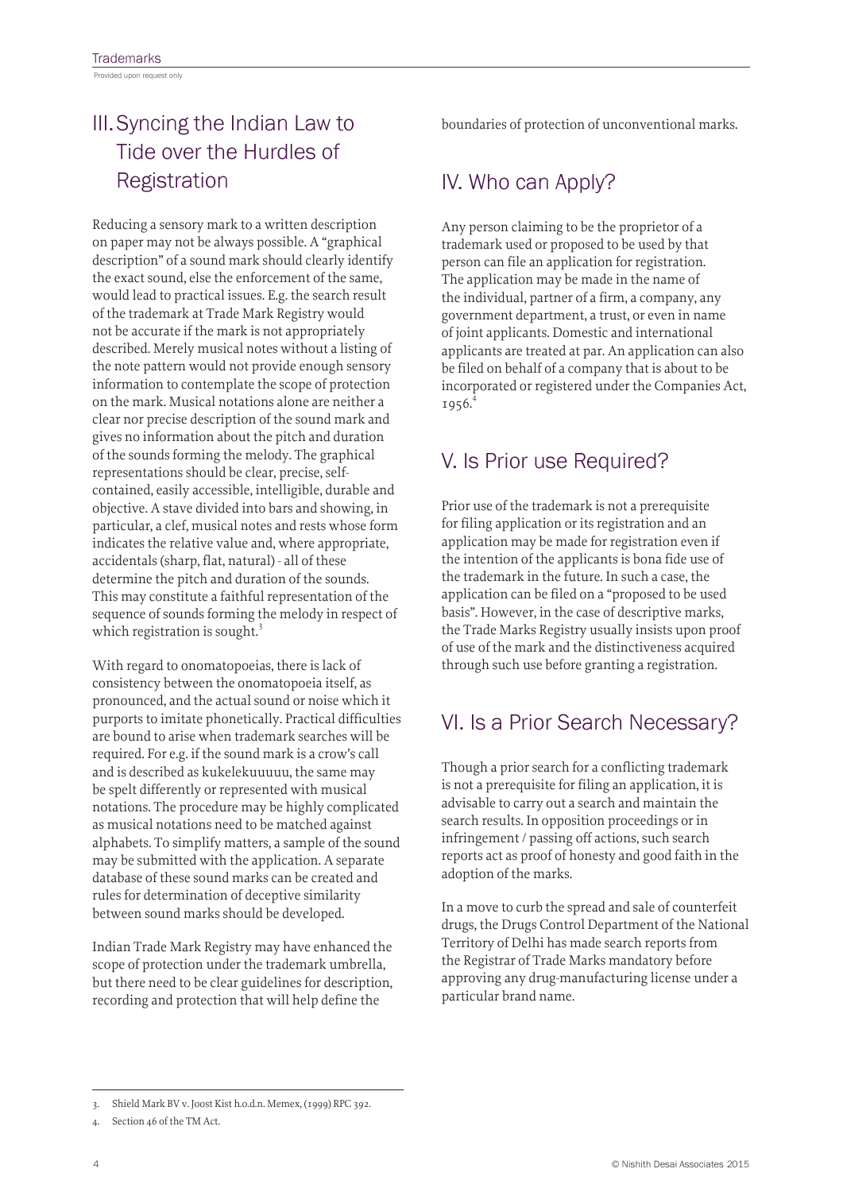Provided upon request only

# III.Syncing the Indian Law to Tide over the Hurdles of **Registration**

Reducing a sensory mark to a written description on paper may not be always possible. A "graphical description" of a sound mark should clearly identify the exact sound, else the enforcement of the same, would lead to practical issues. E.g. the search result of the trademark at Trade Mark Registry would not be accurate if the mark is not appropriately described. Merely musical notes without a listing of the note pattern would not provide enough sensory information to contemplate the scope of protection on the mark. Musical notations alone are neither a clear nor precise description of the sound mark and gives no information about the pitch and duration of the sounds forming the melody. The graphical representations should be clear, precise, selfcontained, easily accessible, intelligible, durable and objective. A stave divided into bars and showing, in particular, a clef, musical notes and rests whose form indicates the relative value and, where appropriate, accidentals (sharp, flat, natural) - all of these determine the pitch and duration of the sounds. This may constitute a faithful representation of the sequence of sounds forming the melody in respect of which registration is sought.<sup>3</sup>

With regard to onomatopoeias, there is lack of consistency between the onomatopoeia itself, as pronounced, and the actual sound or noise which it purports to imitate phonetically. Practical difficulties are bound to arise when trademark searches will be required. For e.g. if the sound mark is a crow's call and is described as kukelekuuuuu, the same may be spelt differently or represented with musical notations. The procedure may be highly complicated as musical notations need to be matched against alphabets. To simplify matters, a sample of the sound may be submitted with the application. A separate database of these sound marks can be created and rules for determination of deceptive similarity between sound marks should be developed.

Indian Trade Mark Registry may have enhanced the scope of protection under the trademark umbrella, but there need to be clear guidelines for description, recording and protection that will help define the

boundaries of protection of unconventional marks.

### IV. Who can Apply?

Any person claiming to be the proprietor of a trademark used or proposed to be used by that person can file an application for registration. The application may be made in the name of the individual, partner of a firm, a company, any government department, a trust, or even in name of joint applicants. Domestic and international applicants are treated at par. An application can also be filed on behalf of a company that is about to be incorporated or registered under the Companies Act,  $1956.4$ 

# V. Is Prior use Required?

Prior use of the trademark is not a prerequisite for filing application or its registration and an application may be made for registration even if the intention of the applicants is bona fide use of the trademark in the future. In such a case, the application can be filed on a "proposed to be used basis". However, in the case of descriptive marks, the Trade Marks Registry usually insists upon proof of use of the mark and the distinctiveness acquired through such use before granting a registration.

# VI. Is a Prior Search Necessary?

Though a prior search for a conflicting trademark is not a prerequisite for filing an application, it is advisable to carry out a search and maintain the search results. In opposition proceedings or in infringement / passing off actions, such search reports act as proof of honesty and good faith in the adoption of the marks.

In a move to curb the spread and sale of counterfeit drugs, the Drugs Control Department of the National Territory of Delhi has made search reports from the Registrar of Trade Marks mandatory before approving any drug-manufacturing license under a particular brand name.

<sup>3.</sup> Shield Mark BV v. Joost Kist h.o.d.n. Memex, (1999) RPC 392.

Section 46 of the TM Act.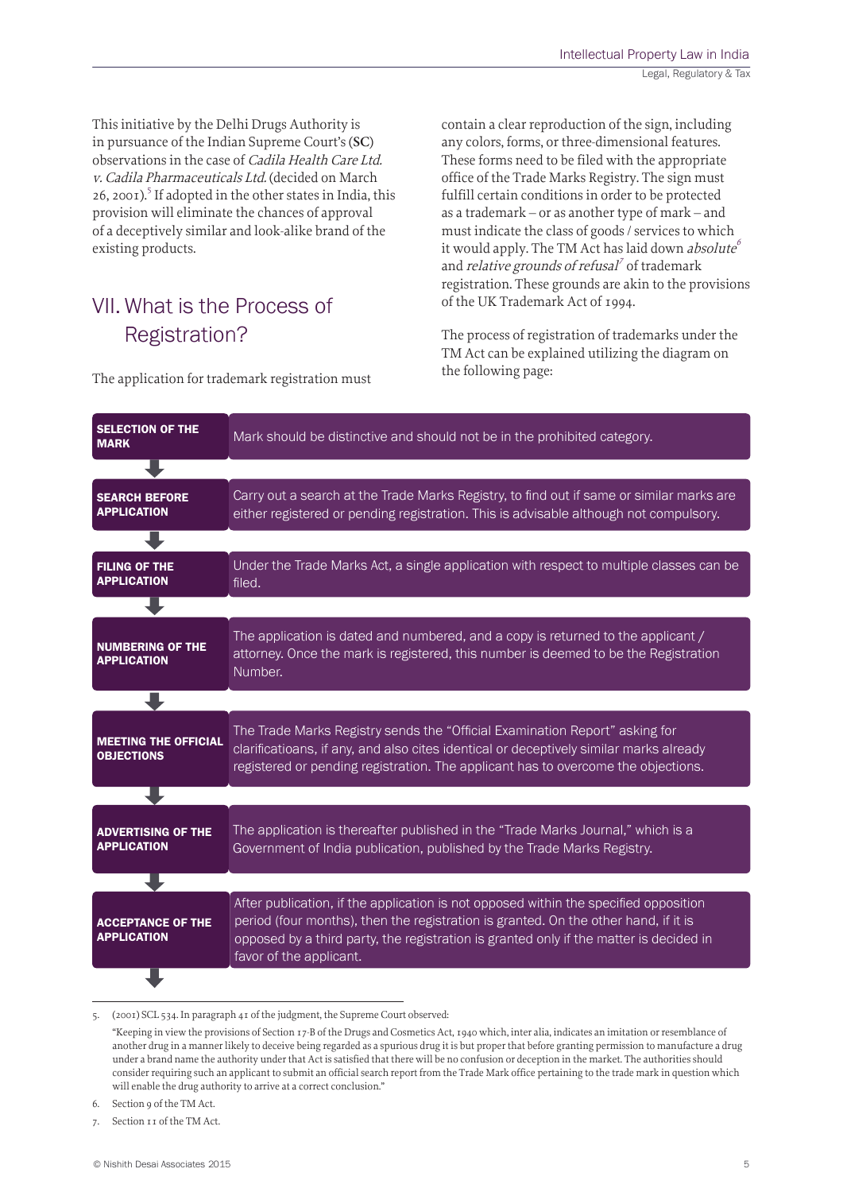This initiative by the Delhi Drugs Authority is in pursuance of the Indian Supreme Court's (**SC**) observations in the case of Cadila Health Care Ltd. v. Cadila Pharmaceuticals Ltd. (decided on March 26, 2001).<sup>5</sup> If adopted in the other states in India, this provision will eliminate the chances of approval of a deceptively similar and look-alike brand of the existing products.

# VII. What is the Process of Registration?

The application for trademark registration must

contain a clear reproduction of the sign, including any colors, forms, or three-dimensional features. These forms need to be filed with the appropriate office of the Trade Marks Registry. The sign must fulfill certain conditions in order to be protected as a trademark – or as another type of mark – and must indicate the class of goods / services to which it would apply. The TM Act has laid down absolute<sup>6</sup> and *relative grounds of refusal<sup>7</sup>* of trademark registration. These grounds are akin to the provisions of the UK Trademark Act of 1994.

The process of registration of trademarks under the TM Act can be explained utilizing the diagram on the following page:

| <b>SELECTION OF THE</b><br><b>MARK</b>           | Mark should be distinctive and should not be in the prohibited category.                                                                                                                                                                                                                         |
|--------------------------------------------------|--------------------------------------------------------------------------------------------------------------------------------------------------------------------------------------------------------------------------------------------------------------------------------------------------|
|                                                  |                                                                                                                                                                                                                                                                                                  |
| <b>SEARCH BEFORE</b><br><b>APPLICATION</b>       | Carry out a search at the Trade Marks Registry, to find out if same or similar marks are<br>either registered or pending registration. This is advisable although not compulsory.                                                                                                                |
|                                                  |                                                                                                                                                                                                                                                                                                  |
| <b>FILING OF THE</b><br><b>APPLICATION</b>       | Under the Trade Marks Act, a single application with respect to multiple classes can be<br>filed.                                                                                                                                                                                                |
|                                                  |                                                                                                                                                                                                                                                                                                  |
| <b>NUMBERING OF THE</b><br><b>APPLICATION</b>    | The application is dated and numbered, and a copy is returned to the applicant /<br>attorney. Once the mark is registered, this number is deemed to be the Registration<br>Number.                                                                                                               |
|                                                  |                                                                                                                                                                                                                                                                                                  |
| <b>MEETING THE OFFICIAL</b><br><b>OBJECTIONS</b> | The Trade Marks Registry sends the "Official Examination Report" asking for<br>clarificatioans, if any, and also cites identical or deceptively similar marks already<br>registered or pending registration. The applicant has to overcome the objections.                                       |
|                                                  |                                                                                                                                                                                                                                                                                                  |
| <b>ADVERTISING OF THE</b><br><b>APPLICATION</b>  | The application is thereafter published in the "Trade Marks Journal," which is a<br>Government of India publication, published by the Trade Marks Registry.                                                                                                                                      |
|                                                  |                                                                                                                                                                                                                                                                                                  |
| <b>ACCEPTANCE OF THE</b><br><b>APPLICATION</b>   | After publication, if the application is not opposed within the specified opposition<br>period (four months), then the registration is granted. On the other hand, if it is<br>opposed by a third party, the registration is granted only if the matter is decided in<br>favor of the applicant. |
|                                                  |                                                                                                                                                                                                                                                                                                  |

<sup>5.</sup> (2001) SCL 534. In paragraph 41 of the judgment, the Supreme Court observed:

<sup>&</sup>quot;Keeping in view the provisions of Section 17-B of the Drugs and Cosmetics Act, 1940 which, inter alia, indicates an imitation or resemblance of another drug in a manner likely to deceive being regarded as a spurious drug it is but proper that before granting permission to manufacture a drug under a brand name the authority under that Act is satisfied that there will be no confusion or deception in the market. The authorities should consider requiring such an applicant to submit an official search report from the Trade Mark office pertaining to the trade mark in question which will enable the drug authority to arrive at a correct conclusion."

<sup>6.</sup> Section 9 of the TM Act.

<sup>7.</sup> Section 11 of the TM Act.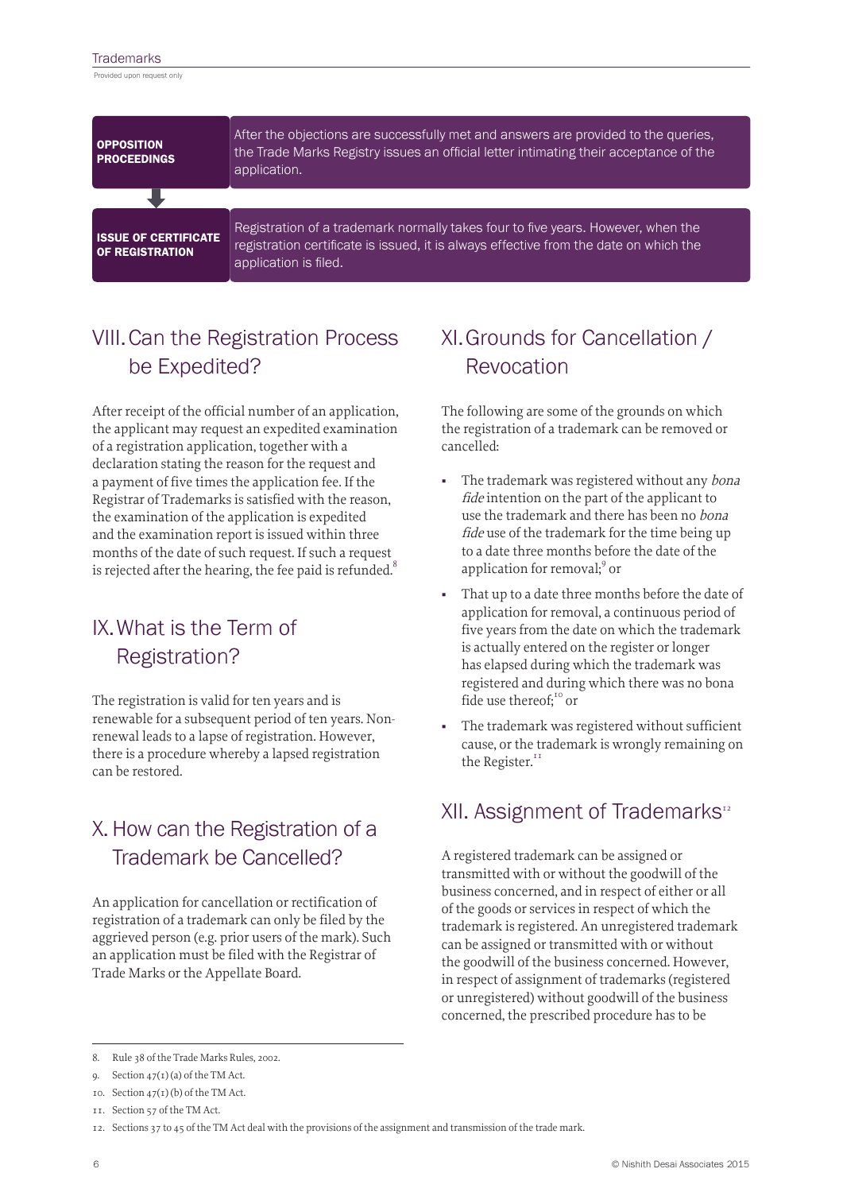#### **Trademarks**

Provided upon request only

| <b>OPPOSITION</b><br><b>PROCEEDINGS</b>               | After the objections are successfully met and answers are provided to the queries,<br>the Trade Marks Registry issues an official letter intimating their acceptance of the<br>application.        |
|-------------------------------------------------------|----------------------------------------------------------------------------------------------------------------------------------------------------------------------------------------------------|
|                                                       |                                                                                                                                                                                                    |
| <b>ISSUE OF CERTIFICATE</b><br><b>OF REGISTRATION</b> | Registration of a trademark normally takes four to five years. However, when the<br>registration certificate is issued, it is always effective from the date on which the<br>application is filed. |

# VIII.Can the Registration Process be Expedited?

After receipt of the official number of an application, the applicant may request an expedited examination of a registration application, together with a declaration stating the reason for the request and a payment of five times the application fee. If the Registrar of Trademarks is satisfied with the reason, the examination of the application is expedited and the examination report is issued within three months of the date of such request. If such a request is rejected after the hearing, the fee paid is refunded. $\delta$ 

# IX.What is the Term of Registration?

The registration is valid for ten years and is renewable for a subsequent period of ten years. Nonrenewal leads to a lapse of registration. However, there is a procedure whereby a lapsed registration can be restored.

# X.How can the Registration of a Trademark be Cancelled?

An application for cancellation or rectification of registration of a trademark can only be filed by the aggrieved person (e.g. prior users of the mark). Such an application must be filed with the Registrar of Trade Marks or the Appellate Board.

# XI.Grounds for Cancellation / Revocation

The following are some of the grounds on which the registration of a trademark can be removed or cancelled:

- The trademark was registered without any bona fide intention on the part of the applicant to use the trademark and there has been no bona fide use of the trademark for the time being up to a date three months before the date of the application for removal;<sup>9</sup> or
- That up to a date three months before the date of application for removal, a continuous period of five years from the date on which the trademark is actually entered on the register or longer has elapsed during which the trademark was registered and during which there was no bona fide use thereof:<sup>10</sup> or
- The trademark was registered without sufficient cause, or the trademark is wrongly remaining on the Register.<sup>11</sup>

### XII. Assignment of Trademarks<sup>12</sup>

A registered trademark can be assigned or transmitted with or without the goodwill of the business concerned, and in respect of either or all of the goods or services in respect of which the trademark is registered. An unregistered trademark can be assigned or transmitted with or without the goodwill of the business concerned. However, in respect of assignment of trademarks (registered or unregistered) without goodwill of the business concerned, the prescribed procedure has to be

<sup>8.</sup> Rule 38 of the Trade Marks Rules, 2002.

<sup>9.</sup> Section 47(1) (a) of the TM Act.

<sup>10.</sup> Section  $47(1)(b)$  of the TM Act.

<sup>11.</sup> Section 57 of the TM Act.

<sup>12.</sup> Sections 37 to 45 of the TM Act deal with the provisions of the assignment and transmission of the trade mark.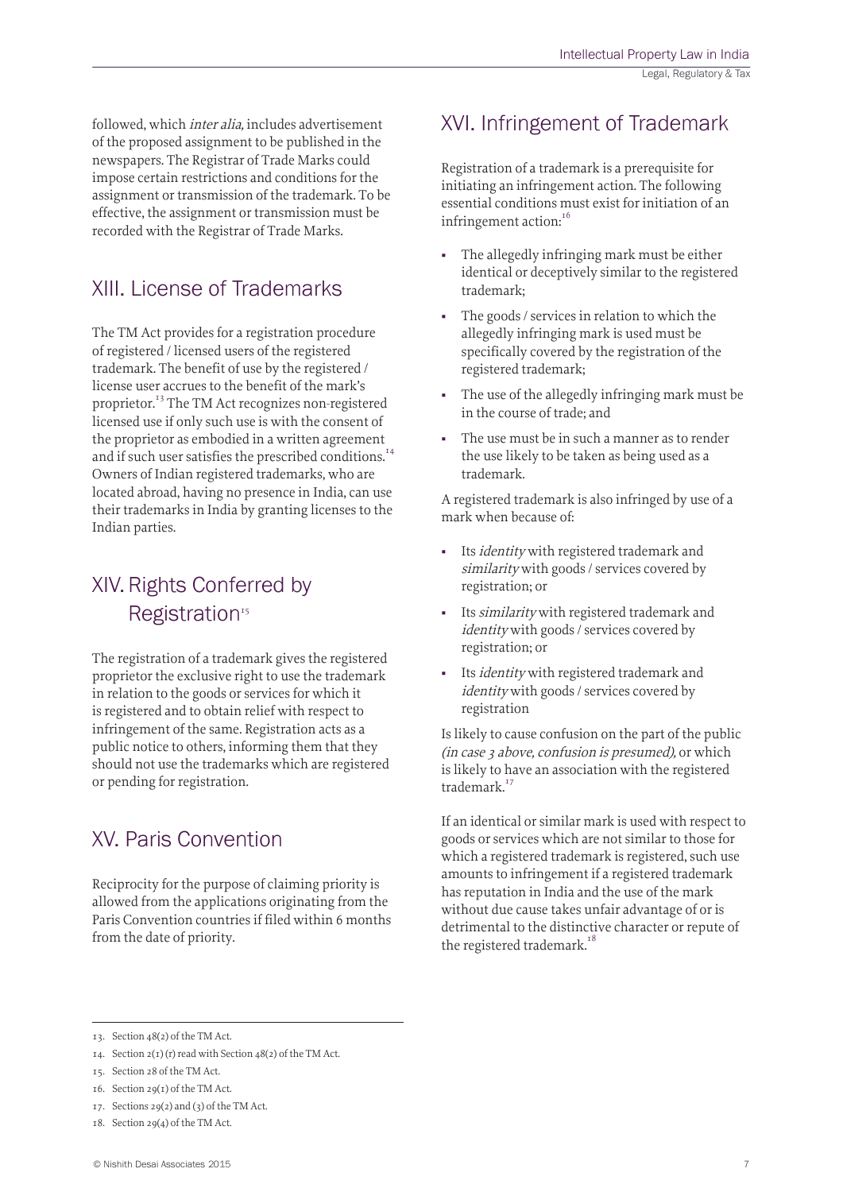followed, which inter alia, includes advertisement of the proposed assignment to be published in the newspapers. The Registrar of Trade Marks could impose certain restrictions and conditions for the assignment or transmission of the trademark. To be effective, the assignment or transmission must be recorded with the Registrar of Trade Marks.

### XIII. License of Trademarks

The TM Act provides for a registration procedure of registered / licensed users of the registered trademark. The benefit of use by the registered / license user accrues to the benefit of the mark's proprietor.13 The TM Act recognizes non-registered licensed use if only such use is with the consent of the proprietor as embodied in a written agreement and if such user satisfies the prescribed conditions.<sup>14</sup> Owners of Indian registered trademarks, who are located abroad, having no presence in India, can use their trademarks in India by granting licenses to the Indian parties.

## XIV.Rights Conferred by Registration<sup>15</sup>

The registration of a trademark gives the registered proprietor the exclusive right to use the trademark in relation to the goods or services for which it is registered and to obtain relief with respect to infringement of the same. Registration acts as a public notice to others, informing them that they should not use the trademarks which are registered or pending for registration.

# XV. Paris Convention

Reciprocity for the purpose of claiming priority is allowed from the applications originating from the Paris Convention countries if filed within 6 months from the date of priority.

### XVI. Infringement of Trademark

Registration of a trademark is a prerequisite for initiating an infringement action. The following essential conditions must exist for initiation of an infringement action:<sup>16</sup>

- The allegedly infringing mark must be either identical or deceptively similar to the registered trademark;
- The goods / services in relation to which the allegedly infringing mark is used must be specifically covered by the registration of the registered trademark;
- The use of the allegedly infringing mark must be in the course of trade; and
- The use must be in such a manner as to render the use likely to be taken as being used as a trademark.

A registered trademark is also infringed by use of a mark when because of:

- Its identity with registered trademark and similarity with goods / services covered by registration; or
- Its similarity with registered trademark and identity with goods / services covered by registration; or
- Its identity with registered trademark and identity with goods / services covered by registration

Is likely to cause confusion on the part of the public (in case 3 above, confusion is presumed), or which is likely to have an association with the registered trademark.<sup>17</sup>

If an identical or similar mark is used with respect to goods or services which are not similar to those for which a registered trademark is registered, such use amounts to infringement if a registered trademark has reputation in India and the use of the mark without due cause takes unfair advantage of or is detrimental to the distinctive character or repute of the registered trademark.<sup>18</sup>

17. Sections 29(2) and (3) of the TM Act.

<sup>13.</sup> Section 48(2) of the TM Act.

<sup>14.</sup> Section  $2(1)(r)$  read with Section  $48(2)$  of the TM Act.

<sup>15.</sup> Section 28 of the TM Act.

<sup>16.</sup> Section 29(1) of the TM Act.

<sup>18.</sup> Section 29(4) of the TM Act.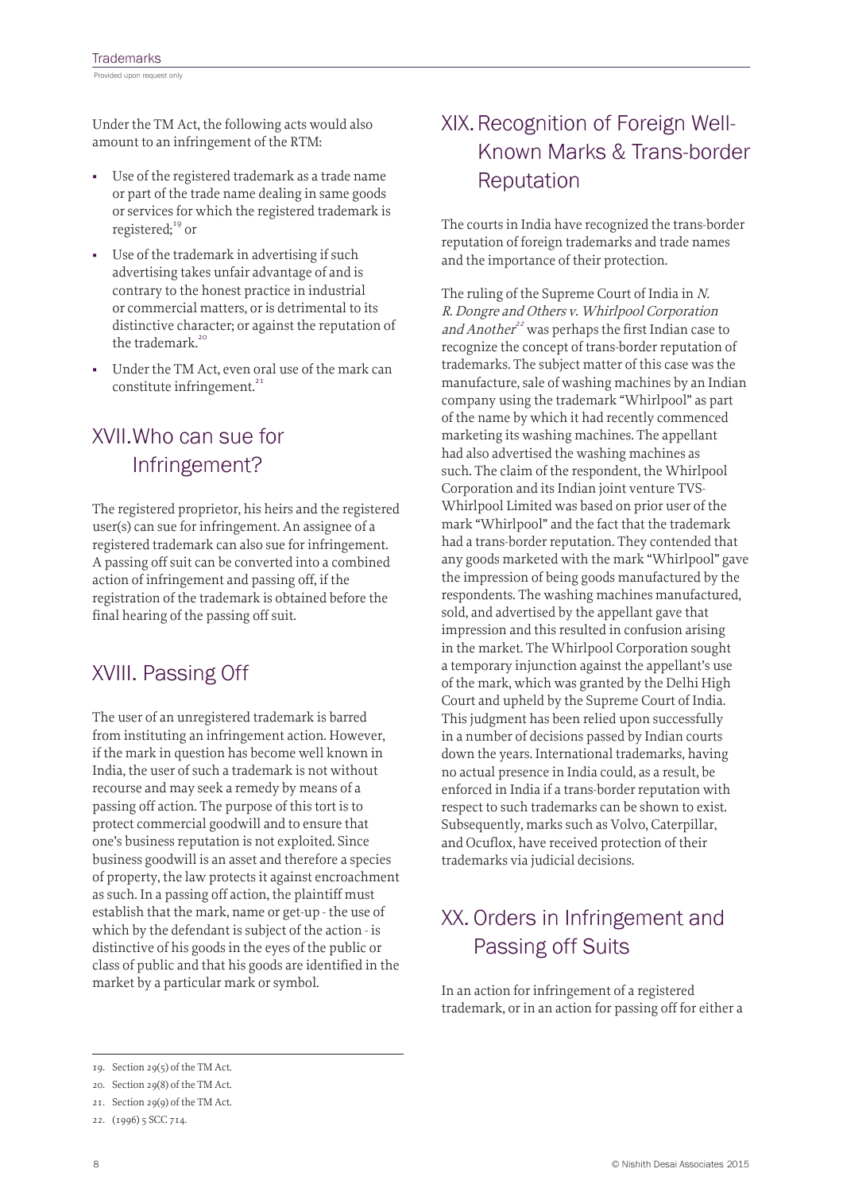Under the TM Act, the following acts would also amount to an infringement of the RTM:

- Use of the registered trademark as a trade name or part of the trade name dealing in same goods or services for which the registered trademark is registered;<sup>19</sup> or
- Use of the trademark in advertising if such advertising takes unfair advantage of and is contrary to the honest practice in industrial or commercial matters, or is detrimental to its distinctive character; or against the reputation of the trademark.<sup>20</sup>
- Under the TM Act, even oral use of the mark can constitute infringement.<sup>21</sup>

# XVII.Who can sue for Infringement?

The registered proprietor, his heirs and the registered user(s) can sue for infringement. An assignee of a registered trademark can also sue for infringement. A passing off suit can be converted into a combined action of infringement and passing off, if the registration of the trademark is obtained before the final hearing of the passing off suit.

### XVIII. Passing Off

The user of an unregistered trademark is barred from instituting an infringement action. However, if the mark in question has become well known in India, the user of such a trademark is not without recourse and may seek a remedy by means of a passing off action. The purpose of this tort is to protect commercial goodwill and to ensure that one's business reputation is not exploited. Since business goodwill is an asset and therefore a species of property, the law protects it against encroachment as such. In a passing off action, the plaintiff must establish that the mark, name or get-up - the use of which by the defendant is subject of the action - is distinctive of his goods in the eyes of the public or class of public and that his goods are identified in the market by a particular mark or symbol.

## XIX.Recognition of Foreign Well-Known Marks & Trans-border Reputation

The courts in India have recognized the trans-border reputation of foreign trademarks and trade names and the importance of their protection.

The ruling of the Supreme Court of India in N. R. Dongre and Others v. Whirlpool Corporation and Another<sup>22</sup> was perhaps the first Indian case to recognize the concept of trans-border reputation of trademarks. The subject matter of this case was the manufacture, sale of washing machines by an Indian company using the trademark "Whirlpool" as part of the name by which it had recently commenced marketing its washing machines. The appellant had also advertised the washing machines as such. The claim of the respondent, the Whirlpool Corporation and its Indian joint venture TVS-Whirlpool Limited was based on prior user of the mark "Whirlpool" and the fact that the trademark had a trans-border reputation. They contended that any goods marketed with the mark "Whirlpool" gave the impression of being goods manufactured by the respondents. The washing machines manufactured, sold, and advertised by the appellant gave that impression and this resulted in confusion arising in the market. The Whirlpool Corporation sought a temporary injunction against the appellant's use of the mark, which was granted by the Delhi High Court and upheld by the Supreme Court of India. This judgment has been relied upon successfully in a number of decisions passed by Indian courts down the years. International trademarks, having no actual presence in India could, as a result, be enforced in India if a trans-border reputation with respect to such trademarks can be shown to exist. Subsequently, marks such as Volvo, Caterpillar, and Ocuflox, have received protection of their trademarks via judicial decisions.

## XX. Orders in Infringement and Passing off Suits

In an action for infringement of a registered trademark, or in an action for passing off for either a

<sup>19.</sup> Section 29(5) of the TM Act.

<sup>20.</sup> Section 29(8) of the TM Act.

<sup>21.</sup> Section 29(9) of the TM Act.

<sup>22.</sup> (1996) 5 SCC 714.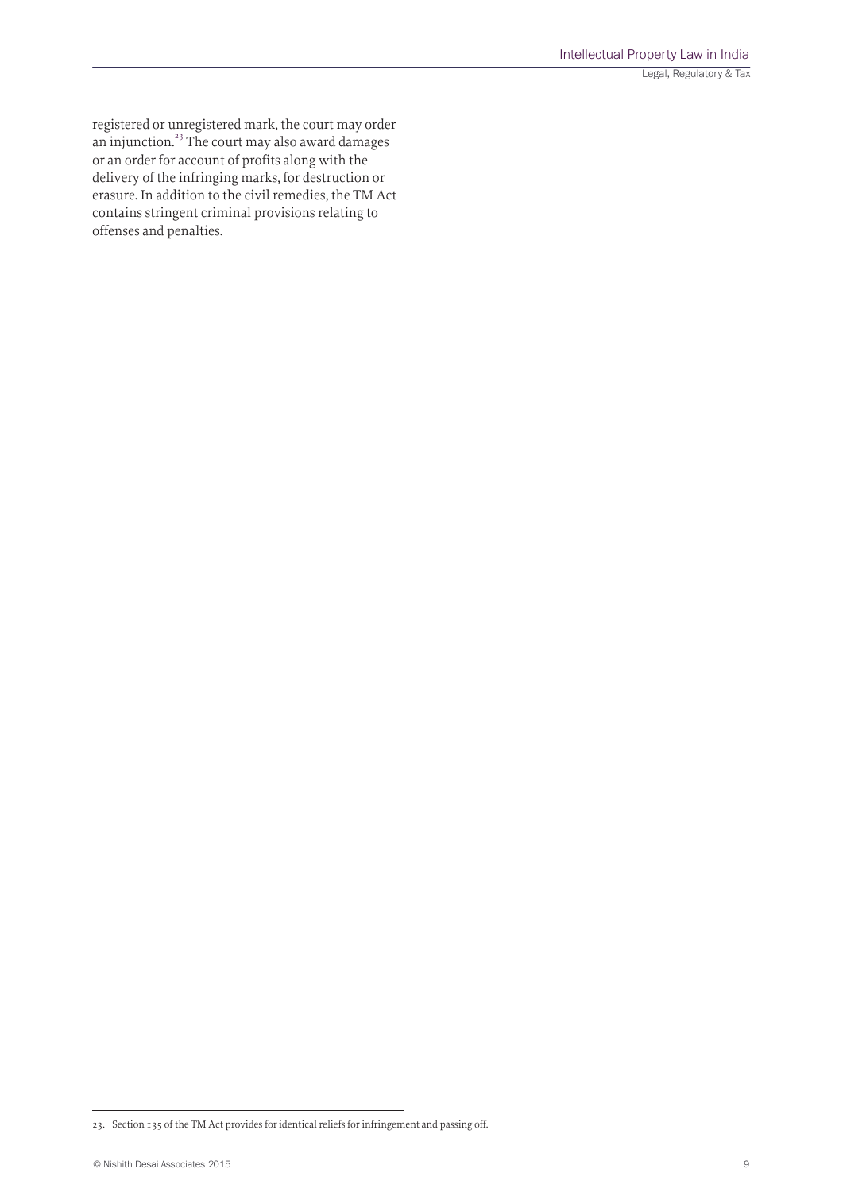registered or unregistered mark, the court may order an injunction.23 The court may also award damages or an order for account of profits along with the delivery of the infringing marks, for destruction or erasure. In addition to the civil remedies, the TM Act contains stringent criminal provisions relating to offenses and penalties.

<sup>23.</sup> Section 135 of the TM Act provides for identical reliefs for infringement and passing off.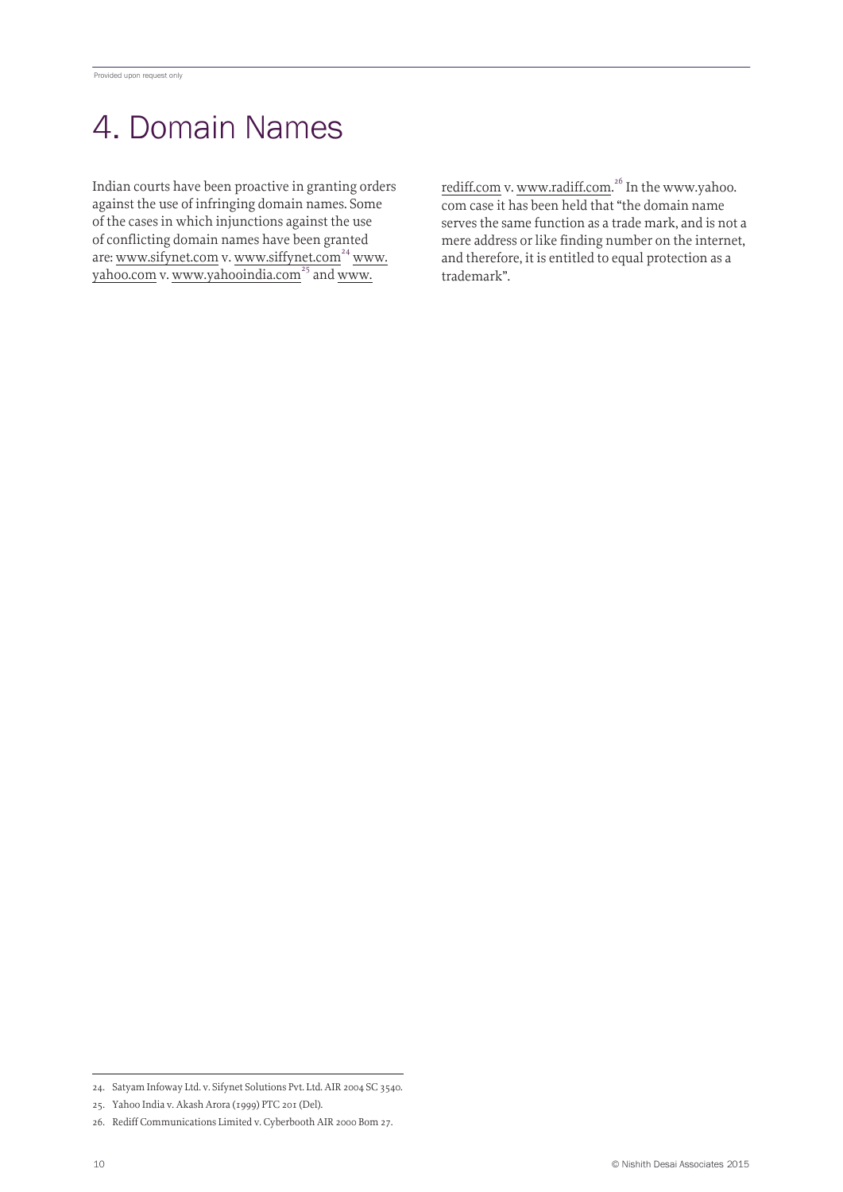# 4. Domain Names

Indian courts have been proactive in granting orders against the use of infringing domain names. Some of the cases in which injunctions against the use of conflicting domain names have been granted are: www.sifynet.com v. www.siffynet.com<sup>24</sup> www. yahoo.com v. www.yahooindia.com<sup>25</sup> and www.

rediff.com v. www.radiff.com.<sup>26</sup> In the www.yahoo. com case it has been held that "the domain name serves the same function as a trade mark, and is not a mere address or like finding number on the internet, and therefore, it is entitled to equal protection as a trademark".

<sup>24.</sup> Satyam Infoway Ltd. v. Sifynet Solutions Pvt. Ltd. AIR 2004 SC 3540.

<sup>25.</sup> Yahoo India v. Akash Arora (1999) PTC 201 (Del).

<sup>26.</sup> Rediff Communications Limited v. Cyberbooth AIR 2000 Bom 27.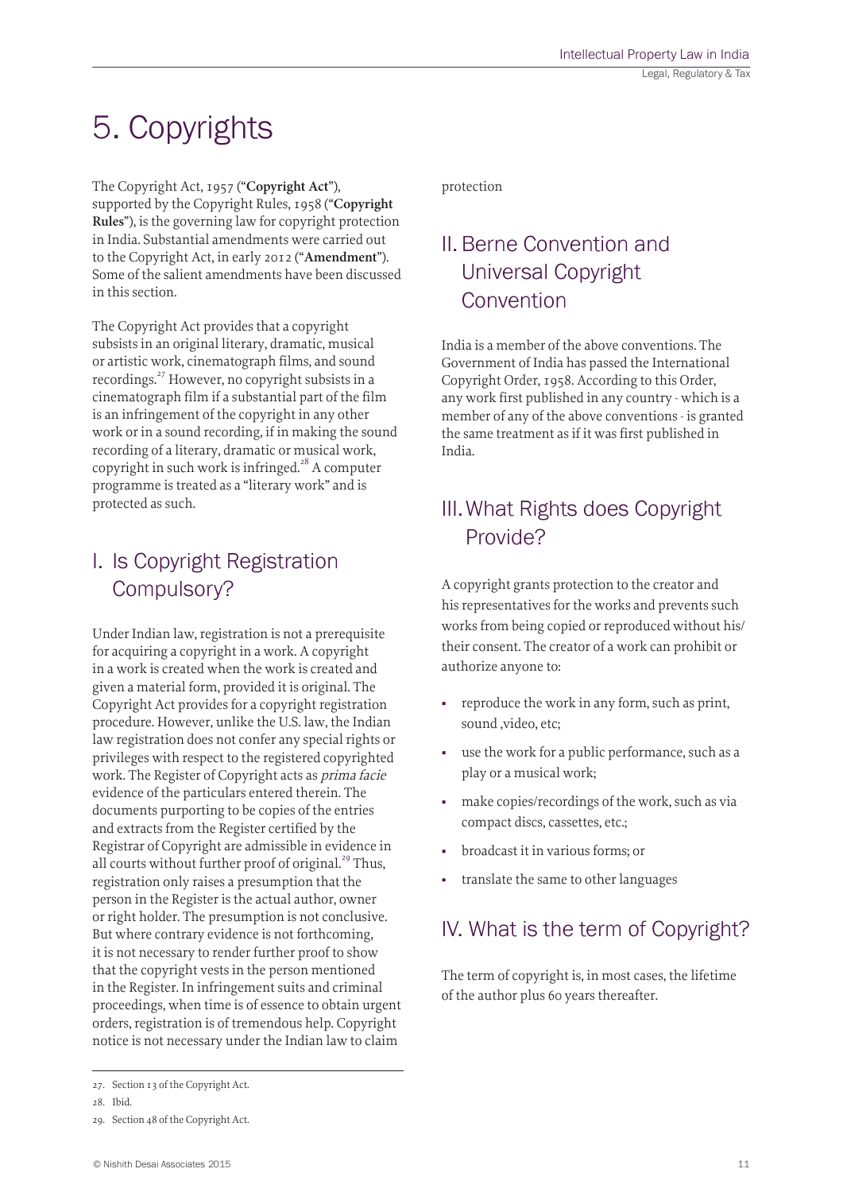# 5. Copyrights

The Copyright Act, 1957 ("**Copyright Act**"), supported by the Copyright Rules, 1958 ("**Copyright Rules**"), is the governing law for copyright protection in India. Substantial amendments were carried out to the Copyright Act, in early 2012 ("**Amendment**"). Some of the salient amendments have been discussed in this section.

The Copyright Act provides that a copyright subsists in an original literary, dramatic, musical or artistic work, cinematograph films, and sound recordings.<sup>27</sup> However, no copyright subsists in a cinematograph film if a substantial part of the film is an infringement of the copyright in any other work or in a sound recording, if in making the sound recording of a literary, dramatic or musical work, copyright in such work is infringed.<sup>28</sup> A computer programme is treated as a "literary work" and is protected as such.

# I. Is Copyright Registration Compulsory?

Under Indian law, registration is not a prerequisite for acquiring a copyright in a work. A copyright in a work is created when the work is created and given a material form, provided it is original. The Copyright Act provides for a copyright registration procedure. However, unlike the U.S. law, the Indian law registration does not confer any special rights or privileges with respect to the registered copyrighted work. The Register of Copyright acts as prima facie evidence of the particulars entered therein. The documents purporting to be copies of the entries and extracts from the Register certified by the Registrar of Copyright are admissible in evidence in all courts without further proof of original.<sup>29</sup> Thus, registration only raises a presumption that the person in the Register is the actual author, owner or right holder. The presumption is not conclusive. But where contrary evidence is not forthcoming, it is not necessary to render further proof to show that the copyright vests in the person mentioned in the Register. In infringement suits and criminal proceedings, when time is of essence to obtain urgent orders, registration is of tremendous help. Copyright notice is not necessary under the Indian law to claim

# II. Berne Convention and Universal Copyright Convention

India is a member of the above conventions. The Government of India has passed the International Copyright Order, 1958. According to this Order, any work first published in any country - which is a member of any of the above conventions - is granted the same treatment as if it was first published in India.

# III.What Rights does Copyright Provide?

A copyright grants protection to the creator and his representatives for the works and prevents such works from being copied or reproduced without his/ their consent. The creator of a work can prohibit or authorize anyone to:

- reproduce the work in any form, such as print, sound ,video, etc;
- use the work for a public performance, such as a play or a musical work;
- make copies/recordings of the work, such as via compact discs, cassettes, etc.;
- broadcast it in various forms; or
- translate the same to other languages

# IV. What is the term of Copyright?

The term of copyright is, in most cases, the lifetime of the author plus 60 years thereafter.

protection

<sup>27.</sup> Section 13 of the Copyright Act.

<sup>28.</sup> Ibid.

<sup>29.</sup> Section 48 of the Copyright Act.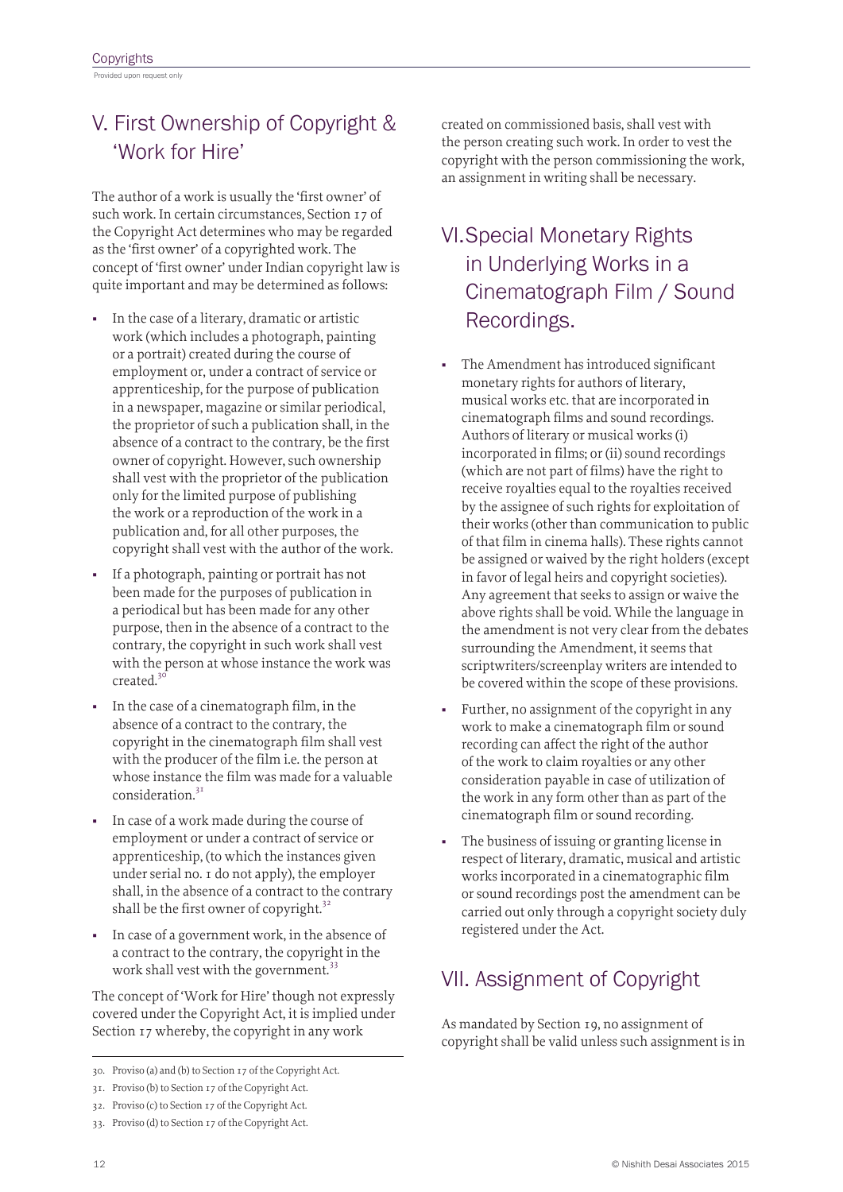# V. First Ownership of Copyright & 'Work for Hire'

The author of a work is usually the 'first owner' of such work. In certain circumstances, Section 17 of the Copyright Act determines who may be regarded as the 'first owner' of a copyrighted work. The concept of 'first owner' under Indian copyright law is quite important and may be determined as follows:

- In the case of a literary, dramatic or artistic work (which includes a photograph, painting or a portrait) created during the course of employment or, under a contract of service or apprenticeship, for the purpose of publication in a newspaper, magazine or similar periodical, the proprietor of such a publication shall, in the absence of a contract to the contrary, be the first owner of copyright. However, such ownership shall vest with the proprietor of the publication only for the limited purpose of publishing the work or a reproduction of the work in a publication and, for all other purposes, the copyright shall vest with the author of the work.
- If a photograph, painting or portrait has not been made for the purposes of publication in a periodical but has been made for any other purpose, then in the absence of a contract to the contrary, the copyright in such work shall vest with the person at whose instance the work was  $created.<sup>3</sup>$
- In the case of a cinematograph film, in the absence of a contract to the contrary, the copyright in the cinematograph film shall vest with the producer of the film i.e. the person at whose instance the film was made for a valuable consideration.<sup>31</sup>
- In case of a work made during the course of employment or under a contract of service or apprenticeship, (to which the instances given under serial no. 1 do not apply), the employer shall, in the absence of a contract to the contrary shall be the first owner of copyright. $32$
- In case of a government work, in the absence of a contract to the contrary, the copyright in the work shall vest with the government.<sup>33</sup>

The concept of 'Work for Hire' though not expressly covered under the Copyright Act, it is implied under Section 17 whereby, the copyright in any work

created on commissioned basis, shall vest with the person creating such work. In order to vest the copyright with the person commissioning the work, an assignment in writing shall be necessary.

# VI.Special Monetary Rights in Underlying Works in a Cinematograph Film / Sound Recordings.

- The Amendment has introduced significant monetary rights for authors of literary, musical works etc. that are incorporated in cinematograph films and sound recordings. Authors of literary or musical works (i) incorporated in films; or (ii) sound recordings (which are not part of films) have the right to receive royalties equal to the royalties received by the assignee of such rights for exploitation of their works (other than communication to public of that film in cinema halls). These rights cannot be assigned or waived by the right holders (except in favor of legal heirs and copyright societies). Any agreement that seeks to assign or waive the above rights shall be void. While the language in the amendment is not very clear from the debates surrounding the Amendment, it seems that scriptwriters/screenplay writers are intended to be covered within the scope of these provisions.
- Further, no assignment of the copyright in any work to make a cinematograph film or sound recording can affect the right of the author of the work to claim royalties or any other consideration payable in case of utilization of the work in any form other than as part of the cinematograph film or sound recording.
- The business of issuing or granting license in respect of literary, dramatic, musical and artistic works incorporated in a cinematographic film or sound recordings post the amendment can be carried out only through a copyright society duly registered under the Act.

# VII. Assignment of Copyright

As mandated by Section 19, no assignment of copyright shall be valid unless such assignment is in

<sup>30.</sup> Proviso (a) and (b) to Section 17 of the Copyright Act.

<sup>31.</sup> Proviso (b) to Section 17 of the Copyright Act.

<sup>32.</sup> Proviso (c) to Section 17 of the Copyright Act.

<sup>33.</sup> Proviso (d) to Section 17 of the Copyright Act.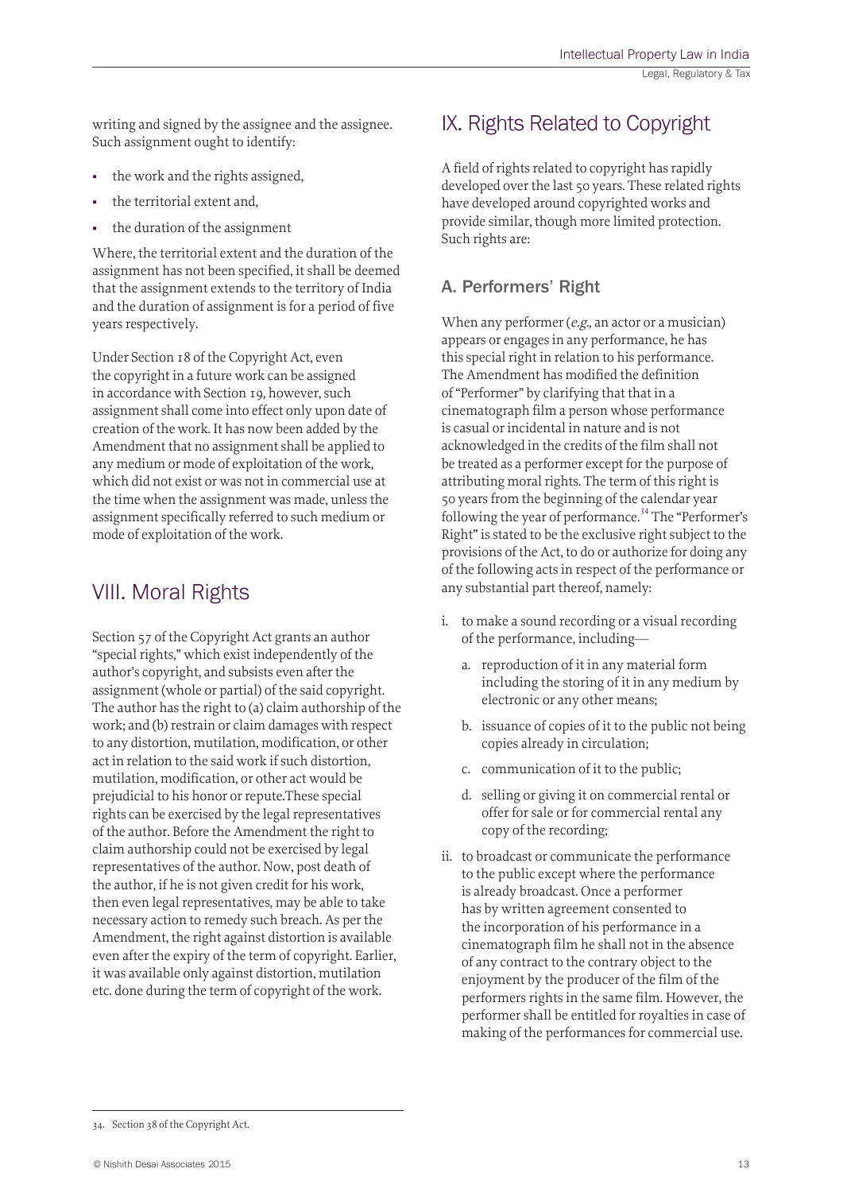writing and signed by the assignee and the assignee. Such assignment ought to identify:

- the work and the rights assigned,
- the territorial extent and,
- the duration of the assignment

Where, the territorial extent and the duration of the assignment has not been specified, it shall be deemed that the assignment extends to the territory of India and the duration of assignment is for a period of five years respectively.

Under Section 18 of the Copyright Act, even the copyright in a future work can be assigned in accordance with Section 19, however, such assignment shall come into effect only upon date of creation of the work. It has now been added by the Amendment that no assignment shall be applied to any medium or mode of exploitation of the work, which did not exist or was not in commercial use at the time when the assignment was made, unless the assignment specifically referred to such medium or mode of exploitation of the work.

### VIII. Moral Rights

Section 57 of the Copyright Act grants an author "special rights," which exist independently of the author's copyright, and subsists even after the assignment (whole or partial) of the said copyright. The author has the right to (a) claim authorship of the work; and (b) restrain or claim damages with respect to any distortion, mutilation, modification, or other act in relation to the said work if such distortion, mutilation, modification, or other act would be prejudicial to his honor or repute.These special rights can be exercised by the legal representatives of the author. Before the Amendment the right to claim authorship could not be exercised by legal representatives of the author. Now, post death of the author, if he is not given credit for his work, then even legal representatives, may be able to take necessary action to remedy such breach. As per the Amendment, the right against distortion is available even after the expiry of the term of copyright. Earlier, it was available only against distortion, mutilation etc. done during the term of copyright of the work.

### IX. Rights Related to Copyright

A field of rights related to copyright has rapidly developed over the last 50 years. These related rights have developed around copyrighted works and provide similar, though more limited protection. Such rights are:

#### A. Performers' Right

When any performer (e.g., an actor or a musician) appears or engages in any performance, he has this special right in relation to his performance. The Amendment has modified the definition of "Performer" by clarifying that that in a cinematograph film a person whose performance is casual or incidental in nature and is not acknowledged in the credits of the film shall not be treated as a performer except for the purpose of attributing moral rights. The term of this right is 50 years from the beginning of the calendar year following the year of performance. $34$  The "Performer's Right" is stated to be the exclusive right subject to the provisions of the Act, to do or authorize for doing any of the following acts in respect of the performance or any substantial part thereof, namely:

- i. to make a sound recording or a visual recording of the performance, including
	- a. reproduction of it in any material form including the storing of it in any medium by electronic or any other means;
	- b. issuance of copies of it to the public not being copies already in circulation;
	- c. communication of it to the public;
	- d. selling or giving it on commercial rental or offer for sale or for commercial rental any copy of the recording;
- ii. to broadcast or communicate the performance to the public except where the performance is already broadcast. Once a performer has by written agreement consented to the incorporation of his performance in a cinematograph film he shall not in the absence of any contract to the contrary object to the enjoyment by the producer of the film of the performers rights in the same film. However, the performer shall be entitled for royalties in case of making of the performances for commercial use.

<sup>34.</sup> Section 38 of the Copyright Act.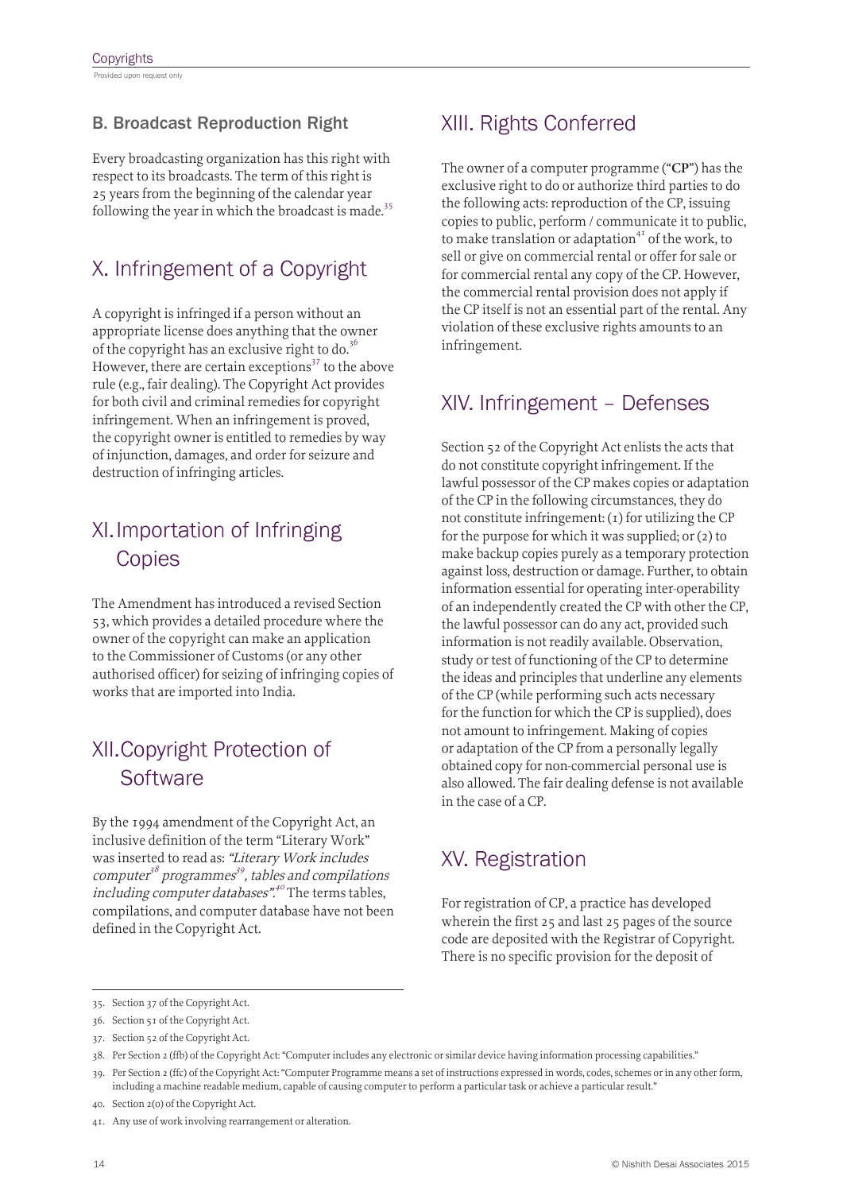#### B. Broadcast Reproduction Right

Every broadcasting organization has this right with respect to its broadcasts. The term of this right is 25 years from the beginning of the calendar year following the year in which the broadcast is made.<sup>35</sup>

# X. Infringement of a Copyright

A copyright is infringed if a person without an appropriate license does anything that the owner of the copyright has an exclusive right to do.<sup>36</sup> However, there are certain exceptions<sup>37</sup> to the above rule (e.g., fair dealing). The Copyright Act provides for both civil and criminal remedies for copyright infringement. When an infringement is proved, the copyright owner is entitled to remedies by way of injunction, damages, and order for seizure and destruction of infringing articles.

### XI.Importation of Infringing **Copies**

The Amendment has introduced a revised Section 53, which provides a detailed procedure where the owner of the copyright can make an application to the Commissioner of Customs (or any other authorised officer) for seizing of infringing copies of works that are imported into India.

# XII.Copyright Protection of **Software**

By the 1994 amendment of the Copyright Act, an inclusive definition of the term "Literary Work" was inserted to read as: "Literary Work includes computer<sup>38</sup> programmes<sup>39</sup>, tables and compilations including computer databases".<sup>40</sup> The terms tables, compilations, and computer database have not been defined in the Copyright Act.

### XIII. Rights Conferred

The owner of a computer programme ("**CP**") has the exclusive right to do or authorize third parties to do the following acts: reproduction of the CP, issuing copies to public, perform / communicate it to public, to make translation or adaptation<sup>41</sup> of the work, to sell or give on commercial rental or offer for sale or for commercial rental any copy of the CP. However, the commercial rental provision does not apply if the CP itself is not an essential part of the rental. Any violation of these exclusive rights amounts to an infringement.

### XIV. Infringement – Defenses

Section 52 of the Copyright Act enlists the acts that do not constitute copyright infringement. If the lawful possessor of the CP makes copies or adaptation of the CP in the following circumstances, they do not constitute infringement:  $(1)$  for utilizing the CP for the purpose for which it was supplied; or (2) to make backup copies purely as a temporary protection against loss, destruction or damage. Further, to obtain information essential for operating inter-operability of an independently created the CP with other the CP, the lawful possessor can do any act, provided such information is not readily available. Observation, study or test of functioning of the CP to determine the ideas and principles that underline any elements of the CP (while performing such acts necessary for the function for which the CP is supplied), does not amount to infringement. Making of copies or adaptation of the CP from a personally legally obtained copy for non-commercial personal use is also allowed. The fair dealing defense is not available in the case of a CP.

### XV. Registration

For registration of CP, a practice has developed wherein the first 25 and last 25 pages of the source code are deposited with the Registrar of Copyright. There is no specific provision for the deposit of

<sup>35.</sup> Section 37 of the Copyright Act.

<sup>36.</sup> Section 51 of the Copyright Act.

<sup>37.</sup> Section 52 of the Copyright Act.

<sup>38.</sup> Per Section 2 (ffb) of the Copyright Act: "Computer includes any electronic or similar device having information processing capabilities."

<sup>39.</sup> Per Section 2 (ffc) of the Copyright Act: "Computer Programme means a set of instructions expressed in words, codes, schemes or in any other form, including a machine readable medium, capable of causing computer to perform a particular task or achieve a particular result."

<sup>40.</sup> Section 2(o) of the Copyright Act.

<sup>41.</sup> Any use of work involving rearrangement or alteration.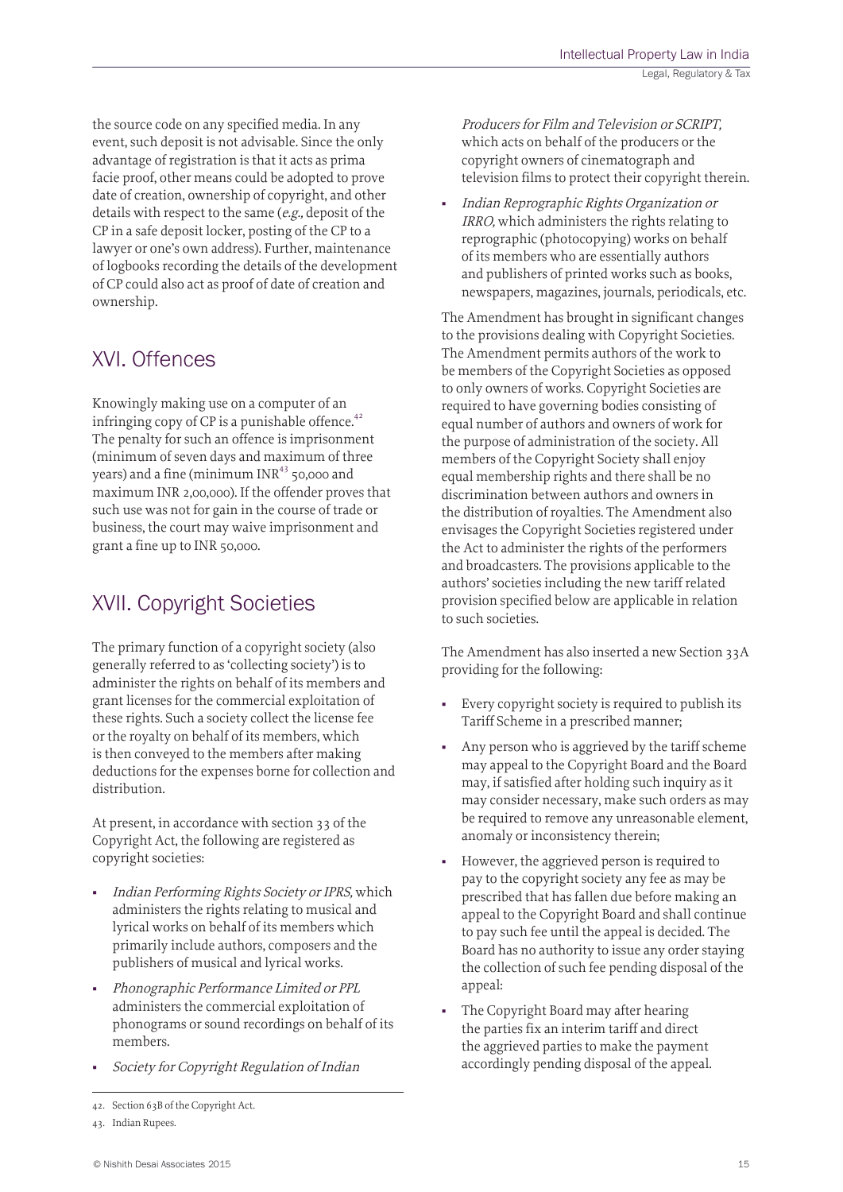the source code on any specified media. In any event, such deposit is not advisable. Since the only advantage of registration is that it acts as prima facie proof, other means could be adopted to prove date of creation, ownership of copyright, and other details with respect to the same (e.g., deposit of the CP in a safe deposit locker, posting of the CP to a lawyer or one's own address). Further, maintenance of logbooks recording the details of the development of CP could also act as proof of date of creation and ownership.

### XVI. Offences

Knowingly making use on a computer of an infringing copy of CP is a punishable offence.<sup>42</sup> The penalty for such an offence is imprisonment (minimum of seven days and maximum of three years) and a fine (minimum  $INR<sup>43</sup>$  50,000 and maximum INR 2,00,000). If the offender proves that such use was not for gain in the course of trade or business, the court may waive imprisonment and grant a fine up to INR 50,000.

# XVII. Copyright Societies

The primary function of a copyright society (also generally referred to as 'collecting society') is to administer the rights on behalf of its members and grant licenses for the commercial exploitation of these rights. Such a society collect the license fee or the royalty on behalf of its members, which is then conveyed to the members after making deductions for the expenses borne for collection and distribution.

At present, in accordance with section 33 of the Copyright Act, the following are registered as copyright societies:

- Indian Performing Rights Society or IPRS, which administers the rights relating to musical and lyrical works on behalf of its members which primarily include authors, composers and the publishers of musical and lyrical works.
- Phonographic Performance Limited or PPL administers the commercial exploitation of phonograms or sound recordings on behalf of its members.
- Society for Copyright Regulation of Indian

Producers for Film and Television or SCRIPT, which acts on behalf of the producers or the copyright owners of cinematograph and television films to protect their copyright therein.

Indian Reprographic Rights Organization or IRRO, which administers the rights relating to reprographic (photocopying) works on behalf of its members who are essentially authors and publishers of printed works such as books, newspapers, magazines, journals, periodicals, etc.

The Amendment has brought in significant changes to the provisions dealing with Copyright Societies. The Amendment permits authors of the work to be members of the Copyright Societies as opposed to only owners of works. Copyright Societies are required to have governing bodies consisting of equal number of authors and owners of work for the purpose of administration of the society. All members of the Copyright Society shall enjoy equal membership rights and there shall be no discrimination between authors and owners in the distribution of royalties. The Amendment also envisages the Copyright Societies registered under the Act to administer the rights of the performers and broadcasters. The provisions applicable to the authors' societies including the new tariff related provision specified below are applicable in relation to such societies.

The Amendment has also inserted a new Section 33A providing for the following:

- Every copyright society is required to publish its Tariff Scheme in a prescribed manner;
- Any person who is aggrieved by the tariff scheme may appeal to the Copyright Board and the Board may, if satisfied after holding such inquiry as it may consider necessary, make such orders as may be required to remove any unreasonable element, anomaly or inconsistency therein;
- However, the aggrieved person is required to pay to the copyright society any fee as may be prescribed that has fallen due before making an appeal to the Copyright Board and shall continue to pay such fee until the appeal is decided. The Board has no authority to issue any order staying the collection of such fee pending disposal of the appeal:
- The Copyright Board may after hearing the parties fix an interim tariff and direct the aggrieved parties to make the payment accordingly pending disposal of the appeal.

<sup>42.</sup> Section 63B of the Copyright Act.

<sup>43.</sup> Indian Rupees.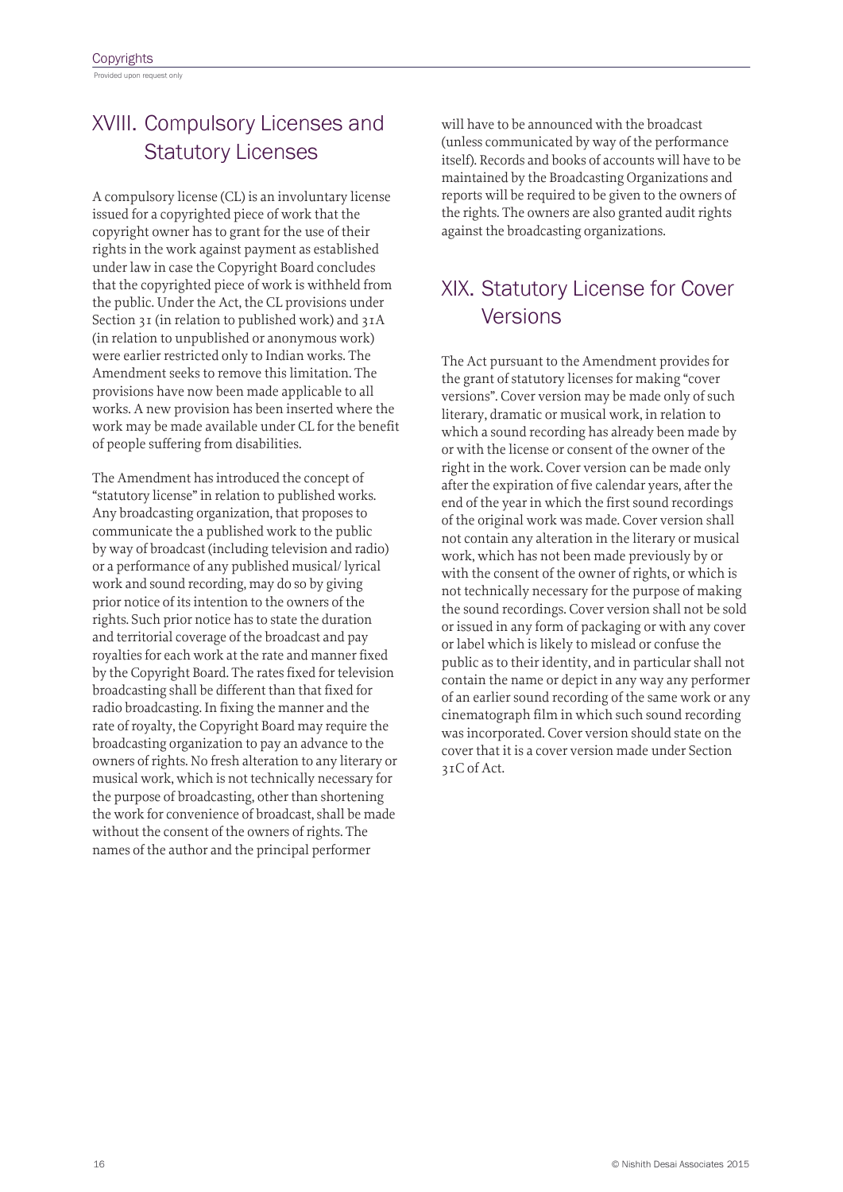XVIII. Compulsory Licenses and Statutory Licenses

A compulsory license (CL) is an involuntary license issued for a copyrighted piece of work that the copyright owner has to grant for the use of their rights in the work against payment as established under law in case the Copyright Board concludes that the copyrighted piece of work is withheld from the public. Under the Act, the CL provisions under Section 31 (in relation to published work) and 31A (in relation to unpublished or anonymous work) were earlier restricted only to Indian works. The Amendment seeks to remove this limitation. The provisions have now been made applicable to all works. A new provision has been inserted where the work may be made available under CL for the benefit of people suffering from disabilities.

The Amendment has introduced the concept of "statutory license" in relation to published works. Any broadcasting organization, that proposes to communicate the a published work to the public by way of broadcast (including television and radio) or a performance of any published musical/ lyrical work and sound recording, may do so by giving prior notice of its intention to the owners of the rights. Such prior notice has to state the duration and territorial coverage of the broadcast and pay royalties for each work at the rate and manner fixed by the Copyright Board. The rates fixed for television broadcasting shall be different than that fixed for radio broadcasting. In fixing the manner and the rate of royalty, the Copyright Board may require the broadcasting organization to pay an advance to the owners of rights. No fresh alteration to any literary or musical work, which is not technically necessary for the purpose of broadcasting, other than shortening the work for convenience of broadcast, shall be made without the consent of the owners of rights. The names of the author and the principal performer

will have to be announced with the broadcast (unless communicated by way of the performance itself). Records and books of accounts will have to be maintained by the Broadcasting Organizations and reports will be required to be given to the owners of the rights. The owners are also granted audit rights against the broadcasting organizations.

## XIX. Statutory License for Cover Versions

The Act pursuant to the Amendment provides for the grant of statutory licenses for making "cover versions". Cover version may be made only of such literary, dramatic or musical work, in relation to which a sound recording has already been made by or with the license or consent of the owner of the right in the work. Cover version can be made only after the expiration of five calendar years, after the end of the year in which the first sound recordings of the original work was made. Cover version shall not contain any alteration in the literary or musical work, which has not been made previously by or with the consent of the owner of rights, or which is not technically necessary for the purpose of making the sound recordings. Cover version shall not be sold or issued in any form of packaging or with any cover or label which is likely to mislead or confuse the public as to their identity, and in particular shall not contain the name or depict in any way any performer of an earlier sound recording of the same work or any cinematograph film in which such sound recording was incorporated. Cover version should state on the cover that it is a cover version made under Section 31C of Act.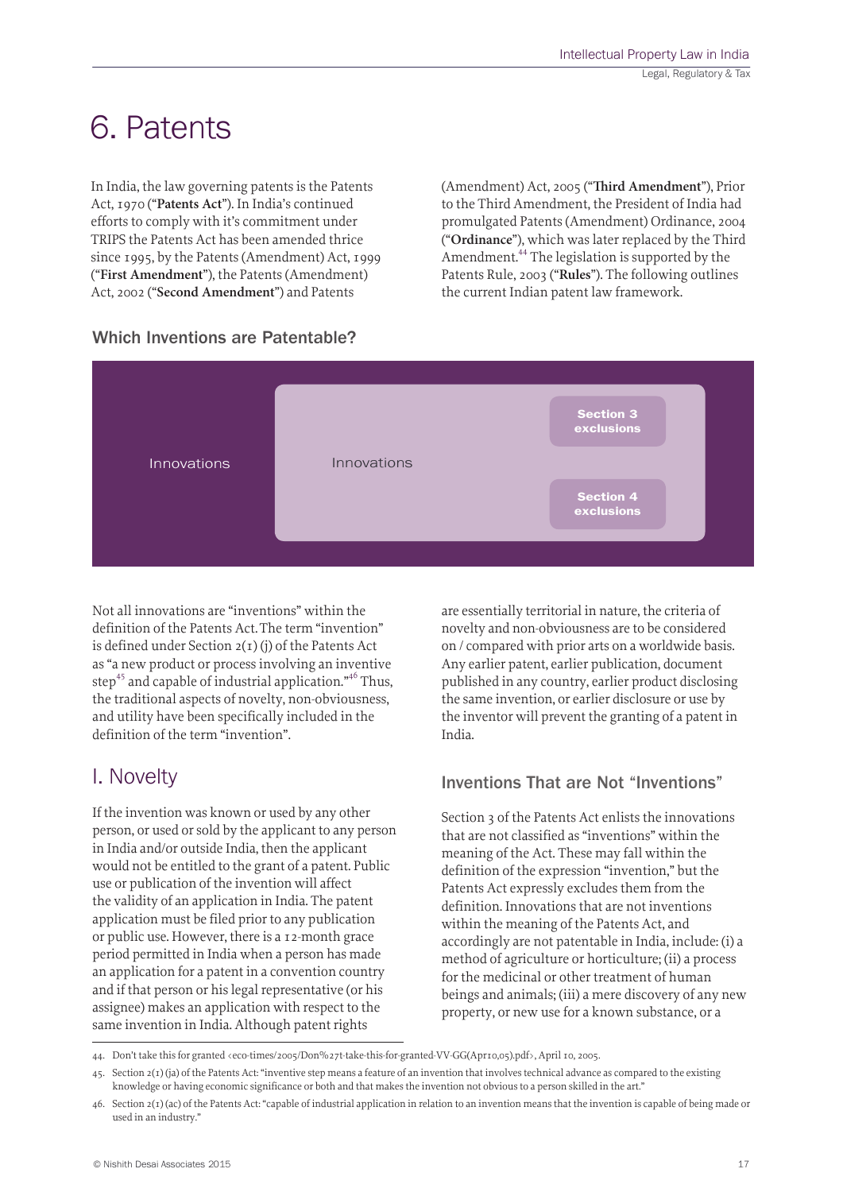# 6. Patents

In India, the law governing patents is the Patents Act, 1970 ("**Patents Act**"). In India's continued efforts to comply with it's commitment under TRIPS the Patents Act has been amended thrice since 1995, by the Patents (Amendment) Act, 1999 ("**First Amendment**"), the Patents (Amendment) Act, 2002 ("**Second Amendment**") and Patents

(Amendment) Act, 2005 ("**Third Amendment**"), Prior to the Third Amendment, the President of India had promulgated Patents (Amendment) Ordinance, 2004 ("**Ordinance**"), which was later replaced by the Third Amendment.<sup>44</sup> The legislation is supported by the Patents Rule, 2003 ("**Rules**"). The following outlines the current Indian patent law framework.



Not all innovations are "inventions" within the definition of the Patents Act.The term "invention" is defined under Section  $2(1)(i)$  of the Patents Act as "a new product or process involving an inventive step<sup>45</sup> and capable of industrial application."<sup>46</sup> Thus, the traditional aspects of novelty, non-obviousness, and utility have been specifically included in the definition of the term "invention".

### I. Novelty

If the invention was known or used by any other person, or used or sold by the applicant to any person in India and/or outside India, then the applicant would not be entitled to the grant of a patent. Public use or publication of the invention will affect the validity of an application in India. The patent application must be filed prior to any publication or public use. However, there is a 12-month grace period permitted in India when a person has made an application for a patent in a convention country and if that person or his legal representative (or his assignee) makes an application with respect to the same invention in India. Although patent rights

are essentially territorial in nature, the criteria of novelty and non-obviousness are to be considered on / compared with prior arts on a worldwide basis. Any earlier patent, earlier publication, document published in any country, earlier product disclosing the same invention, or earlier disclosure or use by the inventor will prevent the granting of a patent in India.

#### Inventions That are Not "Inventions"

Section 3 of the Patents Act enlists the innovations that are not classified as "inventions" within the meaning of the Act. These may fall within the definition of the expression "invention," but the Patents Act expressly excludes them from the definition. Innovations that are not inventions within the meaning of the Patents Act, and accordingly are not patentable in India, include: (i) a method of agriculture or horticulture; (ii) a process for the medicinal or other treatment of human beings and animals; (iii) a mere discovery of any new property, or new use for a known substance, or a

<sup>44.</sup> Don't take this for granted <eco-times/2005/Don%27t-take-this-for-granted-VV-GG(Apr10,05).pdf>, April 10, 2005.

<sup>45.</sup> Section 2(1) (ja) of the Patents Act: "inventive step means a feature of an invention that involves technical advance as compared to the existing knowledge or having economic significance or both and that makes the invention not obvious to a person skilled in the art."

 $46.$  Section  $2(1)(ac)$  of the Patents Act: "capable of industrial application in relation to an invention means that the invention is capable of being made or used in an industry."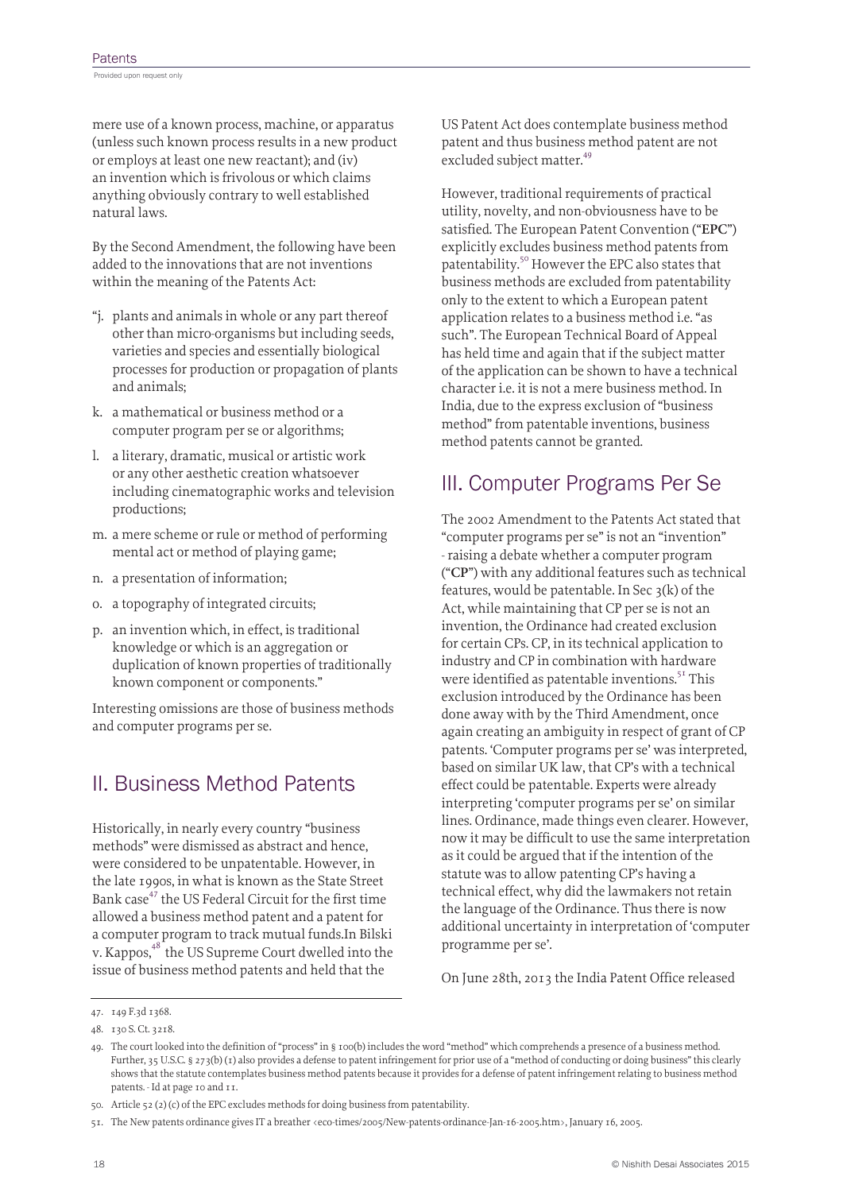mere use of a known process, machine, or apparatus (unless such known process results in a new product or employs at least one new reactant); and (iv) an invention which is frivolous or which claims anything obviously contrary to well established natural laws.

By the Second Amendment, the following have been added to the innovations that are not inventions within the meaning of the Patents Act:

- "j. plants and animals in whole or any part thereof other than micro-organisms but including seeds, varieties and species and essentially biological processes for production or propagation of plants and animals;
- k. a mathematical or business method or a computer program per se or algorithms;
- l. a literary, dramatic, musical or artistic work or any other aesthetic creation whatsoever including cinematographic works and television productions;
- m. a mere scheme or rule or method of performing mental act or method of playing game;
- n. a presentation of information;
- o. a topography of integrated circuits;
- p. an invention which, in effect, is traditional knowledge or which is an aggregation or duplication of known properties of traditionally known component or components."

Interesting omissions are those of business methods and computer programs per se.

### II. Business Method Patents

Historically, in nearly every country "business methods" were dismissed as abstract and hence, were considered to be unpatentable. However, in the late 1990s, in what is known as the State Street Bank case<sup>47</sup> the US Federal Circuit for the first time allowed a business method patent and a patent for a computer program to track mutual funds.In Bilski v. Kappos,<sup>48</sup> the US Supreme Court dwelled into the issue of business method patents and held that the

US Patent Act does contemplate business method patent and thus business method patent are not excluded subject matter.<sup>49</sup>

However, traditional requirements of practical utility, novelty, and non-obviousness have to be satisfied. The European Patent Convention ("**EPC**") explicitly excludes business method patents from patentability.<sup>50</sup> However the EPC also states that business methods are excluded from patentability only to the extent to which a European patent application relates to a business method i.e. "as such". The European Technical Board of Appeal has held time and again that if the subject matter of the application can be shown to have a technical character i.e. it is not a mere business method. In India, due to the express exclusion of "business method" from patentable inventions, business method patents cannot be granted.

### III. Computer Programs Per Se

The 2002 Amendment to the Patents Act stated that "computer programs per se" is not an "invention" - raising a debate whether a computer program ("**CP**") with any additional features such as technical features, would be patentable. In Sec  $3(k)$  of the Act, while maintaining that CP per se is not an invention, the Ordinance had created exclusion for certain CPs. CP, in its technical application to industry and CP in combination with hardware were identified as patentable inventions.<sup>51</sup> This exclusion introduced by the Ordinance has been done away with by the Third Amendment, once again creating an ambiguity in respect of grant of CP patents. 'Computer programs per se' was interpreted, based on similar UK law, that CP's with a technical effect could be patentable. Experts were already interpreting 'computer programs per se' on similar lines. Ordinance, made things even clearer. However, now it may be difficult to use the same interpretation as it could be argued that if the intention of the statute was to allow patenting CP's having a technical effect, why did the lawmakers not retain the language of the Ordinance. Thus there is now additional uncertainty in interpretation of 'computer programme per se'.

On June 28th, 2013 the India Patent Office released

<sup>47.</sup> 149 F.3d 1368.

<sup>48.</sup> 130 S. Ct. 3218.

<sup>49.</sup> The court looked into the definition of "process" in § 100(b) includes the word "method" which comprehends a presence of a business method. Further, 35 U.S.C. § 273(b) (1) also provides a defense to patent infringement for prior use of a "method of conducting or doing business" this clearly shows that the statute contemplates business method patents because it provides for a defense of patent infringement relating to business method patents. - Id at page 10 and 11.

<sup>50.</sup> Article 52 (2) (c) of the EPC excludes methods for doing business from patentability.

<sup>51.</sup> The New patents ordinance gives IT a breather <eco-times/2005/New-patents-ordinance-Jan-16-2005.htm>, January 16, 2005.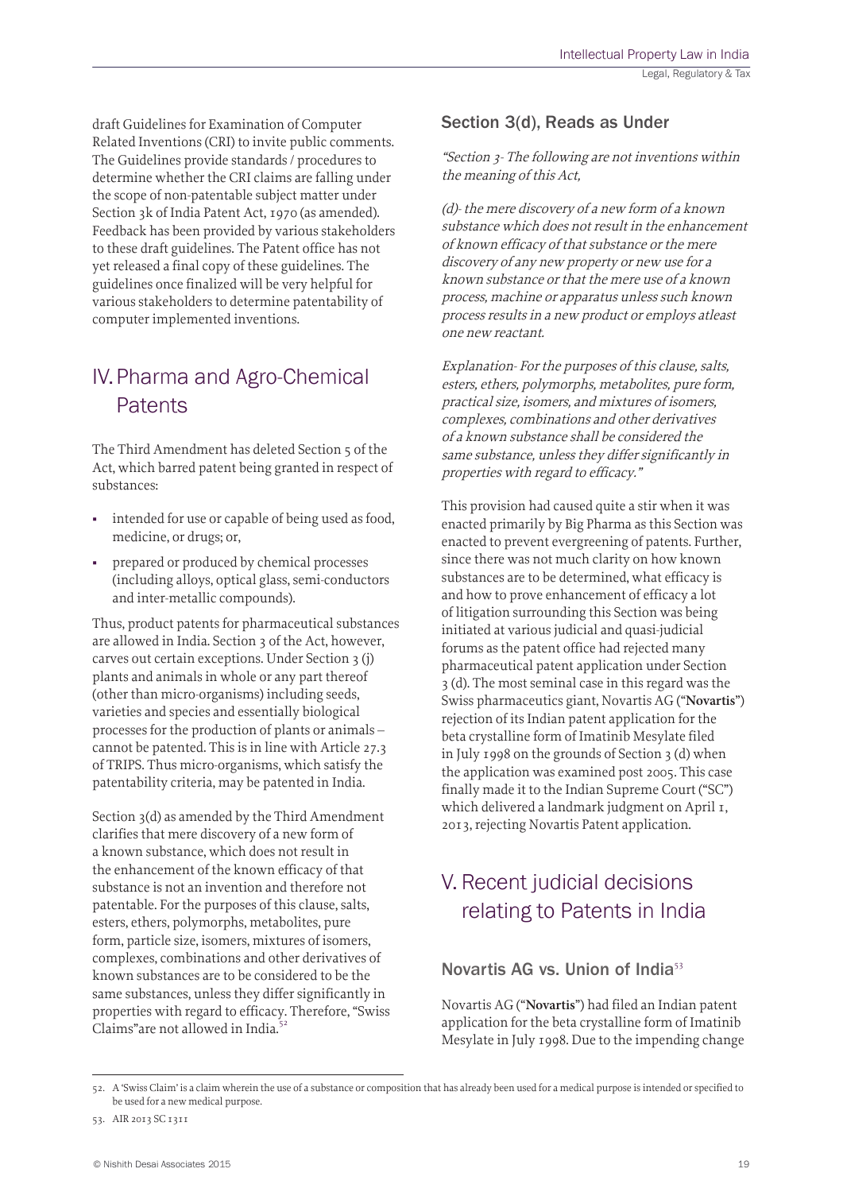draft Guidelines for Examination of Computer Related Inventions (CRI) to invite public comments. The Guidelines provide standards / procedures to determine whether the CRI claims are falling under the scope of non-patentable subject matter under Section 3k of India Patent Act, 1970 (as amended). Feedback has been provided by various stakeholders to these draft guidelines. The Patent office has not yet released a final copy of these guidelines. The guidelines once finalized will be very helpful for various stakeholders to determine patentability of computer implemented inventions.

# IV.Pharma and Agro-Chemical **Patents**

The Third Amendment has deleted Section 5 of the Act, which barred patent being granted in respect of substances:

- intended for use or capable of being used as food, medicine, or drugs; or,
- prepared or produced by chemical processes (including alloys, optical glass, semi-conductors and inter-metallic compounds).

Thus, product patents for pharmaceutical substances are allowed in India. Section 3 of the Act, however, carves out certain exceptions. Under Section 3 (j) plants and animals in whole or any part thereof (other than micro-organisms) including seeds, varieties and species and essentially biological processes for the production of plants or animals – cannot be patented. This is in line with Article 27.3 of TRIPS. Thus micro-organisms, which satisfy the patentability criteria, may be patented in India.

Section 3(d) as amended by the Third Amendment clarifies that mere discovery of a new form of a known substance, which does not result in the enhancement of the known efficacy of that substance is not an invention and therefore not patentable. For the purposes of this clause, salts, esters, ethers, polymorphs, metabolites, pure form, particle size, isomers, mixtures of isomers, complexes, combinations and other derivatives of known substances are to be considered to be the same substances, unless they differ significantly in properties with regard to efficacy. Therefore, "Swiss Claims"are not allowed in India.<sup>5</sup>

#### Section 3(d), Reads as Under

"Section 3- The following are not inventions within the meaning of this Act,

(d)- the mere discovery of a new form of a known substance which does not result in the enhancement of known efficacy of that substance or the mere discovery of any new property or new use for a known substance or that the mere use of a known process, machine or apparatus unless such known process results in a new product or employs atleast one new reactant.

Explanation- For the purposes of this clause, salts, esters, ethers, polymorphs, metabolites, pure form, practical size, isomers, and mixtures of isomers, complexes, combinations and other derivatives of a known substance shall be considered the same substance, unless they differ significantly in properties with regard to efficacy."

This provision had caused quite a stir when it was enacted primarily by Big Pharma as this Section was enacted to prevent evergreening of patents. Further, since there was not much clarity on how known substances are to be determined, what efficacy is and how to prove enhancement of efficacy a lot of litigation surrounding this Section was being initiated at various judicial and quasi-judicial forums as the patent office had rejected many pharmaceutical patent application under Section 3 (d). The most seminal case in this regard was the Swiss pharmaceutics giant, Novartis AG ("**Novartis**") rejection of its Indian patent application for the beta crystalline form of Imatinib Mesylate filed in July 1998 on the grounds of Section 3 (d) when the application was examined post 2005. This case finally made it to the Indian Supreme Court ("SC") which delivered a landmark judgment on April 1, 2013, rejecting Novartis Patent application.

# V. Recent judicial decisions relating to Patents in India

#### Novartis AG vs. Union of India<sup>53</sup>

Novartis AG ("**Novartis**") had filed an Indian patent application for the beta crystalline form of Imatinib Mesylate in July 1998. Due to the impending change

<sup>52.</sup> A 'Swiss Claim' is a claim wherein the use of a substance or composition that has already been used for a medical purpose is intended or specified to be used for a new medical purpose.

<sup>53.</sup> AIR 2013 SC 1311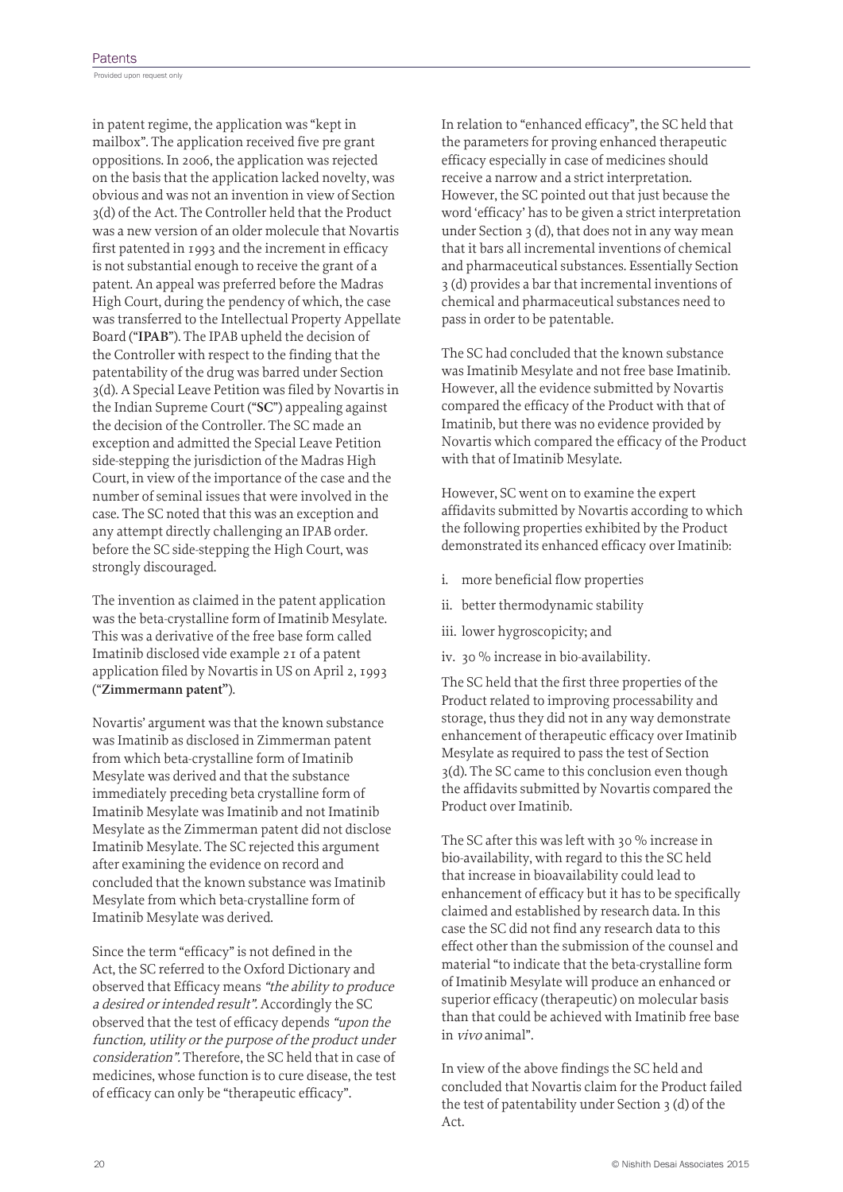Provided upon request only

in patent regime, the application was "kept in mailbox". The application received five pre grant oppositions. In 2006, the application was rejected on the basis that the application lacked novelty, was obvious and was not an invention in view of Section 3(d) of the Act. The Controller held that the Product was a new version of an older molecule that Novartis first patented in 1993 and the increment in efficacy is not substantial enough to receive the grant of a patent. An appeal was preferred before the Madras High Court, during the pendency of which, the case was transferred to the Intellectual Property Appellate Board ("**IPAB**"). The IPAB upheld the decision of the Controller with respect to the finding that the patentability of the drug was barred under Section 3(d). A Special Leave Petition was filed by Novartis in the Indian Supreme Court ("**SC**") appealing against the decision of the Controller. The SC made an exception and admitted the Special Leave Petition side-stepping the jurisdiction of the Madras High Court, in view of the importance of the case and the number of seminal issues that were involved in the case. The SC noted that this was an exception and any attempt directly challenging an IPAB order. before the SC side-stepping the High Court, was strongly discouraged.

The invention as claimed in the patent application was the beta-crystalline form of Imatinib Mesylate. This was a derivative of the free base form called Imatinib disclosed vide example 21 of a patent application filed by Novartis in US on April 2, 1993 ("**Zimmermann patent"**).

Novartis' argument was that the known substance was Imatinib as disclosed in Zimmerman patent from which beta-crystalline form of Imatinib Mesylate was derived and that the substance immediately preceding beta crystalline form of Imatinib Mesylate was Imatinib and not Imatinib Mesylate as the Zimmerman patent did not disclose Imatinib Mesylate. The SC rejected this argument after examining the evidence on record and concluded that the known substance was Imatinib Mesylate from which beta-crystalline form of Imatinib Mesylate was derived.

Since the term "efficacy" is not defined in the Act, the SC referred to the Oxford Dictionary and observed that Efficacy means "the ability to produce a desired or intended result". Accordingly the SC observed that the test of efficacy depends "upon the function, utility or the purpose of the product under consideration". Therefore, the SC held that in case of medicines, whose function is to cure disease, the test of efficacy can only be "therapeutic efficacy".

In relation to "enhanced efficacy", the SC held that the parameters for proving enhanced therapeutic efficacy especially in case of medicines should receive a narrow and a strict interpretation. However, the SC pointed out that just because the word 'efficacy' has to be given a strict interpretation under Section 3 (d), that does not in any way mean that it bars all incremental inventions of chemical and pharmaceutical substances. Essentially Section 3 (d) provides a bar that incremental inventions of chemical and pharmaceutical substances need to pass in order to be patentable.

The SC had concluded that the known substance was Imatinib Mesylate and not free base Imatinib. However, all the evidence submitted by Novartis compared the efficacy of the Product with that of Imatinib, but there was no evidence provided by Novartis which compared the efficacy of the Product with that of Imatinib Mesylate.

However, SC went on to examine the expert affidavits submitted by Novartis according to which the following properties exhibited by the Product demonstrated its enhanced efficacy over Imatinib:

- i. more beneficial flow properties
- ii. better thermodynamic stability
- iii. lower hygroscopicity; and
- iv. 30 % increase in bio-availability.

The SC held that the first three properties of the Product related to improving processability and storage, thus they did not in any way demonstrate enhancement of therapeutic efficacy over Imatinib Mesylate as required to pass the test of Section 3(d). The SC came to this conclusion even though the affidavits submitted by Novartis compared the Product over Imatinib.

The SC after this was left with 30 % increase in bio-availability, with regard to this the SC held that increase in bioavailability could lead to enhancement of efficacy but it has to be specifically claimed and established by research data. In this case the SC did not find any research data to this effect other than the submission of the counsel and material "to indicate that the beta-crystalline form of Imatinib Mesylate will produce an enhanced or superior efficacy (therapeutic) on molecular basis than that could be achieved with Imatinib free base in vivo animal".

In view of the above findings the SC held and concluded that Novartis claim for the Product failed the test of patentability under Section 3 (d) of the Act.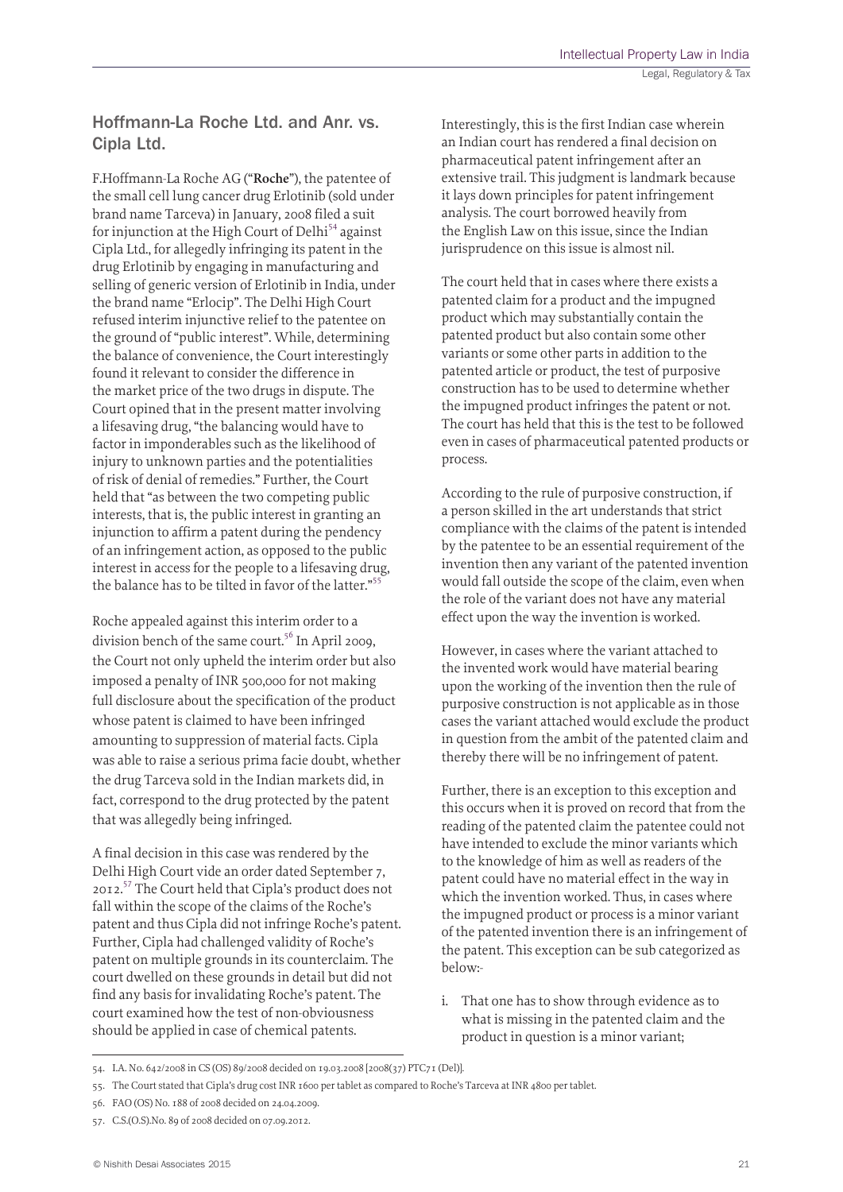#### Hoffmann-La Roche Ltd. and Anr. vs. Cipla Ltd.

F.Hoffmann-La Roche AG ("**Roche**"), the patentee of the small cell lung cancer drug Erlotinib (sold under brand name Tarceva) in January, 2008 filed a suit for injunction at the High Court of Delhi<sup>54</sup> against Cipla Ltd., for allegedly infringing its patent in the drug Erlotinib by engaging in manufacturing and selling of generic version of Erlotinib in India, under the brand name "Erlocip". The Delhi High Court refused interim injunctive relief to the patentee on the ground of "public interest". While, determining the balance of convenience, the Court interestingly found it relevant to consider the difference in the market price of the two drugs in dispute. The Court opined that in the present matter involving a lifesaving drug, "the balancing would have to factor in imponderables such as the likelihood of injury to unknown parties and the potentialities of risk of denial of remedies." Further, the Court held that "as between the two competing public interests, that is, the public interest in granting an injunction to affirm a patent during the pendency of an infringement action, as opposed to the public interest in access for the people to a lifesaving drug, the balance has to be tilted in favor of the latter."<sup>55</sup>

Roche appealed against this interim order to a division bench of the same court.<sup>56</sup> In April 2009, the Court not only upheld the interim order but also imposed a penalty of INR 500,000 for not making full disclosure about the specification of the product whose patent is claimed to have been infringed amounting to suppression of material facts. Cipla was able to raise a serious prima facie doubt, whether the drug Tarceva sold in the Indian markets did, in fact, correspond to the drug protected by the patent that was allegedly being infringed.

A final decision in this case was rendered by the Delhi High Court vide an order dated September 7, 2012.57 The Court held that Cipla's product does not fall within the scope of the claims of the Roche's patent and thus Cipla did not infringe Roche's patent. Further, Cipla had challenged validity of Roche's patent on multiple grounds in its counterclaim. The court dwelled on these grounds in detail but did not find any basis for invalidating Roche's patent. The court examined how the test of non-obviousness should be applied in case of chemical patents.

Interestingly, this is the first Indian case wherein an Indian court has rendered a final decision on pharmaceutical patent infringement after an extensive trail. This judgment is landmark because it lays down principles for patent infringement analysis. The court borrowed heavily from the English Law on this issue, since the Indian jurisprudence on this issue is almost nil.

The court held that in cases where there exists a patented claim for a product and the impugned product which may substantially contain the patented product but also contain some other variants or some other parts in addition to the patented article or product, the test of purposive construction has to be used to determine whether the impugned product infringes the patent or not. The court has held that this is the test to be followed even in cases of pharmaceutical patented products or process.

According to the rule of purposive construction, if a person skilled in the art understands that strict compliance with the claims of the patent is intended by the patentee to be an essential requirement of the invention then any variant of the patented invention would fall outside the scope of the claim, even when the role of the variant does not have any material effect upon the way the invention is worked.

However, in cases where the variant attached to the invented work would have material bearing upon the working of the invention then the rule of purposive construction is not applicable as in those cases the variant attached would exclude the product in question from the ambit of the patented claim and thereby there will be no infringement of patent.

Further, there is an exception to this exception and this occurs when it is proved on record that from the reading of the patented claim the patentee could not have intended to exclude the minor variants which to the knowledge of him as well as readers of the patent could have no material effect in the way in which the invention worked. Thus, in cases where the impugned product or process is a minor variant of the patented invention there is an infringement of the patent. This exception can be sub categorized as below:-

i. That one has to show through evidence as to what is missing in the patented claim and the product in question is a minor variant;

<sup>54.</sup> I.A. No. 642/2008 in CS (OS) 89/2008 decided on 19.03.2008 [2008(37) PTC71 (Del)].

<sup>55.</sup> The Court stated that Cipla's drug cost INR 1600 per tablet as compared to Roche's Tarceva at INR 4800 per tablet.

<sup>56.</sup> FAO (OS) No. 188 of 2008 decided on 24.04.2009.

<sup>57.</sup> C.S.(O.S).No. 89 of 2008 decided on 07.09.2012.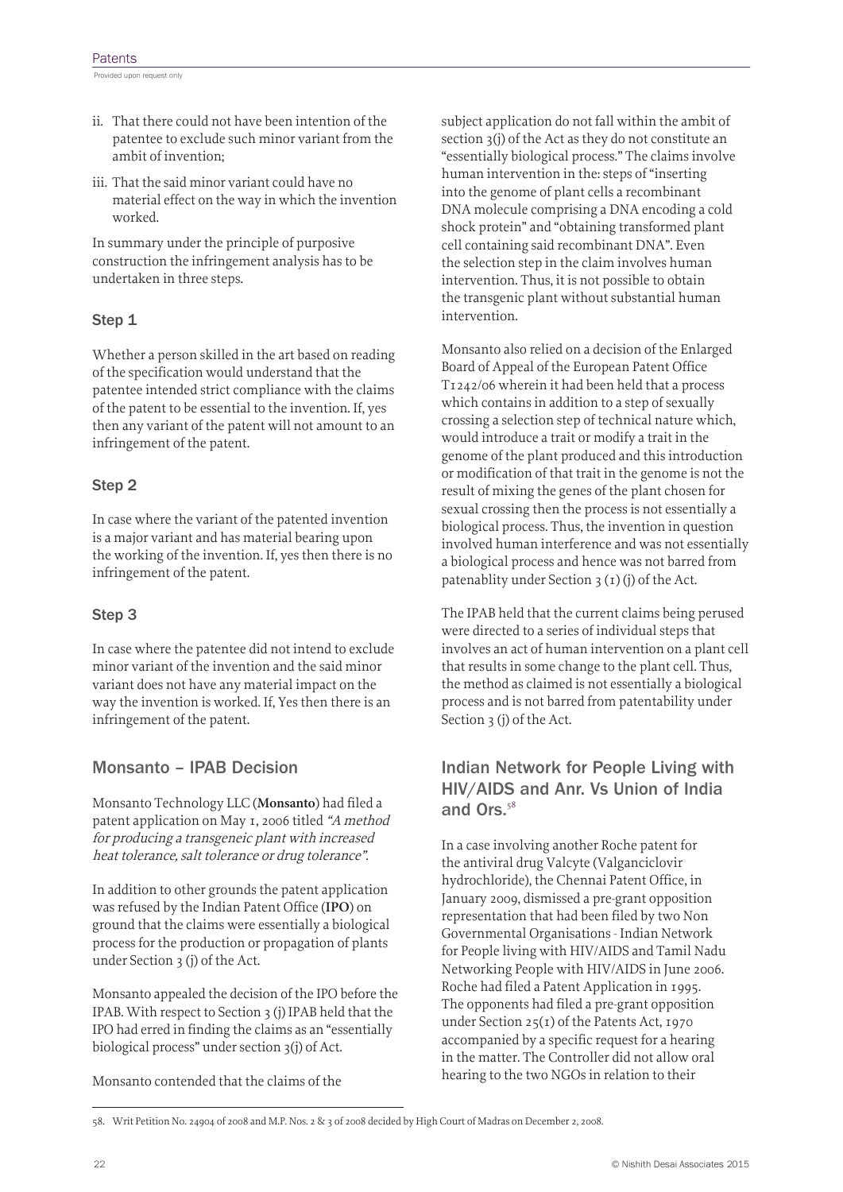Provided upon request only

- ii. That there could not have been intention of the patentee to exclude such minor variant from the ambit of invention;
- iii. That the said minor variant could have no material effect on the way in which the invention worked.

In summary under the principle of purposive construction the infringement analysis has to be undertaken in three steps.

#### Step 1

Whether a person skilled in the art based on reading of the specification would understand that the patentee intended strict compliance with the claims of the patent to be essential to the invention. If, yes then any variant of the patent will not amount to an infringement of the patent.

#### Step 2

In case where the variant of the patented invention is a major variant and has material bearing upon the working of the invention. If, yes then there is no infringement of the patent.

#### Step 3

In case where the patentee did not intend to exclude minor variant of the invention and the said minor variant does not have any material impact on the way the invention is worked. If, Yes then there is an infringement of the patent.

#### Monsanto – IPAB Decision

Monsanto Technology LLC (**Monsanto**) had filed a patent application on May 1, 2006 titled "A method for producing a transgeneic plant with increased heat tolerance, salt tolerance or drug tolerance".

In addition to other grounds the patent application was refused by the Indian Patent Office (**IPO**) on ground that the claims were essentially a biological process for the production or propagation of plants under Section 3 (j) of the Act.

Monsanto appealed the decision of the IPO before the IPAB. With respect to Section 3 (j) IPAB held that the IPO had erred in finding the claims as an "essentially biological process" under section 3(j) of Act.

Monsanto contended that the claims of the

subject application do not fall within the ambit of section 3(j) of the Act as they do not constitute an "essentially biological process." The claims involve human intervention in the: steps of "inserting into the genome of plant cells a recombinant DNA molecule comprising a DNA encoding a cold shock protein" and "obtaining transformed plant cell containing said recombinant DNA". Even the selection step in the claim involves human intervention. Thus, it is not possible to obtain the transgenic plant without substantial human intervention.

Monsanto also relied on a decision of the Enlarged Board of Appeal of the European Patent Office T1242/06 wherein it had been held that a process which contains in addition to a step of sexually crossing a selection step of technical nature which, would introduce a trait or modify a trait in the genome of the plant produced and this introduction or modification of that trait in the genome is not the result of mixing the genes of the plant chosen for sexual crossing then the process is not essentially a biological process. Thus, the invention in question involved human interference and was not essentially a biological process and hence was not barred from patenablity under Section 3 (1) (j) of the Act.

The IPAB held that the current claims being perused were directed to a series of individual steps that involves an act of human intervention on a plant cell that results in some change to the plant cell. Thus, the method as claimed is not essentially a biological process and is not barred from patentability under Section 3 (j) of the Act.

#### Indian Network for People Living with HIV/AIDS and Anr. Vs Union of India and Ors.<sup>58</sup>

In a case involving another Roche patent for the antiviral drug Valcyte (Valganciclovir hydrochloride), the Chennai Patent Office, in January 2009, dismissed a pre-grant opposition representation that had been filed by two Non Governmental Organisations - Indian Network for People living with HIV/AIDS and Tamil Nadu Networking People with HIV/AIDS in June 2006. Roche had filed a Patent Application in 1995. The opponents had filed a pre-grant opposition under Section 25(1) of the Patents Act, 1970 accompanied by a specific request for a hearing in the matter. The Controller did not allow oral hearing to the two NGOs in relation to their

<sup>58.</sup> Writ Petition No. 24904 of 2008 and M.P. Nos. 2 & 3 of 2008 decided by High Court of Madras on December 2, 2008.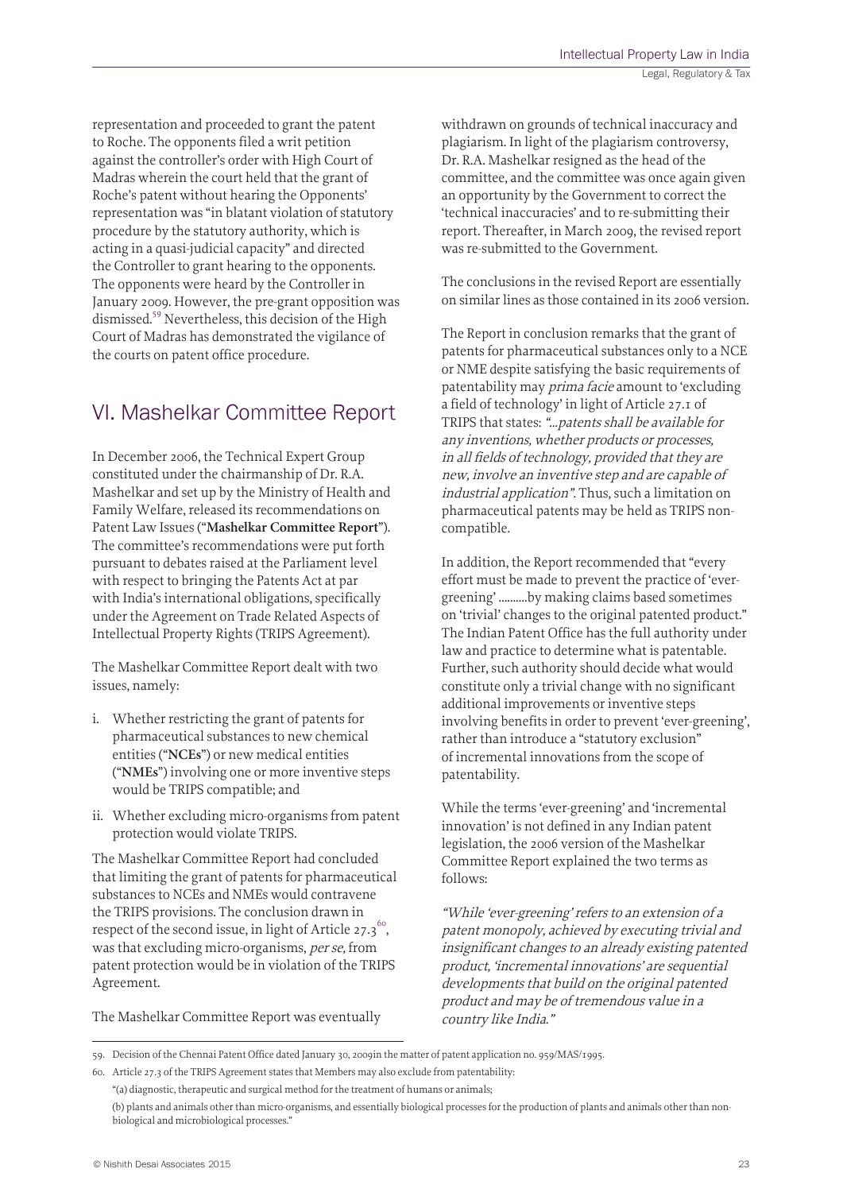representation and proceeded to grant the patent to Roche. The opponents filed a writ petition against the controller's order with High Court of Madras wherein the court held that the grant of Roche's patent without hearing the Opponents' representation was "in blatant violation of statutory procedure by the statutory authority, which is acting in a quasi-judicial capacity" and directed the Controller to grant hearing to the opponents. The opponents were heard by the Controller in January 2009. However, the pre-grant opposition was dismissed.59 Nevertheless, this decision of the High Court of Madras has demonstrated the vigilance of the courts on patent office procedure.

### VI. Mashelkar Committee Report

In December 2006, the Technical Expert Group constituted under the chairmanship of Dr. R.A. Mashelkar and set up by the Ministry of Health and Family Welfare, released its recommendations on Patent Law Issues ("**Mashelkar Committee Report**"). The committee's recommendations were put forth pursuant to debates raised at the Parliament level with respect to bringing the Patents Act at par with India's international obligations, specifically under the Agreement on Trade Related Aspects of Intellectual Property Rights (TRIPS Agreement).

The Mashelkar Committee Report dealt with two issues, namely:

- i. Whether restricting the grant of patents for pharmaceutical substances to new chemical entities ("**NCEs**") or new medical entities ("**NMEs**") involving one or more inventive steps would be TRIPS compatible; and
- ii. Whether excluding micro-organisms from patent protection would violate TRIPS.

The Mashelkar Committee Report had concluded that limiting the grant of patents for pharmaceutical substances to NCEs and NMEs would contravene the TRIPS provisions. The conclusion drawn in respect of the second issue, in light of Article 27.3<sup>60</sup>, was that excluding micro-organisms, per se, from patent protection would be in violation of the TRIPS Agreement.

The Mashelkar Committee Report was eventually

withdrawn on grounds of technical inaccuracy and plagiarism. In light of the plagiarism controversy, Dr. R.A. Mashelkar resigned as the head of the committee, and the committee was once again given an opportunity by the Government to correct the 'technical inaccuracies' and to re-submitting their report. Thereafter, in March 2009, the revised report was re-submitted to the Government.

The conclusions in the revised Report are essentially on similar lines as those contained in its 2006 version.

The Report in conclusion remarks that the grant of patents for pharmaceutical substances only to a NCE or NME despite satisfying the basic requirements of patentability may prima facie amount to 'excluding a field of technology' in light of Article 27.1 of TRIPS that states: "…patents shall be available for any inventions, whether products or processes, in all fields of technology, provided that they are new, involve an inventive step and are capable of industrial application". Thus, such a limitation on pharmaceutical patents may be held as TRIPS noncompatible.

In addition, the Report recommended that "every effort must be made to prevent the practice of 'evergreening' ……….by making claims based sometimes on 'trivial' changes to the original patented product." The Indian Patent Office has the full authority under law and practice to determine what is patentable. Further, such authority should decide what would constitute only a trivial change with no significant additional improvements or inventive steps involving benefits in order to prevent 'ever-greening', rather than introduce a "statutory exclusion" of incremental innovations from the scope of patentability.

While the terms 'ever-greening' and 'incremental innovation' is not defined in any Indian patent legislation, the 2006 version of the Mashelkar Committee Report explained the two terms as follows:

"While 'ever-greening' refers to an extension of a patent monopoly, achieved by executing trivial and insignificant changes to an already existing patented product, 'incremental innovations' are sequential developments that build on the original patented product and may be of tremendous value in a country like India."

<sup>59.</sup> Decision of the Chennai Patent Office dated January 30, 2009in the matter of patent application no. 959/MAS/1995.

<sup>60.</sup> Article 27.3 of the TRIPS Agreement states that Members may also exclude from patentability:

<sup>&</sup>quot;(a) diagnostic, therapeutic and surgical method for the treatment of humans or animals;

<sup>(</sup>b) plants and animals other than micro-organisms, and essentially biological processes for the production of plants and animals other than nonbiological and microbiological processes."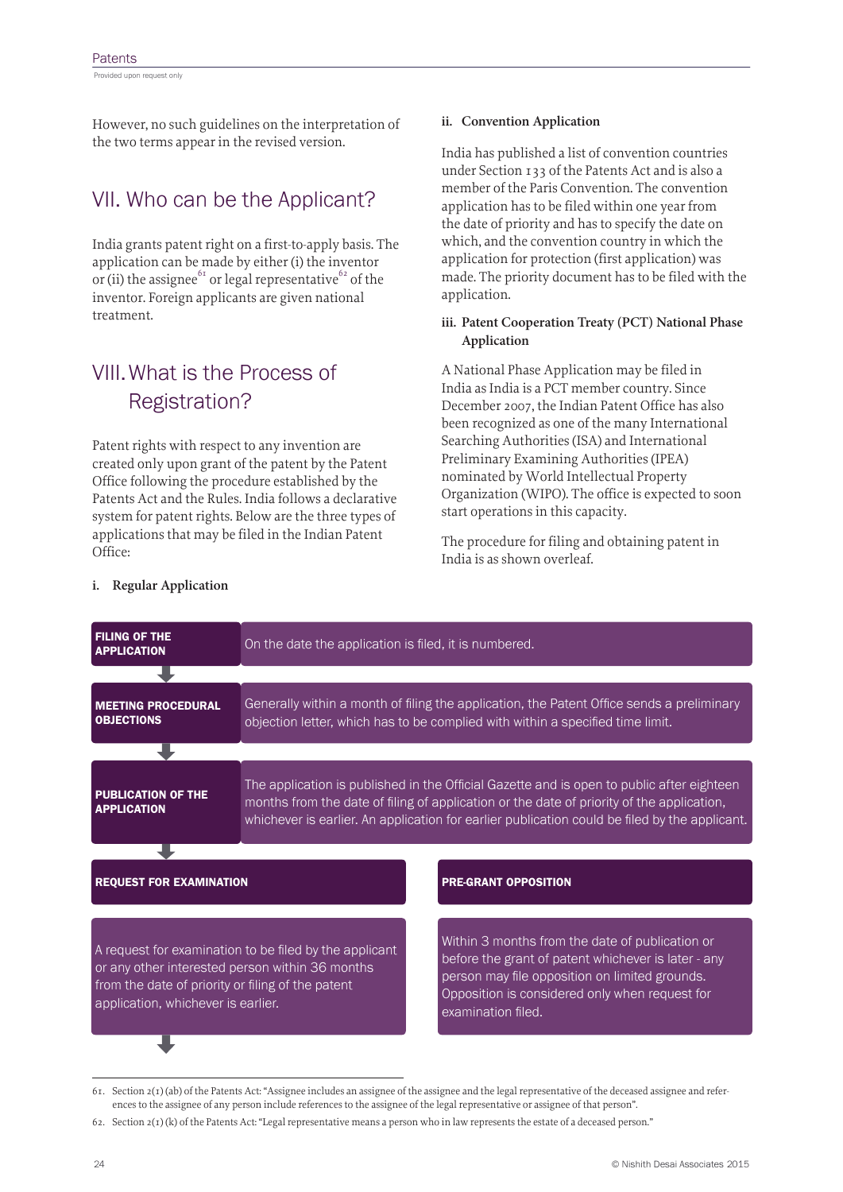Provided upon request only

However, no such guidelines on the interpretation of the two terms appear in the revised version.

## VII. Who can be the Applicant?

India grants patent right on a first-to-apply basis. The application can be made by either (i) the inventor or (ii) the assignee<sup>61</sup> or legal representative<sup>62</sup> of the inventor. Foreign applicants are given national treatment.

## VIII.What is the Process of Registration?

Patent rights with respect to any invention are created only upon grant of the patent by the Patent Office following the procedure established by the Patents Act and the Rules. India follows a declarative system for patent rights. Below are the three types of applications that may be filed in the Indian Patent Office:

#### **ii. Convention Application**

India has published a list of convention countries under Section 133 of the Patents Act and is also a member of the Paris Convention. The convention application has to be filed within one year from the date of priority and has to specify the date on which, and the convention country in which the application for protection (first application) was made. The priority document has to be filed with the application.

#### **iii. Patent Cooperation Treaty (PCT) National Phase Application**

A National Phase Application may be filed in India as India is a PCT member country. Since December 2007, the Indian Patent Office has also been recognized as one of the many International Searching Authorities (ISA) and International Preliminary Examining Authorities (IPEA) nominated by World Intellectual Property Organization (WIPO). The office is expected to soon start operations in this capacity.

The procedure for filing and obtaining patent in India is as shown overleaf.

| <b>FILING OF THE</b><br><b>APPLICATION</b>                                                                                                 | On the date the application is filed, it is numbered.                                                                                                                                                                                                                                   |                                                                                                                                                                                                                                  |  |  |  |
|--------------------------------------------------------------------------------------------------------------------------------------------|-----------------------------------------------------------------------------------------------------------------------------------------------------------------------------------------------------------------------------------------------------------------------------------------|----------------------------------------------------------------------------------------------------------------------------------------------------------------------------------------------------------------------------------|--|--|--|
|                                                                                                                                            |                                                                                                                                                                                                                                                                                         |                                                                                                                                                                                                                                  |  |  |  |
| <b>MEETING PROCEDURAL</b><br><b>OBJECTIONS</b>                                                                                             | Generally within a month of filing the application, the Patent Office sends a preliminary<br>objection letter, which has to be complied with within a specified time limit.                                                                                                             |                                                                                                                                                                                                                                  |  |  |  |
|                                                                                                                                            |                                                                                                                                                                                                                                                                                         |                                                                                                                                                                                                                                  |  |  |  |
| <b>PUBLICATION OF THE</b><br><b>APPLICATION</b>                                                                                            | The application is published in the Official Gazette and is open to public after eighteen<br>months from the date of filing of application or the date of priority of the application,<br>whichever is earlier. An application for earlier publication could be filed by the applicant. |                                                                                                                                                                                                                                  |  |  |  |
|                                                                                                                                            |                                                                                                                                                                                                                                                                                         |                                                                                                                                                                                                                                  |  |  |  |
| <b>REQUEST FOR EXAMINATION</b>                                                                                                             |                                                                                                                                                                                                                                                                                         | <b>PRE-GRANT OPPOSITION</b>                                                                                                                                                                                                      |  |  |  |
|                                                                                                                                            |                                                                                                                                                                                                                                                                                         |                                                                                                                                                                                                                                  |  |  |  |
| or any other interested person within 36 months<br>from the date of priority or filing of the patent<br>application, whichever is earlier. | A request for examination to be filed by the applicant                                                                                                                                                                                                                                  | Within 3 months from the date of publication or<br>before the grant of patent whichever is later - any<br>person may file opposition on limited grounds.<br>Opposition is considered only when request for<br>examination filed. |  |  |  |

#### **i. Regular Application**

<sup>61.</sup> Section 2(1) (ab) of the Patents Act: "Assignee includes an assignee of the assignee and the legal representative of the deceased assignee and references to the assignee of any person include references to the assignee of the legal representative or assignee of that person".

<sup>62.</sup> Section 2(1) (k) of the Patents Act: "Legal representative means a person who in law represents the estate of a deceased person."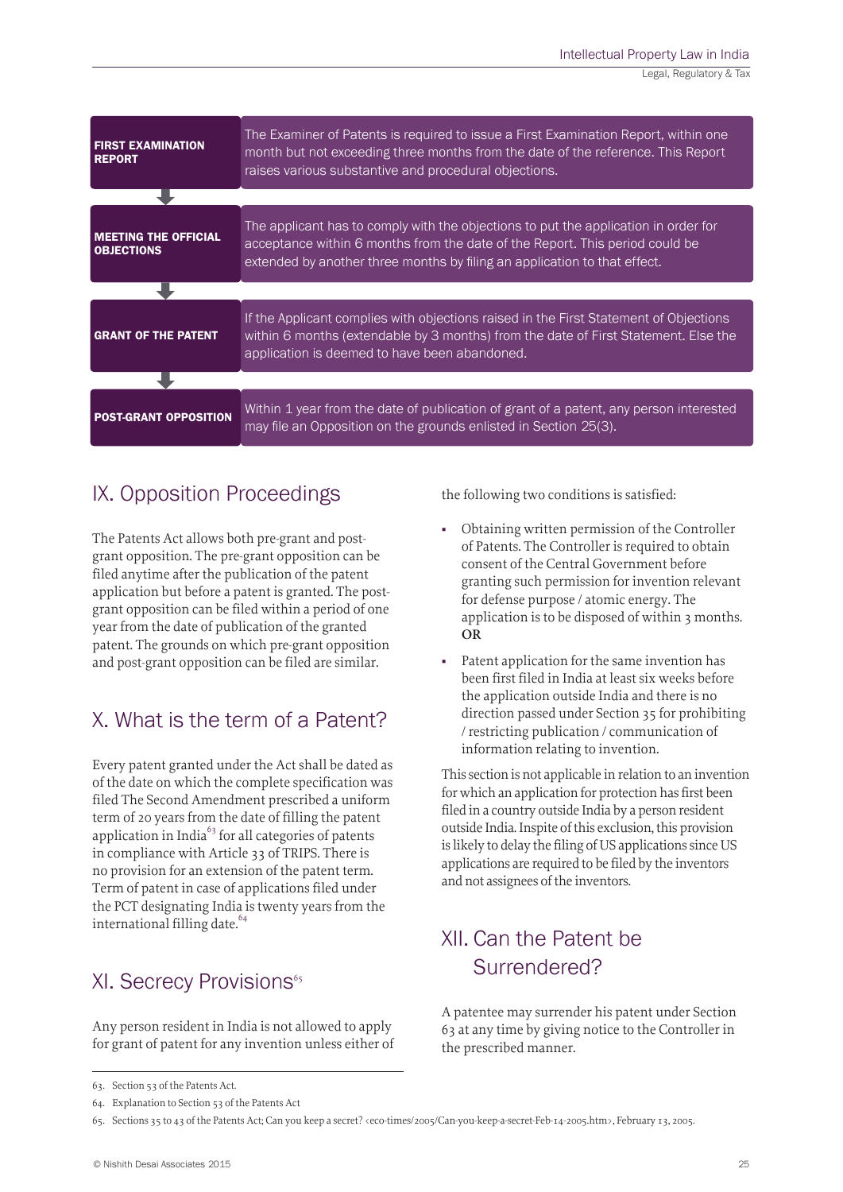| <b>FIRST EXAMINATION</b><br><b>REPORT</b>        | The Examiner of Patents is required to issue a First Examination Report, within one<br>month but not exceeding three months from the date of the reference. This Report<br>raises various substantive and procedural objections.                 |  |  |  |
|--------------------------------------------------|--------------------------------------------------------------------------------------------------------------------------------------------------------------------------------------------------------------------------------------------------|--|--|--|
|                                                  |                                                                                                                                                                                                                                                  |  |  |  |
| <b>MEETING THE OFFICIAL</b><br><b>OBJECTIONS</b> | The applicant has to comply with the objections to put the application in order for<br>acceptance within 6 months from the date of the Report. This period could be<br>extended by another three months by filing an application to that effect. |  |  |  |
|                                                  |                                                                                                                                                                                                                                                  |  |  |  |
| <b>GRANT OF THE PATENT</b>                       | If the Applicant complies with objections raised in the First Statement of Objections<br>within 6 months (extendable by 3 months) from the date of First Statement. Else the<br>application is deemed to have been abandoned.                    |  |  |  |
|                                                  |                                                                                                                                                                                                                                                  |  |  |  |
| <b>POST-GRANT OPPOSITION</b>                     | Within 1 year from the date of publication of grant of a patent, any person interested<br>may file an Opposition on the grounds enlisted in Section 25(3).                                                                                       |  |  |  |

# IX. Opposition Proceedings

The Patents Act allows both pre-grant and postgrant opposition. The pre-grant opposition can be filed anytime after the publication of the patent application but before a patent is granted. The postgrant opposition can be filed within a period of one year from the date of publication of the granted patent. The grounds on which pre-grant opposition and post-grant opposition can be filed are similar.

### X. What is the term of a Patent?

Every patent granted under the Act shall be dated as of the date on which the complete specification was filed The Second Amendment prescribed a uniform term of 20 years from the date of filling the patent application in India $^{63}$  for all categories of patents in compliance with Article 33 of TRIPS. There is no provision for an extension of the patent term. Term of patent in case of applications filed under the PCT designating India is twenty years from the international filling date.<sup>64</sup>

### XI. Secrecy Provisions<sup>65</sup>

Any person resident in India is not allowed to apply for grant of patent for any invention unless either of the following two conditions is satisfied:

- Obtaining written permission of the Controller of Patents. The Controller is required to obtain consent of the Central Government before granting such permission for invention relevant for defense purpose / atomic energy. The application is to be disposed of within 3 months. **OR**
- Patent application for the same invention has been first filed in India at least six weeks before the application outside India and there is no direction passed under Section 35 for prohibiting / restricting publication / communication of information relating to invention.

This section is not applicable in relation to an invention for which an application for protection has first been filed in a country outside India by a person resident outside India. Inspite of this exclusion, this provision is likely to delay the filing of US applications since US applications are required to be filed by the inventors and not assignees of the inventors.

## XII. Can the Patent be Surrendered?

A patentee may surrender his patent under Section 63 at any time by giving notice to the Controller in the prescribed manner.

<sup>63.</sup> Section 53 of the Patents Act.

<sup>64.</sup> Explanation to Section 53 of the Patents Act

<sup>65.</sup> Sections 35 to 43 of the Patents Act; Can you keep a secret? <eco-times/2005/Can-you-keep-a-secret-Feb-14-2005.htm>, February 13, 2005.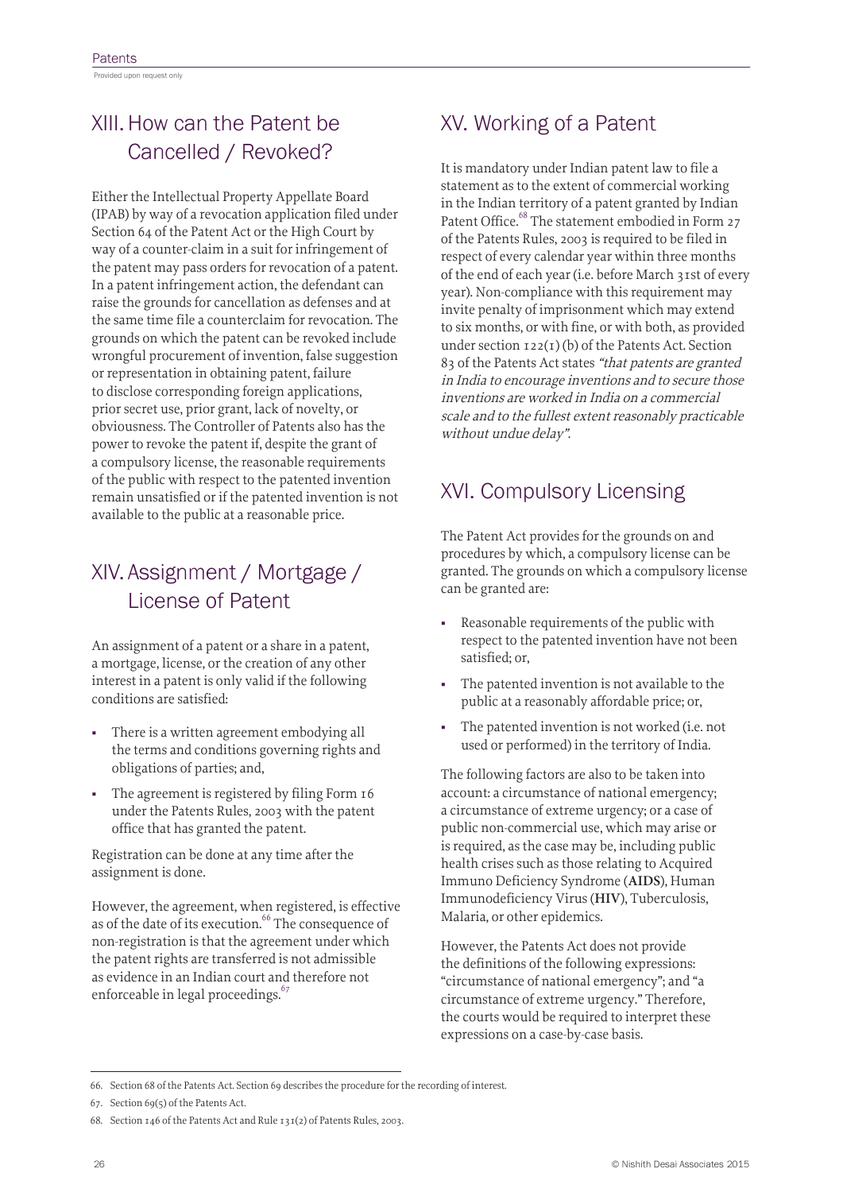Provided upon request only

# XIII.How can the Patent be Cancelled / Revoked?

Either the Intellectual Property Appellate Board (IPAB) by way of a revocation application filed under Section 64 of the Patent Act or the High Court by way of a counter-claim in a suit for infringement of the patent may pass orders for revocation of a patent. In a patent infringement action, the defendant can raise the grounds for cancellation as defenses and at the same time file a counterclaim for revocation. The grounds on which the patent can be revoked include wrongful procurement of invention, false suggestion or representation in obtaining patent, failure to disclose corresponding foreign applications, prior secret use, prior grant, lack of novelty, or obviousness. The Controller of Patents also has the power to revoke the patent if, despite the grant of a compulsory license, the reasonable requirements of the public with respect to the patented invention remain unsatisfied or if the patented invention is not available to the public at a reasonable price.

## XIV. Assignment / Mortgage / License of Patent

An assignment of a patent or a share in a patent, a mortgage, license, or the creation of any other interest in a patent is only valid if the following conditions are satisfied:

- There is a written agreement embodying all the terms and conditions governing rights and obligations of parties; and,
- The agreement is registered by filing Form 16 under the Patents Rules, 2003 with the patent office that has granted the patent.

Registration can be done at any time after the assignment is done.

However, the agreement, when registered, is effective as of the date of its execution.<sup>66</sup> The consequence of non-registration is that the agreement under which the patent rights are transferred is not admissible as evidence in an Indian court and therefore not enforceable in legal proceedings.<sup>67</sup>

### XV. Working of a Patent

It is mandatory under Indian patent law to file a statement as to the extent of commercial working in the Indian territory of a patent granted by Indian Patent Office.<sup>68</sup> The statement embodied in Form 27 of the Patents Rules, 2003 is required to be filed in respect of every calendar year within three months of the end of each year (i.e. before March 31st of every year). Non-compliance with this requirement may invite penalty of imprisonment which may extend to six months, or with fine, or with both, as provided under section  $122(1)$  (b) of the Patents Act. Section 83 of the Patents Act states "that patents are granted in India to encourage inventions and to secure those inventions are worked in India on a commercial scale and to the fullest extent reasonably practicable without undue delay".

# XVI. Compulsory Licensing

The Patent Act provides for the grounds on and procedures by which, a compulsory license can be granted. The grounds on which a compulsory license can be granted are:

- Reasonable requirements of the public with respect to the patented invention have not been satisfied; or,
- The patented invention is not available to the public at a reasonably affordable price; or,
- The patented invention is not worked (i.e. not used or performed) in the territory of India.

The following factors are also to be taken into account: a circumstance of national emergency; a circumstance of extreme urgency; or a case of public non-commercial use, which may arise or is required, as the case may be, including public health crises such as those relating to Acquired Immuno Deficiency Syndrome (**AIDS**), Human Immunodeficiency Virus (**HIV**), Tuberculosis, Malaria, or other epidemics.

However, the Patents Act does not provide the definitions of the following expressions: "circumstance of national emergency"; and "a circumstance of extreme urgency." Therefore, the courts would be required to interpret these expressions on a case-by-case basis.

<sup>66.</sup> Section 68 of the Patents Act. Section 69 describes the procedure for the recording of interest.

<sup>67.</sup> Section 69(5) of the Patents Act.

<sup>68.</sup> Section 146 of the Patents Act and Rule 131(2) of Patents Rules, 2003.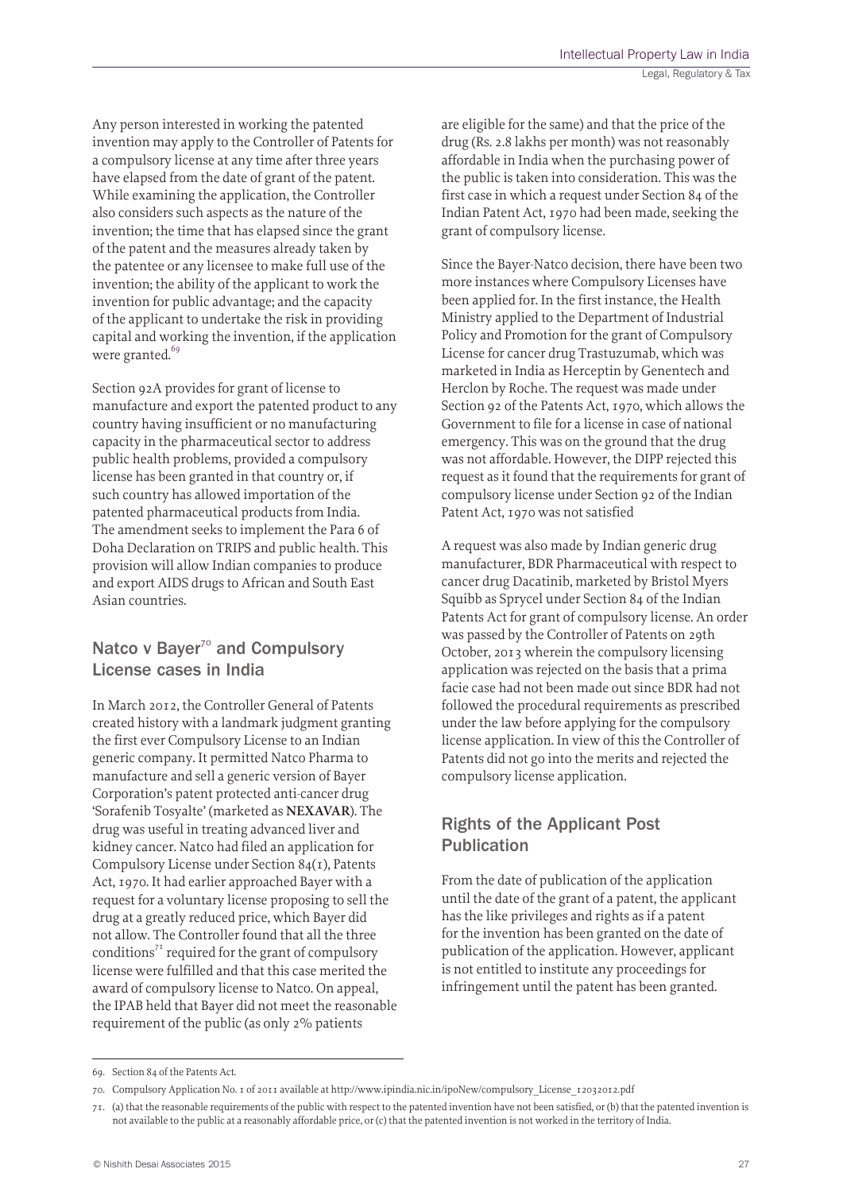Any person interested in working the patented invention may apply to the Controller of Patents for a compulsory license at any time after three years have elapsed from the date of grant of the patent. While examining the application, the Controller also considers such aspects as the nature of the invention; the time that has elapsed since the grant of the patent and the measures already taken by the patentee or any licensee to make full use of the invention; the ability of the applicant to work the invention for public advantage; and the capacity of the applicant to undertake the risk in providing capital and working the invention, if the application were granted.<sup>69</sup>

Section 92A provides for grant of license to manufacture and export the patented product to any country having insufficient or no manufacturing capacity in the pharmaceutical sector to address public health problems, provided a compulsory license has been granted in that country or, if such country has allowed importation of the patented pharmaceutical products from India. The amendment seeks to implement the Para 6 of Doha Declaration on TRIPS and public health. This provision will allow Indian companies to produce and export AIDS drugs to African and South East Asian countries.

#### Natco v Bayer $7^\circ$  and Compulsory License cases in India

In March 2012, the Controller General of Patents created history with a landmark judgment granting the first ever Compulsory License to an Indian generic company. It permitted Natco Pharma to manufacture and sell a generic version of Bayer Corporation's patent protected anti-cancer drug 'Sorafenib Tosyalte' (marketed as **NEXAVAR**). The drug was useful in treating advanced liver and kidney cancer. Natco had filed an application for Compulsory License under Section 84(1), Patents Act, 1970. It had earlier approached Bayer with a request for a voluntary license proposing to sell the drug at a greatly reduced price, which Bayer did not allow. The Controller found that all the three conditions<sup> $71$ </sup> required for the grant of compulsory license were fulfilled and that this case merited the award of compulsory license to Natco. On appeal, the IPAB held that Bayer did not meet the reasonable requirement of the public (as only 2% patients

are eligible for the same) and that the price of the drug (Rs. 2.8 lakhs per month) was not reasonably affordable in India when the purchasing power of the public is taken into consideration. This was the first case in which a request under Section 84 of the Indian Patent Act, 1970 had been made, seeking the grant of compulsory license.

Since the Bayer-Natco decision, there have been two more instances where Compulsory Licenses have been applied for. In the first instance, the Health Ministry applied to the Department of Industrial Policy and Promotion for the grant of Compulsory License for cancer drug Trastuzumab, which was marketed in India as Herceptin by Genentech and Herclon by Roche. The request was made under Section 92 of the Patents Act, 1970, which allows the Government to file for a license in case of national emergency. This was on the ground that the drug was not affordable. However, the DIPP rejected this request as it found that the requirements for grant of compulsory license under Section 92 of the Indian Patent Act, 1970 was not satisfied

A request was also made by Indian generic drug manufacturer, BDR Pharmaceutical with respect to cancer drug Dacatinib, marketed by Bristol Myers Squibb as Sprycel under Section 84 of the Indian Patents Act for grant of compulsory license. An order was passed by the Controller of Patents on 29th October, 2013 wherein the compulsory licensing application was rejected on the basis that a prima facie case had not been made out since BDR had not followed the procedural requirements as prescribed under the law before applying for the compulsory license application. In view of this the Controller of Patents did not go into the merits and rejected the compulsory license application.

#### Rights of the Applicant Post Publication

From the date of publication of the application until the date of the grant of a patent, the applicant has the like privileges and rights as if a patent for the invention has been granted on the date of publication of the application. However, applicant is not entitled to institute any proceedings for infringement until the patent has been granted.

<sup>69.</sup> Section 84 of the Patents Act.

<sup>70.</sup> Compulsory Application No. 1 of 2011 available at http://www.ipindia.nic.in/ipoNew/compulsory\_License\_12032012.pdf

<sup>71.</sup> (a) that the reasonable requirements of the public with respect to the patented invention have not been satisfied, or (b) that the patented invention is not available to the public at a reasonably affordable price, or (c) that the patented invention is not worked in the territory of India.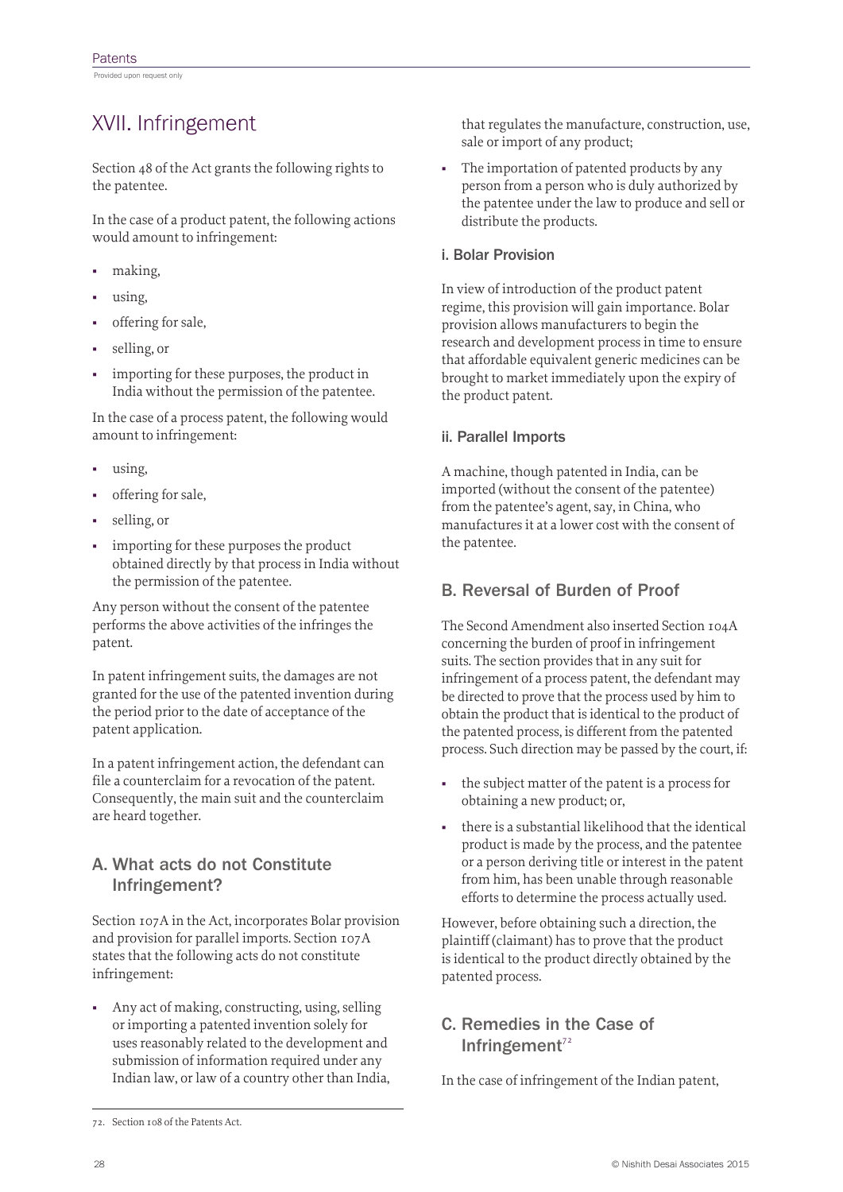### XVII. Infringement

Section 48 of the Act grants the following rights to the patentee.

In the case of a product patent, the following actions would amount to infringement:

- making,
- using,
- offering for sale,
- selling, or
- importing for these purposes, the product in India without the permission of the patentee.

In the case of a process patent, the following would amount to infringement:

- using,
- offering for sale,
- selling, or
- importing for these purposes the product obtained directly by that process in India without the permission of the patentee.

Any person without the consent of the patentee performs the above activities of the infringes the patent.

In patent infringement suits, the damages are not granted for the use of the patented invention during the period prior to the date of acceptance of the patent application.

In a patent infringement action, the defendant can file a counterclaim for a revocation of the patent. Consequently, the main suit and the counterclaim are heard together.

#### A. What acts do not Constitute Infringement?

Section 107A in the Act, incorporates Bolar provision and provision for parallel imports. Section 107A states that the following acts do not constitute infringement:

■ Any act of making, constructing, using, selling or importing a patented invention solely for uses reasonably related to the development and submission of information required under any Indian law, or law of a country other than India, that regulates the manufacture, construction, use, sale or import of any product;

■ The importation of patented products by any person from a person who is duly authorized by the patentee under the law to produce and sell or distribute the products.

#### i. Bolar Provision

In view of introduction of the product patent regime, this provision will gain importance. Bolar provision allows manufacturers to begin the research and development process in time to ensure that affordable equivalent generic medicines can be brought to market immediately upon the expiry of the product patent.

#### ii. Parallel Imports

A machine, though patented in India, can be imported (without the consent of the patentee) from the patentee's agent, say, in China, who manufactures it at a lower cost with the consent of the patentee.

#### B. Reversal of Burden of Proof

The Second Amendment also inserted Section 104A concerning the burden of proof in infringement suits. The section provides that in any suit for infringement of a process patent, the defendant may be directed to prove that the process used by him to obtain the product that is identical to the product of the patented process, is different from the patented process. Such direction may be passed by the court, if:

- the subject matter of the patent is a process for obtaining a new product; or,
- there is a substantial likelihood that the identical product is made by the process, and the patentee or a person deriving title or interest in the patent from him, has been unable through reasonable efforts to determine the process actually used.

However, before obtaining such a direction, the plaintiff (claimant) has to prove that the product is identical to the product directly obtained by the patented process.

#### C. Remedies in the Case of Infringement $72$

In the case of infringement of the Indian patent,

<sup>72.</sup> Section 108 of the Patents Act.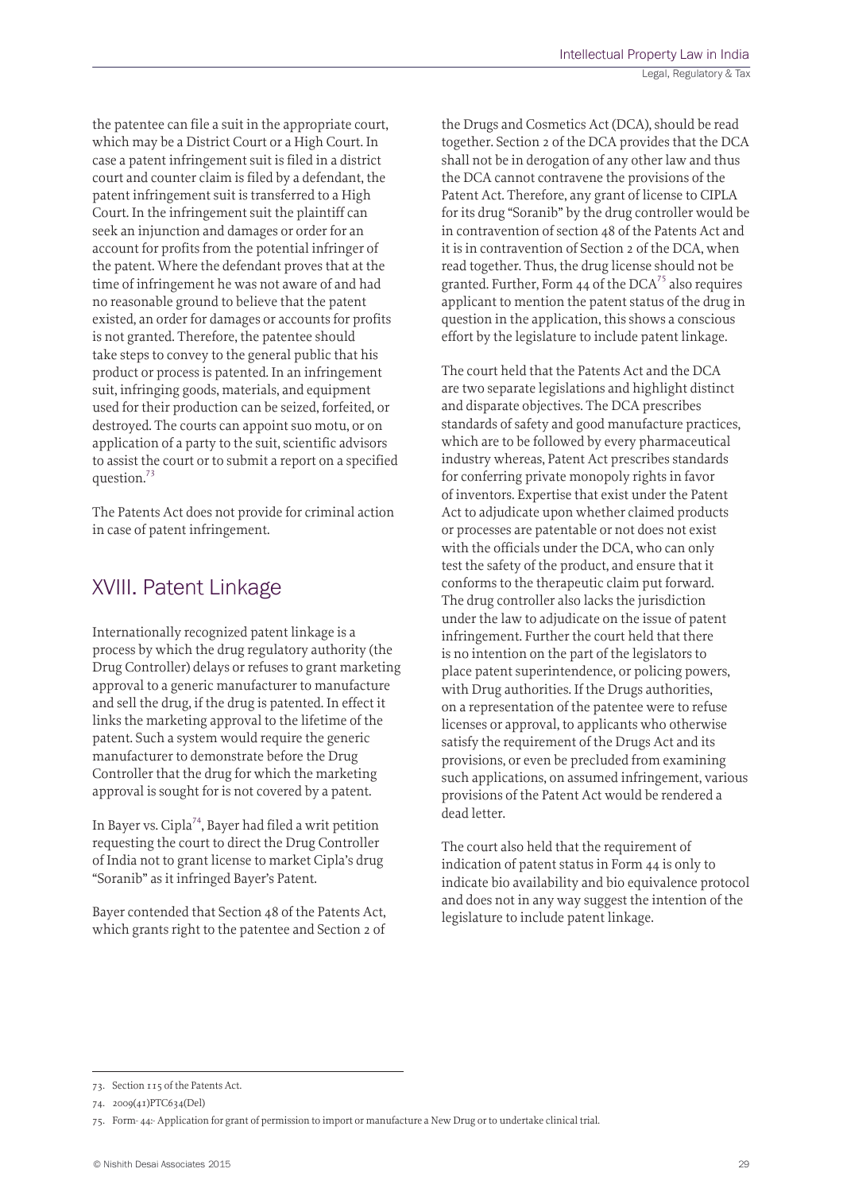the patentee can file a suit in the appropriate court, which may be a District Court or a High Court. In case a patent infringement suit is filed in a district court and counter claim is filed by a defendant, the patent infringement suit is transferred to a High Court. In the infringement suit the plaintiff can seek an injunction and damages or order for an account for profits from the potential infringer of the patent. Where the defendant proves that at the time of infringement he was not aware of and had no reasonable ground to believe that the patent existed, an order for damages or accounts for profits is not granted. Therefore, the patentee should take steps to convey to the general public that his product or process is patented. In an infringement suit, infringing goods, materials, and equipment used for their production can be seized, forfeited, or destroyed. The courts can appoint suo motu, or on application of a party to the suit, scientific advisors to assist the court or to submit a report on a specified question.73

The Patents Act does not provide for criminal action in case of patent infringement.

### XVIII. Patent Linkage

Internationally recognized patent linkage is a process by which the drug regulatory authority (the Drug Controller) delays or refuses to grant marketing approval to a generic manufacturer to manufacture and sell the drug, if the drug is patented. In effect it links the marketing approval to the lifetime of the patent. Such a system would require the generic manufacturer to demonstrate before the Drug Controller that the drug for which the marketing approval is sought for is not covered by a patent.

In Bayer vs. Cipla<sup>74</sup>, Bayer had filed a writ petition requesting the court to direct the Drug Controller of India not to grant license to market Cipla's drug "Soranib" as it infringed Bayer's Patent.

Bayer contended that Section 48 of the Patents Act, which grants right to the patentee and Section 2 of the Drugs and Cosmetics Act (DCA), should be read together. Section 2 of the DCA provides that the DCA shall not be in derogation of any other law and thus the DCA cannot contravene the provisions of the Patent Act. Therefore, any grant of license to CIPLA for its drug "Soranib" by the drug controller would be in contravention of section 48 of the Patents Act and it is in contravention of Section 2 of the DCA, when read together. Thus, the drug license should not be granted. Further, Form 44 of the  $DCA^{75}$  also requires applicant to mention the patent status of the drug in question in the application, this shows a conscious effort by the legislature to include patent linkage.

The court held that the Patents Act and the DCA are two separate legislations and highlight distinct and disparate objectives. The DCA prescribes standards of safety and good manufacture practices, which are to be followed by every pharmaceutical industry whereas, Patent Act prescribes standards for conferring private monopoly rights in favor of inventors. Expertise that exist under the Patent Act to adjudicate upon whether claimed products or processes are patentable or not does not exist with the officials under the DCA, who can only test the safety of the product, and ensure that it conforms to the therapeutic claim put forward. The drug controller also lacks the jurisdiction under the law to adjudicate on the issue of patent infringement. Further the court held that there is no intention on the part of the legislators to place patent superintendence, or policing powers, with Drug authorities. If the Drugs authorities, on a representation of the patentee were to refuse licenses or approval, to applicants who otherwise satisfy the requirement of the Drugs Act and its provisions, or even be precluded from examining such applications, on assumed infringement, various provisions of the Patent Act would be rendered a dead letter.

The court also held that the requirement of indication of patent status in Form 44 is only to indicate bio availability and bio equivalence protocol and does not in any way suggest the intention of the legislature to include patent linkage.

<sup>73.</sup> Section 115 of the Patents Act.

<sup>74.</sup> 2009(41)PTC634(Del)

<sup>75.</sup> Form- 44:- Application for grant of permission to import or manufacture a New Drug or to undertake clinical trial.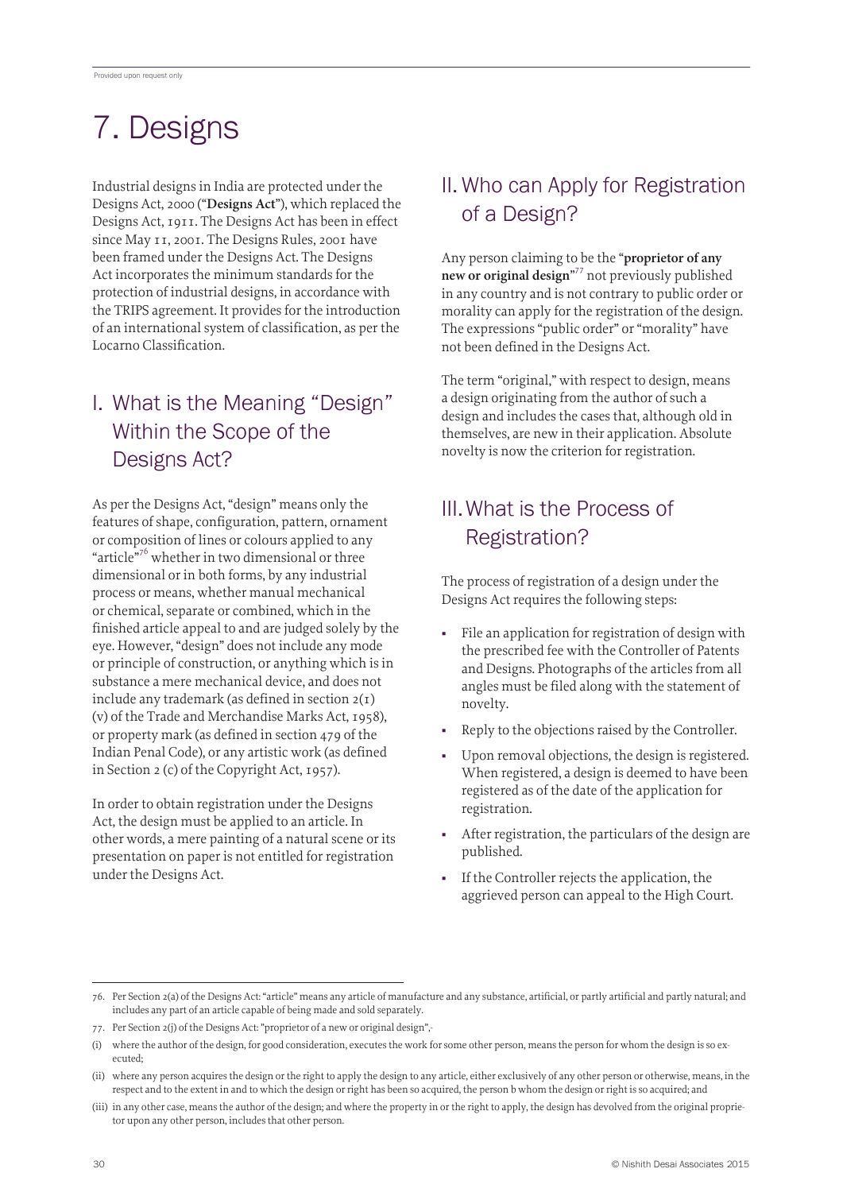# 7. Designs

Industrial designs in India are protected under the Designs Act, 2000 ("**Designs Act**"), which replaced the Designs Act, 1911. The Designs Act has been in effect since May 11, 2001. The Designs Rules, 2001 have been framed under the Designs Act. The Designs Act incorporates the minimum standards for the protection of industrial designs, in accordance with the TRIPS agreement. It provides for the introduction of an international system of classification, as per the Locarno Classification.

# I. What is the Meaning "Design" Within the Scope of the Designs Act?

As per the Designs Act, "design" means only the features of shape, configuration, pattern, ornament or composition of lines or colours applied to any "article"<sup>76</sup> whether in two dimensional or three dimensional or in both forms, by any industrial process or means, whether manual mechanical or chemical, separate or combined, which in the finished article appeal to and are judged solely by the eye. However, "design" does not include any mode or principle of construction, or anything which is in substance a mere mechanical device, and does not include any trademark (as defined in section 2(1) (v) of the Trade and Merchandise Marks Act, 1958), or property mark (as defined in section 479 of the Indian Penal Code), or any artistic work (as defined in Section 2 (c) of the Copyright Act, 1957).

In order to obtain registration under the Designs Act, the design must be applied to an article. In other words, a mere painting of a natural scene or its presentation on paper is not entitled for registration under the Designs Act.

# II. Who can Apply for Registration of a Design?

Any person claiming to be the "**proprietor of any new or original design**" 77 not previously published in any country and is not contrary to public order or morality can apply for the registration of the design. The expressions "public order" or "morality" have not been defined in the Designs Act.

The term "original," with respect to design, means a design originating from the author of such a design and includes the cases that, although old in themselves, are new in their application. Absolute novelty is now the criterion for registration.

# III.What is the Process of Registration?

The process of registration of a design under the Designs Act requires the following steps:

- File an application for registration of design with the prescribed fee with the Controller of Patents and Designs. Photographs of the articles from all angles must be filed along with the statement of novelty.
- Reply to the objections raised by the Controller.
- Upon removal objections, the design is registered. When registered, a design is deemed to have been registered as of the date of the application for registration.
- After registration, the particulars of the design are published.
- If the Controller rejects the application, the aggrieved person can appeal to the High Court.

<sup>76.</sup> Per Section 2(a) of the Designs Act: "article" means any article of manufacture and any substance, artificial, or partly artificial and partly natural; and includes any part of an article capable of being made and sold separately.

<sup>77.</sup> Per Section 2(j) of the Designs Act: "proprietor of a new or original design",-

<sup>(</sup>i) where the author of the design, for good consideration, executes the work for some other person, means the person for whom the design is so executed;

<sup>(</sup>ii) where any person acquires the design or the right to apply the design to any article, either exclusively of any other person or otherwise, means, in the respect and to the extent in and to which the design or right has been so acquired, the person b whom the design or right is so acquired; and

<sup>(</sup>iii) in any other case, means the author of the design; and where the property in or the right to apply, the design has devolved from the original proprietor upon any other person, includes that other person.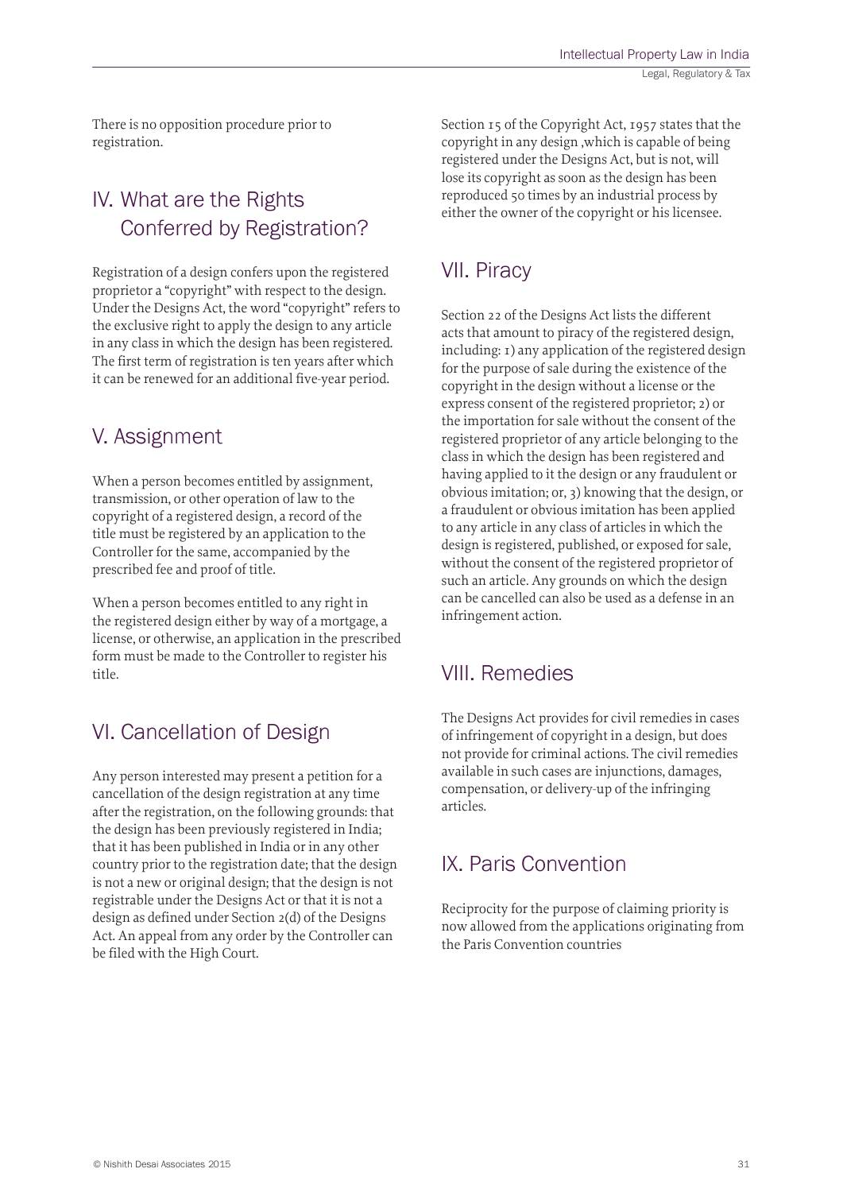There is no opposition procedure prior to registration.

## IV. What are the Rights Conferred by Registration?

Registration of a design confers upon the registered proprietor a "copyright" with respect to the design. Under the Designs Act, the word "copyright" refers to the exclusive right to apply the design to any article in any class in which the design has been registered. The first term of registration is ten years after which it can be renewed for an additional five-year period.

### V. Assignment

When a person becomes entitled by assignment, transmission, or other operation of law to the copyright of a registered design, a record of the title must be registered by an application to the Controller for the same, accompanied by the prescribed fee and proof of title.

When a person becomes entitled to any right in the registered design either by way of a mortgage, a license, or otherwise, an application in the prescribed form must be made to the Controller to register his title.

### VI. Cancellation of Design

Any person interested may present a petition for a cancellation of the design registration at any time after the registration, on the following grounds: that the design has been previously registered in India; that it has been published in India or in any other country prior to the registration date; that the design is not a new or original design; that the design is not registrable under the Designs Act or that it is not a design as defined under Section 2(d) of the Designs Act. An appeal from any order by the Controller can be filed with the High Court.

Section 15 of the Copyright Act, 1957 states that the copyright in any design ,which is capable of being registered under the Designs Act, but is not, will lose its copyright as soon as the design has been reproduced 50 times by an industrial process by either the owner of the copyright or his licensee.

### VII. Piracy

Section 22 of the Designs Act lists the different acts that amount to piracy of the registered design, including: 1) any application of the registered design for the purpose of sale during the existence of the copyright in the design without a license or the express consent of the registered proprietor; 2) or the importation for sale without the consent of the registered proprietor of any article belonging to the class in which the design has been registered and having applied to it the design or any fraudulent or obvious imitation; or, 3) knowing that the design, or a fraudulent or obvious imitation has been applied to any article in any class of articles in which the design is registered, published, or exposed for sale, without the consent of the registered proprietor of such an article. Any grounds on which the design can be cancelled can also be used as a defense in an infringement action.

### VIII. Remedies

The Designs Act provides for civil remedies in cases of infringement of copyright in a design, but does not provide for criminal actions. The civil remedies available in such cases are injunctions, damages, compensation, or delivery-up of the infringing articles.

### IX. Paris Convention

Reciprocity for the purpose of claiming priority is now allowed from the applications originating from the Paris Convention countries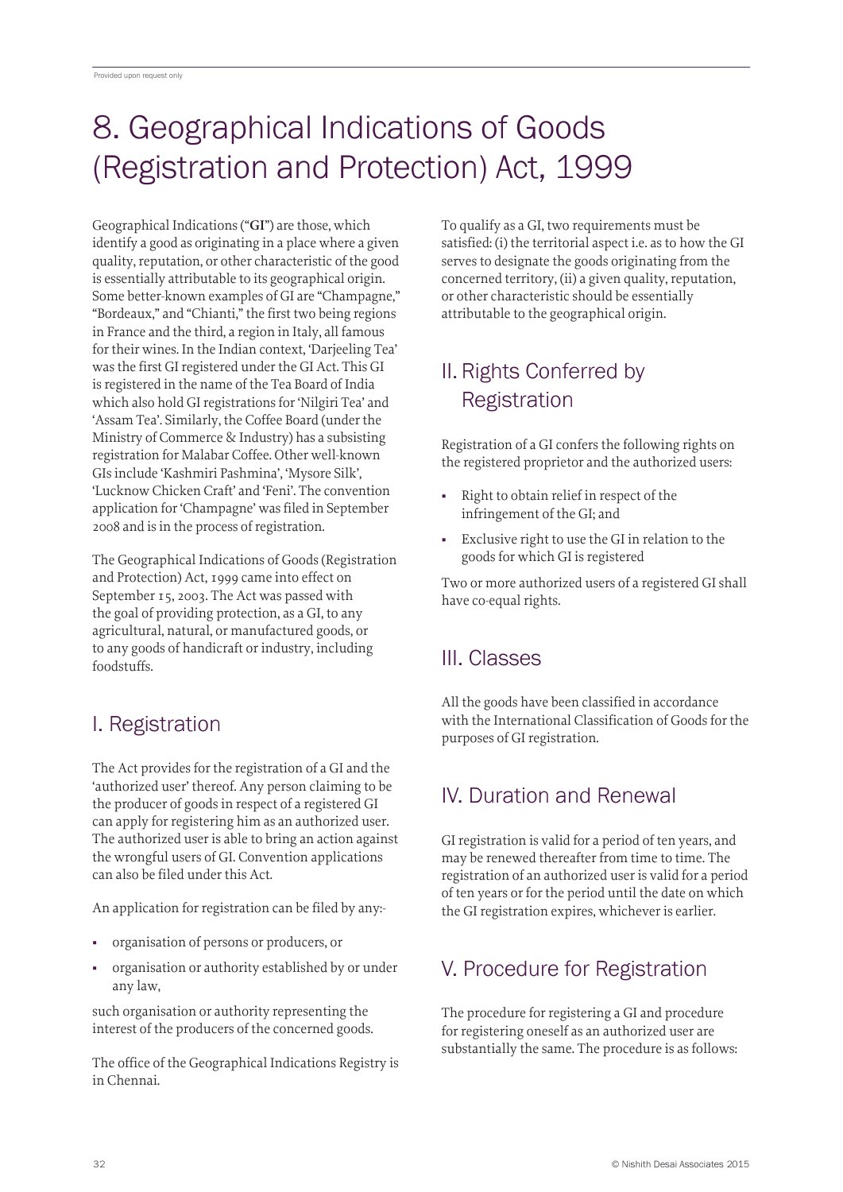# 8. Geographical Indications of Goods (Registration and Protection) Act, 1999

Geographical Indications ("**GI**") are those, which identify a good as originating in a place where a given quality, reputation, or other characteristic of the good is essentially attributable to its geographical origin. Some better-known examples of GI are "Champagne," "Bordeaux," and "Chianti," the first two being regions in France and the third, a region in Italy, all famous for their wines. In the Indian context, 'Darjeeling Tea' was the first GI registered under the GI Act. This GI is registered in the name of the Tea Board of India which also hold GI registrations for 'Nilgiri Tea' and 'Assam Tea'. Similarly, the Coffee Board (under the Ministry of Commerce & Industry) has a subsisting registration for Malabar Coffee. Other well-known GIs include 'Kashmiri Pashmina', 'Mysore Silk', 'Lucknow Chicken Craft' and 'Feni'. The convention application for 'Champagne' was filed in September 2008 and is in the process of registration.

The Geographical Indications of Goods (Registration and Protection) Act, 1999 came into effect on September 15, 2003. The Act was passed with the goal of providing protection, as a GI, to any agricultural, natural, or manufactured goods, or to any goods of handicraft or industry, including foodstuffs.

# I. Registration

The Act provides for the registration of a GI and the 'authorized user' thereof. Any person claiming to be the producer of goods in respect of a registered GI can apply for registering him as an authorized user. The authorized user is able to bring an action against the wrongful users of GI. Convention applications can also be filed under this Act.

An application for registration can be filed by any:-

- organisation of persons or producers, or
- organisation or authority established by or under any law,

such organisation or authority representing the interest of the producers of the concerned goods.

The office of the Geographical Indications Registry is in Chennai.

To qualify as a GI, two requirements must be satisfied: (i) the territorial aspect i.e. as to how the GI serves to designate the goods originating from the concerned territory, (ii) a given quality, reputation, or other characteristic should be essentially attributable to the geographical origin.

# II. Rights Conferred by **Registration**

Registration of a GI confers the following rights on the registered proprietor and the authorized users:

- Right to obtain relief in respect of the infringement of the GI; and
- Exclusive right to use the GI in relation to the goods for which GI is registered

Two or more authorized users of a registered GI shall have co-equal rights.

# III. Classes

All the goods have been classified in accordance with the International Classification of Goods for the purposes of GI registration.

# IV. Duration and Renewal

GI registration is valid for a period of ten years, and may be renewed thereafter from time to time. The registration of an authorized user is valid for a period of ten years or for the period until the date on which the GI registration expires, whichever is earlier.

# V. Procedure for Registration

The procedure for registering a GI and procedure for registering oneself as an authorized user are substantially the same. The procedure is as follows: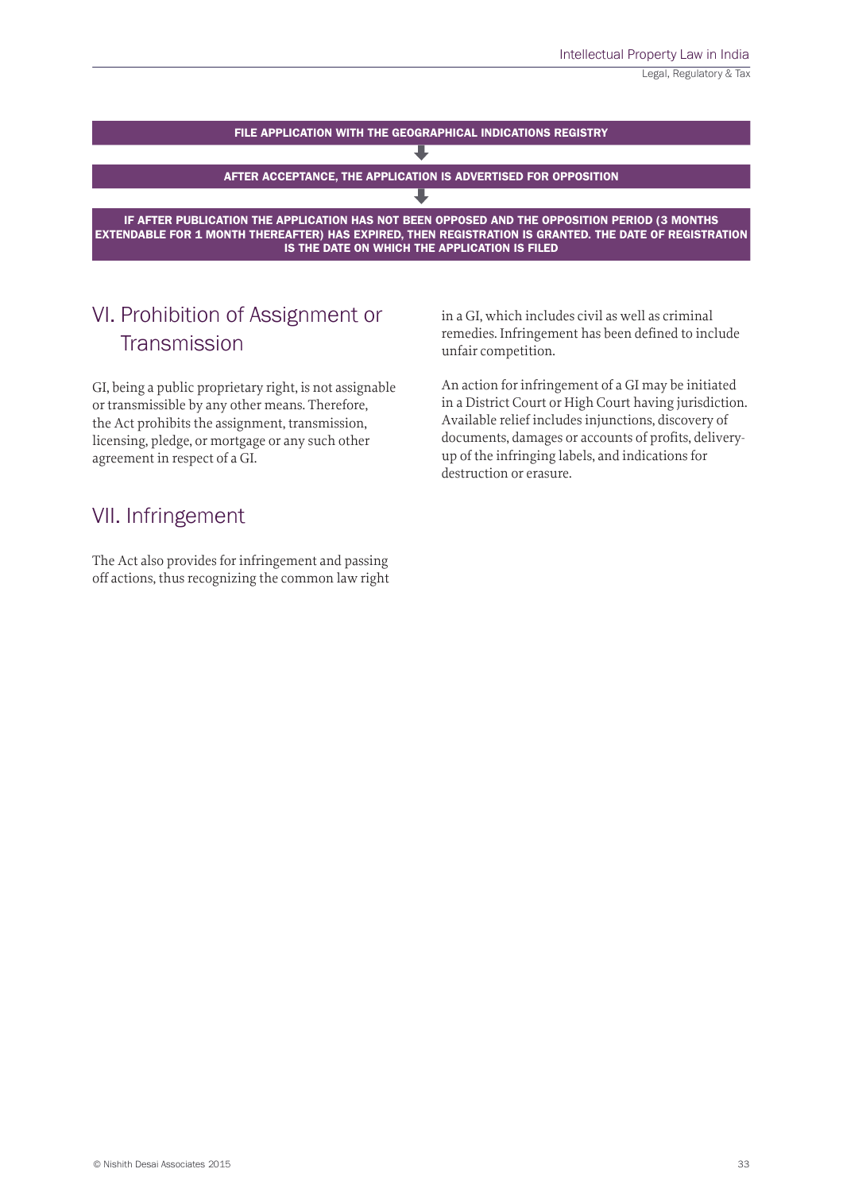

## VI. Prohibition of Assignment or **Transmission**

GI, being a public proprietary right, is not assignable or transmissible by any other means. Therefore, the Act prohibits the assignment, transmission, licensing, pledge, or mortgage or any such other agreement in respect of a GI.

### VII. Infringement

The Act also provides for infringement and passing off actions, thus recognizing the common law right in a GI, which includes civil as well as criminal remedies. Infringement has been defined to include unfair competition.

An action for infringement of a GI may be initiated in a District Court or High Court having jurisdiction. Available relief includes injunctions, discovery of documents, damages or accounts of profits, deliveryup of the infringing labels, and indications for destruction or erasure.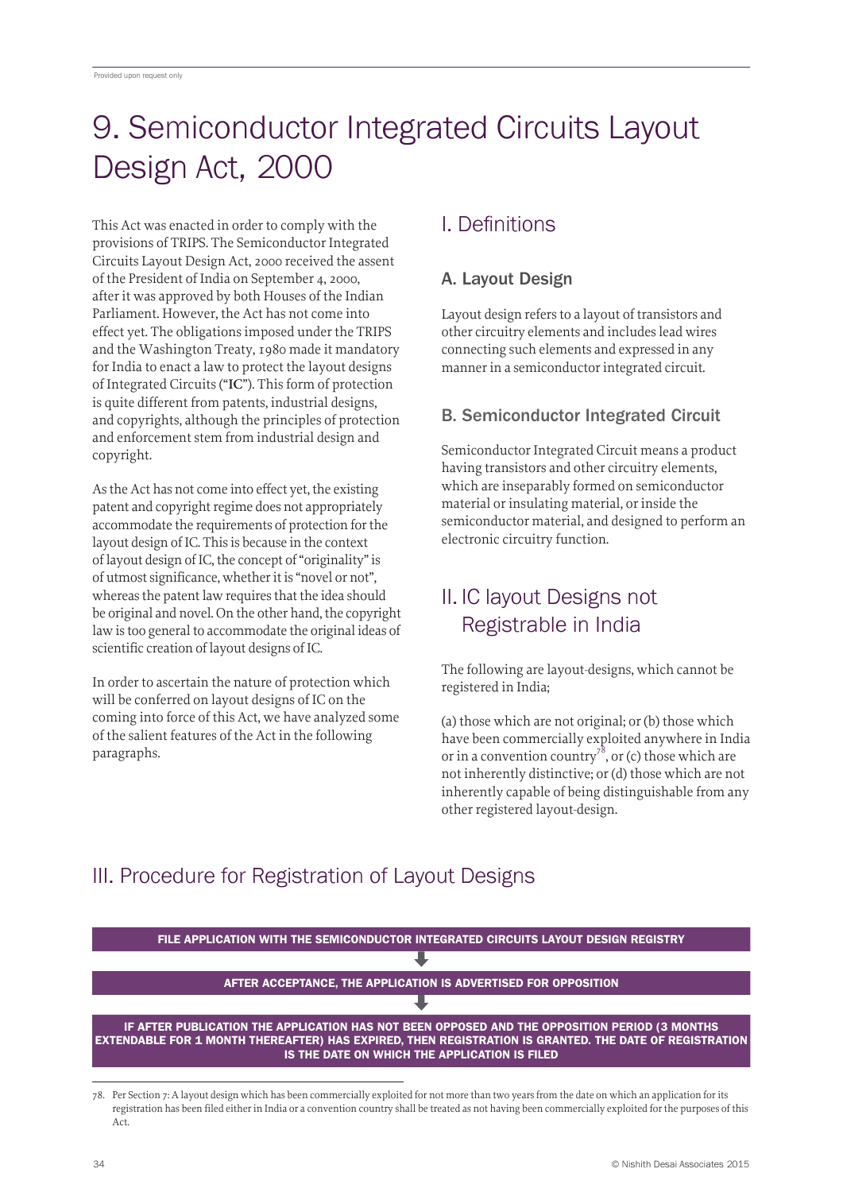# 9. Semiconductor Integrated Circuits Layout Design Act, 2000

This Act was enacted in order to comply with the provisions of TRIPS. The Semiconductor Integrated Circuits Layout Design Act, 2000 received the assent of the President of India on September 4, 2000, after it was approved by both Houses of the Indian Parliament. However, the Act has not come into effect yet. The obligations imposed under the TRIPS and the Washington Treaty, 1980 made it mandatory for India to enact a law to protect the layout designs of Integrated Circuits ("**IC**"). This form of protection is quite different from patents, industrial designs, and copyrights, although the principles of protection and enforcement stem from industrial design and copyright.

As the Act has not come into effect yet, the existing patent and copyright regime does not appropriately accommodate the requirements of protection for the layout design of IC. This is because in the context of layout design of IC, the concept of "originality" is of utmost significance, whether it is "novel or not", whereas the patent law requires that the idea should be original and novel. On the other hand, the copyright law is too general to accommodate the original ideas of scientific creation of layout designs of IC.

In order to ascertain the nature of protection which will be conferred on layout designs of IC on the coming into force of this Act, we have analyzed some of the salient features of the Act in the following paragraphs.

### I. Definitions

### A. Layout Design

Layout design refers to a layout of transistors and other circuitry elements and includes lead wires connecting such elements and expressed in any manner in a semiconductor integrated circuit.

### B. Semiconductor Integrated Circuit

Semiconductor Integrated Circuit means a product having transistors and other circuitry elements, which are inseparably formed on semiconductor material or insulating material, or inside the semiconductor material, and designed to perform an electronic circuitry function.

# II. IC layout Designs not Registrable in India

The following are layout-designs, which cannot be registered in India;

(a) those which are not original; or (b) those which have been commercially exploited anywhere in India or in a convention country<sup>78</sup>, or (c) those which are not inherently distinctive; or (d) those which are not inherently capable of being distinguishable from any other registered layout-design.

# III. Procedure for Registration of Layout Designs



<sup>78.</sup> Per Section 7: A layout design which has been commercially exploited for not more than two years from the date on which an application for its registration has been filed either in India or a convention country shall be treated as not having been commercially exploited for the purposes of this Act.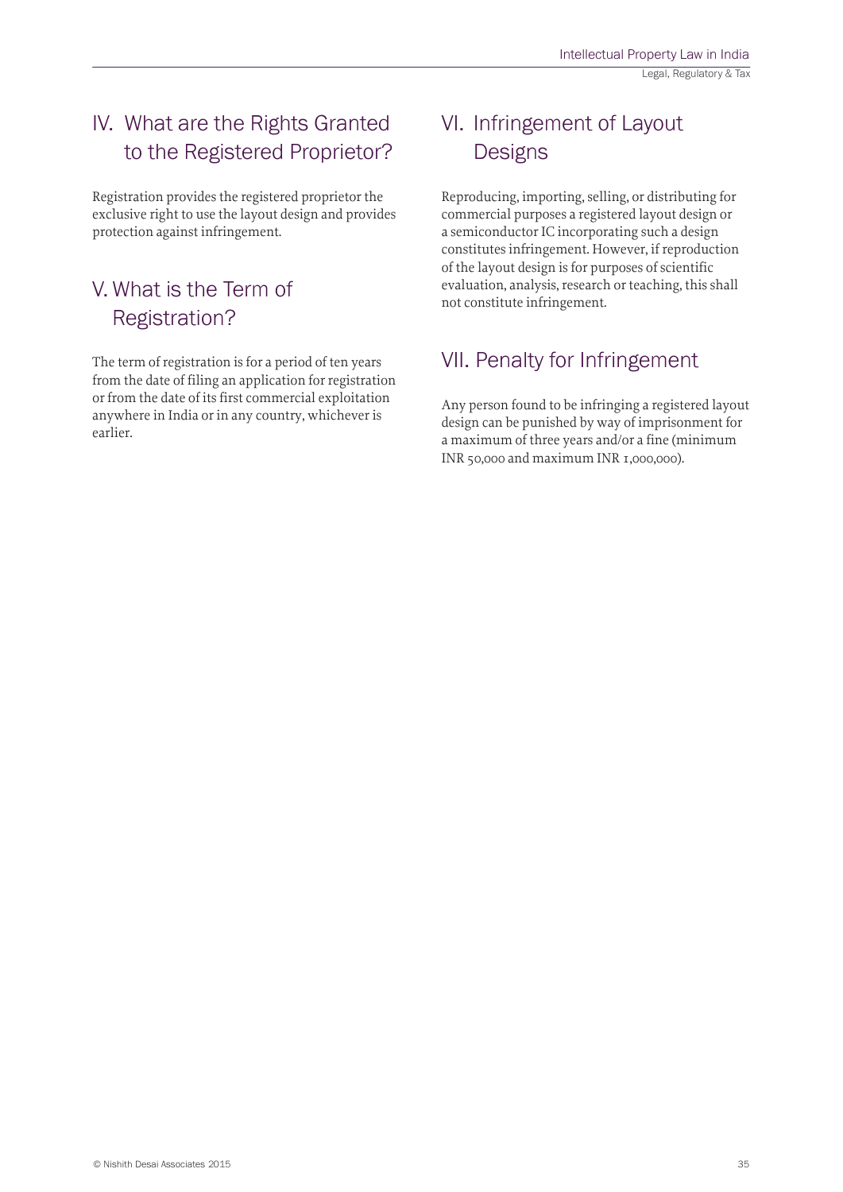# IV. What are the Rights Granted to the Registered Proprietor?

Registration provides the registered proprietor the exclusive right to use the layout design and provides protection against infringement.

### V. What is the Term of Registration?

The term of registration is for a period of ten years from the date of filing an application for registration or from the date of its first commercial exploitation anywhere in India or in any country, whichever is earlier.

# VI. Infringement of Layout **Designs**

Reproducing, importing, selling, or distributing for commercial purposes a registered layout design or a semiconductor IC incorporating such a design constitutes infringement. However, if reproduction of the layout design is for purposes of scientific evaluation, analysis, research or teaching, this shall not constitute infringement.

## VII. Penalty for Infringement

Any person found to be infringing a registered layout design can be punished by way of imprisonment for a maximum of three years and/or a fine (minimum INR 50,000 and maximum INR 1,000,000).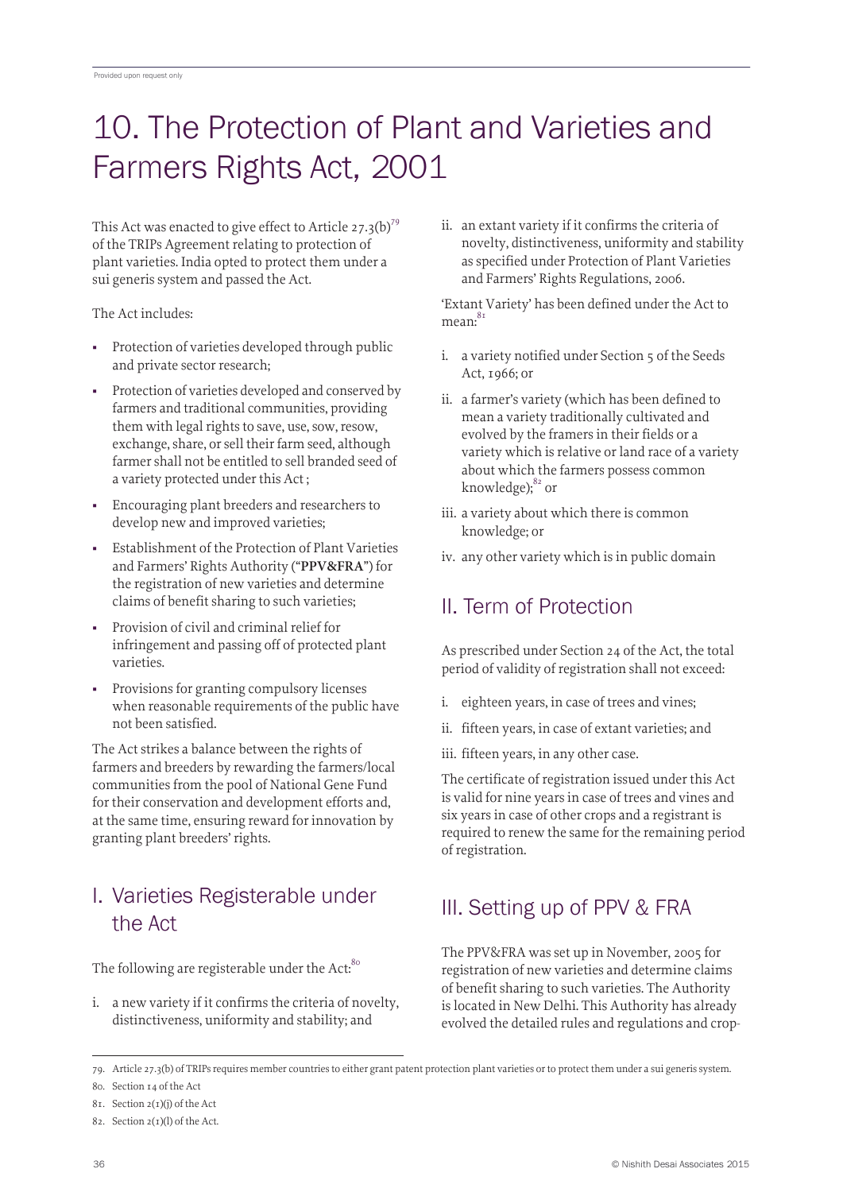# 10. The Protection of Plant and Varieties and Farmers Rights Act, 2001

This Act was enacted to give effect to Article 27.3(b)<sup>79</sup> of the TRIPs Agreement relating to protection of plant varieties. India opted to protect them under a sui generis system and passed the Act.

The Act includes:

- Protection of varieties developed through public and private sector research;
- Protection of varieties developed and conserved by farmers and traditional communities, providing them with legal rights to save, use, sow, resow, exchange, share, or sell their farm seed, although farmer shall not be entitled to sell branded seed of a variety protected under this Act ;
- Encouraging plant breeders and researchers to develop new and improved varieties;
- Establishment of the Protection of Plant Varieties and Farmers' Rights Authority ("**PPV&FRA**") for the registration of new varieties and determine claims of benefit sharing to such varieties;
- Provision of civil and criminal relief for infringement and passing off of protected plant varieties.
- Provisions for granting compulsory licenses when reasonable requirements of the public have not been satisfied.

The Act strikes a balance between the rights of farmers and breeders by rewarding the farmers/local communities from the pool of National Gene Fund for their conservation and development efforts and, at the same time, ensuring reward for innovation by granting plant breeders' rights.

## I. Varieties Registerable under the Act

The following are registerable under the Act:<sup>80</sup>

i. a new variety if it confirms the criteria of novelty, distinctiveness, uniformity and stability; and

ii. an extant variety if it confirms the criteria of novelty, distinctiveness, uniformity and stability as specified under Protection of Plant Varieties and Farmers' Rights Regulations, 2006.

'Extant Variety' has been defined under the Act to mean:<sup>81</sup>

- i. a variety notified under Section 5 of the Seeds Act, 1966; or
- ii. a farmer's variety (which has been defined to mean a variety traditionally cultivated and evolved by the framers in their fields or a variety which is relative or land race of a variety about which the farmers possess common knowledge); $82$  or
- iii. a variety about which there is common knowledge; or
- iv. any other variety which is in public domain

# II. Term of Protection

As prescribed under Section 24 of the Act, the total period of validity of registration shall not exceed:

- i. eighteen years, in case of trees and vines;
- ii. fifteen years, in case of extant varieties; and
- iii. fifteen years, in any other case.

The certificate of registration issued under this Act is valid for nine years in case of trees and vines and six years in case of other crops and a registrant is required to renew the same for the remaining period of registration.

# III. Setting up of PPV & FRA

The PPV&FRA was set up in November, 2005 for registration of new varieties and determine claims of benefit sharing to such varieties. The Authority is located in New Delhi. This Authority has already evolved the detailed rules and regulations and crop-

<sup>79.</sup> Article 27.3(b) of TRIPs requires member countries to either grant patent protection plant varieties or to protect them under a sui generis system.

<sup>80.</sup> Section 14 of the Act

<sup>81.</sup> Section 2(1)(j) of the Act

<sup>82.</sup> Section 2(1)(l) of the Act.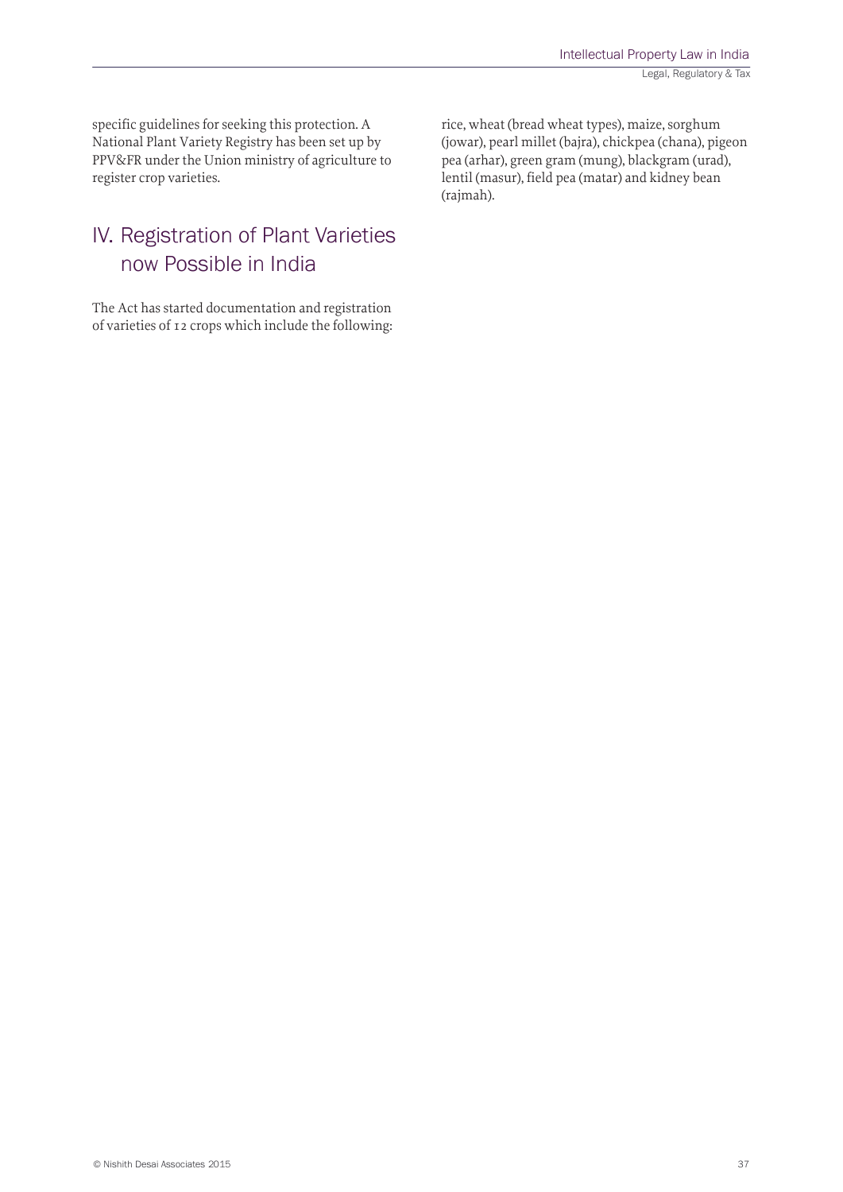specific guidelines for seeking this protection. A National Plant Variety Registry has been set up by PPV&FR under the Union ministry of agriculture to register crop varieties.

### IV. Registration of Plant Varieties now Possible in India

The Act has started documentation and registration of varieties of 12 crops which include the following: rice, wheat (bread wheat types), maize, sorghum (jowar), pearl millet (bajra), chickpea (chana), pigeon pea (arhar), green gram (mung), blackgram (urad), lentil (masur), field pea (matar) and kidney bean (rajmah).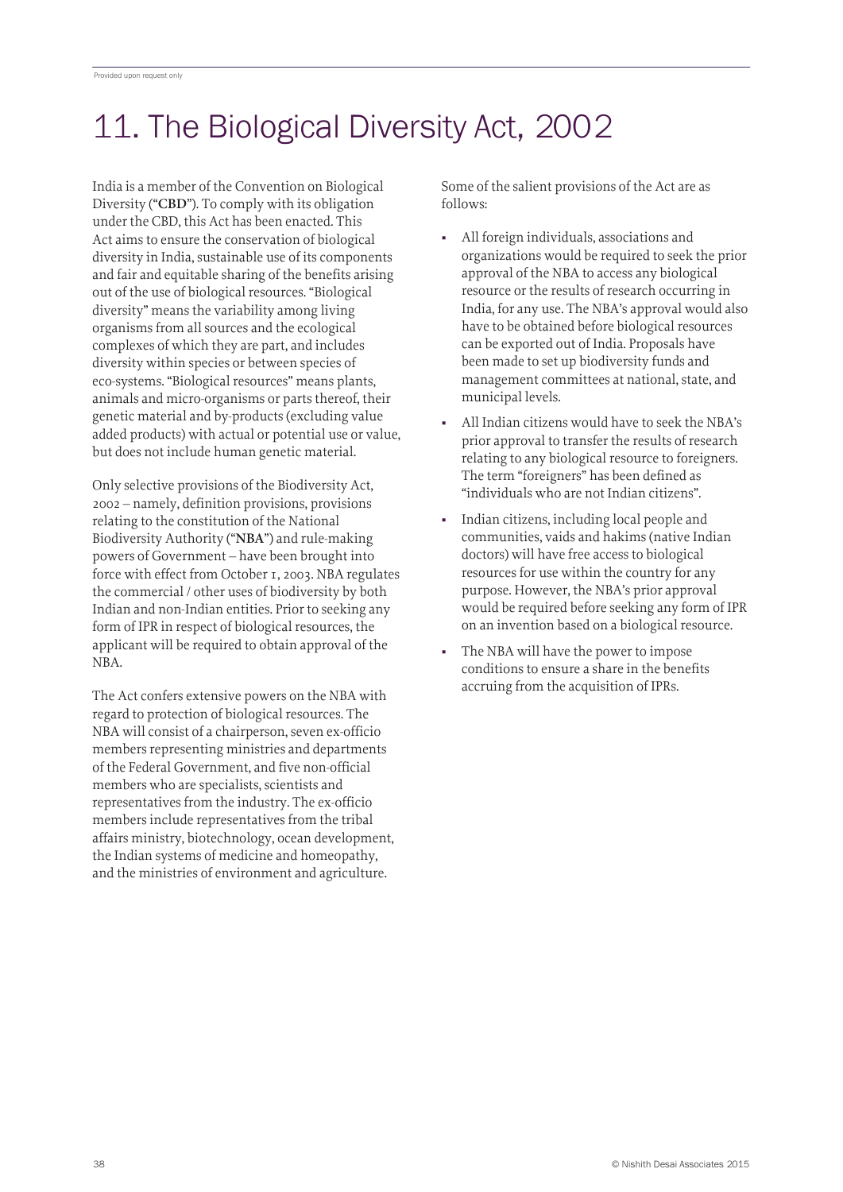# 11. The Biological Diversity Act, 2002

India is a member of the Convention on Biological Diversity ("**CBD**"). To comply with its obligation under the CBD, this Act has been enacted. This Act aims to ensure the conservation of biological diversity in India, sustainable use of its components and fair and equitable sharing of the benefits arising out of the use of biological resources. "Biological diversity" means the variability among living organisms from all sources and the ecological complexes of which they are part, and includes diversity within species or between species of eco-systems. "Biological resources" means plants, animals and micro-organisms or parts thereof, their genetic material and by-products (excluding value added products) with actual or potential use or value, but does not include human genetic material.

Only selective provisions of the Biodiversity Act, 2002 – namely, definition provisions, provisions relating to the constitution of the National Biodiversity Authority ("**NBA**") and rule-making powers of Government – have been brought into force with effect from October 1, 2003. NBA regulates the commercial / other uses of biodiversity by both Indian and non-Indian entities. Prior to seeking any form of IPR in respect of biological resources, the applicant will be required to obtain approval of the NBA.

The Act confers extensive powers on the NBA with regard to protection of biological resources. The NBA will consist of a chairperson, seven ex-officio members representing ministries and departments of the Federal Government, and five non-official members who are specialists, scientists and representatives from the industry. The ex-officio members include representatives from the tribal affairs ministry, biotechnology, ocean development, the Indian systems of medicine and homeopathy, and the ministries of environment and agriculture.

Some of the salient provisions of the Act are as follows:

- All foreign individuals, associations and organizations would be required to seek the prior approval of the NBA to access any biological resource or the results of research occurring in India, for any use. The NBA's approval would also have to be obtained before biological resources can be exported out of India. Proposals have been made to set up biodiversity funds and management committees at national, state, and municipal levels.
- All Indian citizens would have to seek the NBA's prior approval to transfer the results of research relating to any biological resource to foreigners. The term "foreigners" has been defined as "individuals who are not Indian citizens".
- Indian citizens, including local people and communities, vaids and hakims (native Indian doctors) will have free access to biological resources for use within the country for any purpose. However, the NBA's prior approval would be required before seeking any form of IPR on an invention based on a biological resource.
- The NBA will have the power to impose conditions to ensure a share in the benefits accruing from the acquisition of IPRs.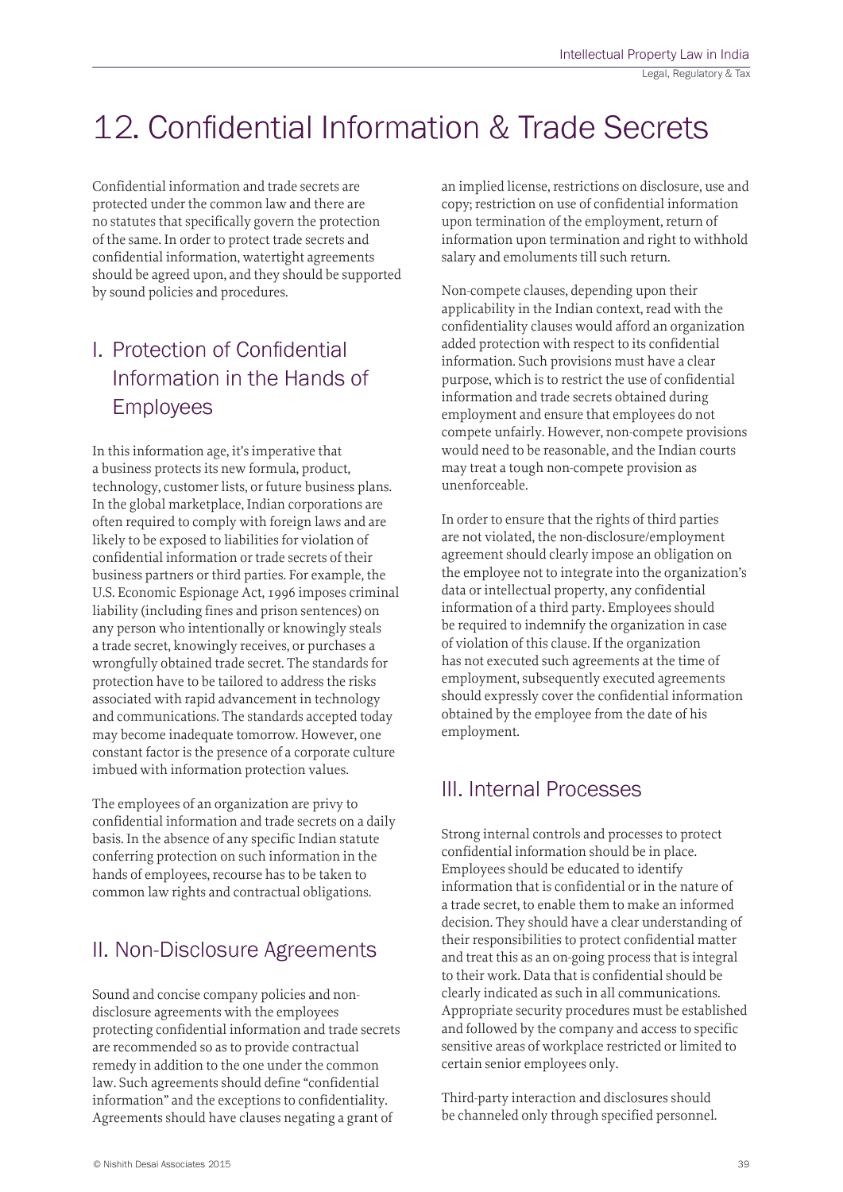# 12. Confidential Information & Trade Secrets

Confidential information and trade secrets are protected under the common law and there are no statutes that specifically govern the protection of the same. In order to protect trade secrets and confidential information, watertight agreements should be agreed upon, and they should be supported by sound policies and procedures.

# I. Protection of Confidential Information in the Hands of Employees

In this information age, it's imperative that a business protects its new formula, product, technology, customer lists, or future business plans. In the global marketplace, Indian corporations are often required to comply with foreign laws and are likely to be exposed to liabilities for violation of confidential information or trade secrets of their business partners or third parties. For example, the U.S. Economic Espionage Act, 1996 imposes criminal liability (including fines and prison sentences) on any person who intentionally or knowingly steals a trade secret, knowingly receives, or purchases a wrongfully obtained trade secret. The standards for protection have to be tailored to address the risks associated with rapid advancement in technology and communications. The standards accepted today may become inadequate tomorrow. However, one constant factor is the presence of a corporate culture imbued with information protection values.

The employees of an organization are privy to confidential information and trade secrets on a daily basis. In the absence of any specific Indian statute conferring protection on such information in the hands of employees, recourse has to be taken to common law rights and contractual obligations.

### II. Non-Disclosure Agreements

Sound and concise company policies and nondisclosure agreements with the employees protecting confidential information and trade secrets are recommended so as to provide contractual remedy in addition to the one under the common law. Such agreements should define "confidential information" and the exceptions to confidentiality. Agreements should have clauses negating a grant of

an implied license, restrictions on disclosure, use and copy; restriction on use of confidential information upon termination of the employment, return of information upon termination and right to withhold salary and emoluments till such return.

Non-compete clauses, depending upon their applicability in the Indian context, read with the confidentiality clauses would afford an organization added protection with respect to its confidential information. Such provisions must have a clear purpose, which is to restrict the use of confidential information and trade secrets obtained during employment and ensure that employees do not compete unfairly. However, non-compete provisions would need to be reasonable, and the Indian courts may treat a tough non-compete provision as unenforceable.

In order to ensure that the rights of third parties are not violated, the non-disclosure/employment agreement should clearly impose an obligation on the employee not to integrate into the organization's data or intellectual property, any confidential information of a third party. Employees should be required to indemnify the organization in case of violation of this clause. If the organization has not executed such agreements at the time of employment, subsequently executed agreements should expressly cover the confidential information obtained by the employee from the date of his employment.

### III. Internal Processes

Strong internal controls and processes to protect confidential information should be in place. Employees should be educated to identify information that is confidential or in the nature of a trade secret, to enable them to make an informed decision. They should have a clear understanding of their responsibilities to protect confidential matter and treat this as an on-going process that is integral to their work. Data that is confidential should be clearly indicated as such in all communications. Appropriate security procedures must be established and followed by the company and access to specific sensitive areas of workplace restricted or limited to certain senior employees only.

Third-party interaction and disclosures should be channeled only through specified personnel.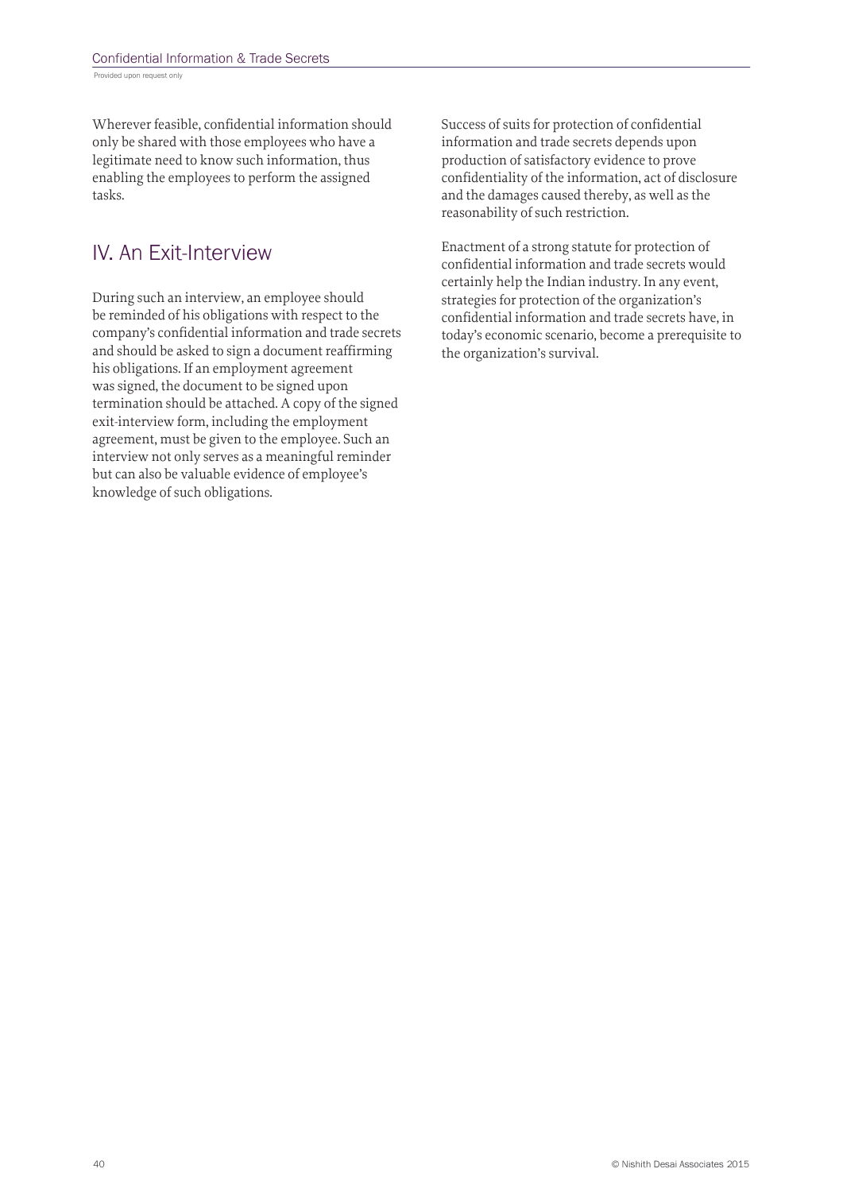Wherever feasible, confidential information should only be shared with those employees who have a legitimate need to know such information, thus enabling the employees to perform the assigned tasks.

## IV. An Exit-Interview

During such an interview, an employee should be reminded of his obligations with respect to the company's confidential information and trade secrets and should be asked to sign a document reaffirming his obligations. If an employment agreement was signed, the document to be signed upon termination should be attached. A copy of the signed exit-interview form, including the employment agreement, must be given to the employee. Such an interview not only serves as a meaningful reminder but can also be valuable evidence of employee's knowledge of such obligations.

Success of suits for protection of confidential information and trade secrets depends upon production of satisfactory evidence to prove confidentiality of the information, act of disclosure and the damages caused thereby, as well as the reasonability of such restriction.

Enactment of a strong statute for protection of confidential information and trade secrets would certainly help the Indian industry. In any event, strategies for protection of the organization's confidential information and trade secrets have, in today's economic scenario, become a prerequisite to the organization's survival.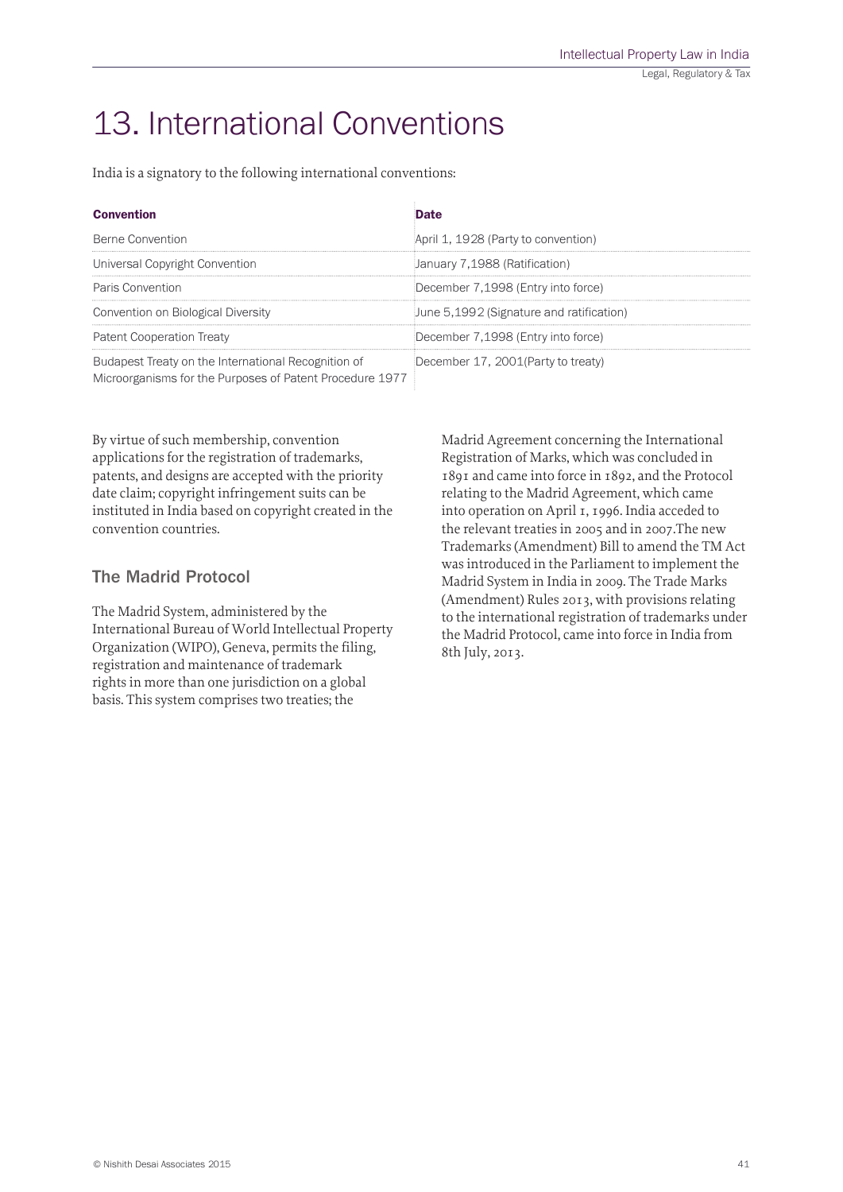# 13. International Conventions

India is a signatory to the following international conventions:

| <b>Convention</b>                                                                                               | Date                                     |
|-----------------------------------------------------------------------------------------------------------------|------------------------------------------|
| Berne Convention                                                                                                | April 1, 1928 (Party to convention)      |
| Universal Copyright Convention                                                                                  | January 7,1988 (Ratification)            |
| Paris Convention                                                                                                | December 7,1998 (Entry into force)       |
| Convention on Biological Diversity                                                                              | June 5,1992 (Signature and ratification) |
| <b>Patent Cooperation Treaty</b>                                                                                | December 7,1998 (Entry into force)       |
| Budapest Treaty on the International Recognition of<br>Microorganisms for the Purposes of Patent Procedure 1977 | December 17, 2001 (Party to treaty)      |

By virtue of such membership, convention applications for the registration of trademarks, patents, and designs are accepted with the priority date claim; copyright infringement suits can be instituted in India based on copyright created in the convention countries.

#### The Madrid Protocol

The Madrid System, administered by the International Bureau of World Intellectual Property Organization (WIPO), Geneva, permits the filing, registration and maintenance of trademark rights in more than one jurisdiction on a global basis. This system comprises two treaties; the

Madrid Agreement concerning the International Registration of Marks, which was concluded in 1891 and came into force in 1892, and the Protocol relating to the Madrid Agreement, which came into operation on April 1, 1996. India acceded to the relevant treaties in 2005 and in 2007.The new Trademarks (Amendment) Bill to amend the TM Act was introduced in the Parliament to implement the Madrid System in India in 2009. The Trade Marks (Amendment) Rules 2013, with provisions relating to the international registration of trademarks under the Madrid Protocol, came into force in India from 8th July, 2013.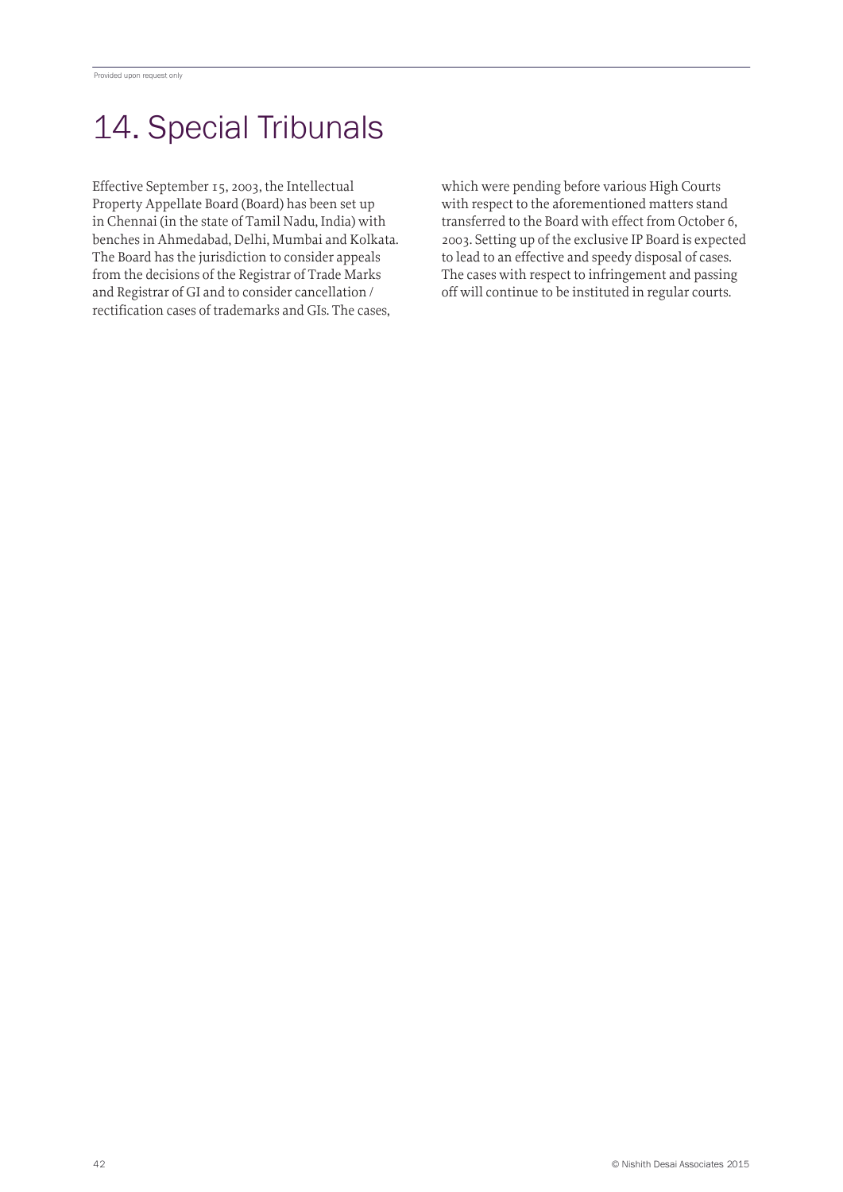# 14. Special Tribunals

Effective September 15, 2003, the Intellectual Property Appellate Board (Board) has been set up in Chennai (in the state of Tamil Nadu, India) with benches in Ahmedabad, Delhi, Mumbai and Kolkata. The Board has the jurisdiction to consider appeals from the decisions of the Registrar of Trade Marks and Registrar of GI and to consider cancellation / rectification cases of trademarks and GIs. The cases,

which were pending before various High Courts with respect to the aforementioned matters stand transferred to the Board with effect from October 6, 2003. Setting up of the exclusive IP Board is expected to lead to an effective and speedy disposal of cases. The cases with respect to infringement and passing off will continue to be instituted in regular courts.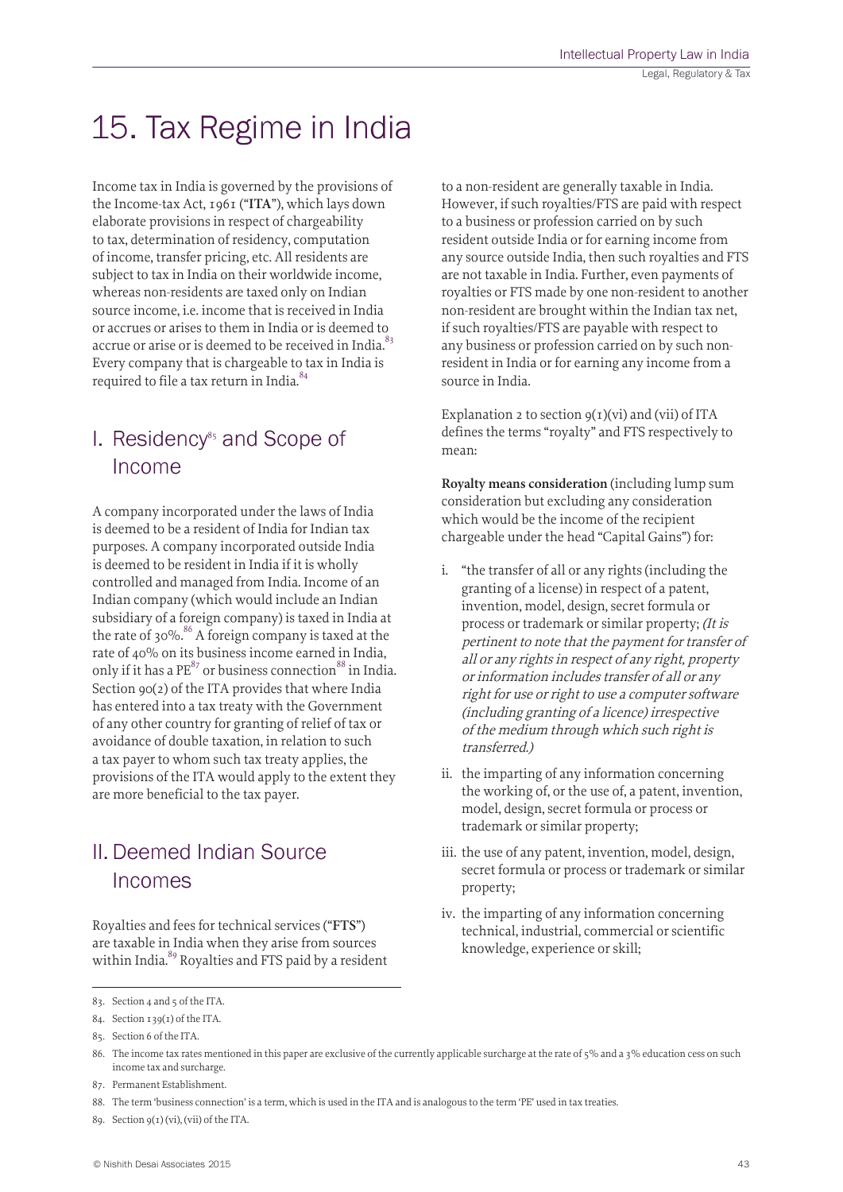# 15. Tax Regime in India

Income tax in India is governed by the provisions of the Income-tax Act, 1961 ("**ITA**"), which lays down elaborate provisions in respect of chargeability to tax, determination of residency, computation of income, transfer pricing, etc. All residents are subject to tax in India on their worldwide income, whereas non-residents are taxed only on Indian source income, i.e. income that is received in India or accrues or arises to them in India or is deemed to accrue or arise or is deemed to be received in India.<sup>83</sup> Every company that is chargeable to tax in India is required to file a tax return in India.<sup>84</sup>

### $I.$  Residency<sup>85</sup> and Scope of Income

A company incorporated under the laws of India is deemed to be a resident of India for Indian tax purposes. A company incorporated outside India is deemed to be resident in India if it is wholly controlled and managed from India. Income of an Indian company (which would include an Indian subsidiary of a foreign company) is taxed in India at the rate of 30%.<sup>86</sup> A foreign company is taxed at the rate of 40% on its business income earned in India, only if it has a  $PE^{87}$  or business connection  $88$  in India. Section 90(2) of the ITA provides that where India has entered into a tax treaty with the Government of any other country for granting of relief of tax or avoidance of double taxation, in relation to such a tax payer to whom such tax treaty applies, the provisions of the ITA would apply to the extent they are more beneficial to the tax payer.

# II.Deemed Indian Source Incomes

Royalties and fees for technical services ("**FTS**") are taxable in India when they arise from sources within India.<sup>89</sup> Royalties and FTS paid by a resident to a non-resident are generally taxable in India. However, if such royalties/FTS are paid with respect to a business or profession carried on by such resident outside India or for earning income from any source outside India, then such royalties and FTS are not taxable in India. Further, even payments of royalties or FTS made by one non-resident to another non-resident are brought within the Indian tax net, if such royalties/FTS are payable with respect to any business or profession carried on by such nonresident in India or for earning any income from a source in India.

Explanation 2 to section  $g(t)(vi)$  and (vii) of ITA defines the terms "royalty" and FTS respectively to mean:

**Royalty means consideration** (including lump sum consideration but excluding any consideration which would be the income of the recipient chargeable under the head "Capital Gains") for:

- i. "the transfer of all or any rights (including the granting of a license) in respect of a patent, invention, model, design, secret formula or process or trademark or similar property; (It is pertinent to note that the payment for transfer of all or any rights in respect of any right, property or information includes transfer of all or any right for use or right to use a computer software (including granting of a licence) irrespective of the medium through which such right is transferred.)
- ii. the imparting of any information concerning the working of, or the use of, a patent, invention, model, design, secret formula or process or trademark or similar property;
- iii. the use of any patent, invention, model, design, secret formula or process or trademark or similar property;
- iv. the imparting of any information concerning technical, industrial, commercial or scientific knowledge, experience or skill;

89. Section 9(1) (vi), (vii) of the ITA.

<sup>83.</sup> Section 4 and 5 of the ITA.

<sup>84.</sup> Section 139(1) of the ITA.

<sup>85.</sup> Section 6 of the ITA.

<sup>86.</sup> The income tax rates mentioned in this paper are exclusive of the currently applicable surcharge at the rate of 5% and a 3% education cess on such income tax and surcharge.

<sup>87.</sup> Permanent Establishment.

<sup>88.</sup> The term 'business connection' is a term, which is used in the ITA and is analogous to the term 'PE' used in tax treaties.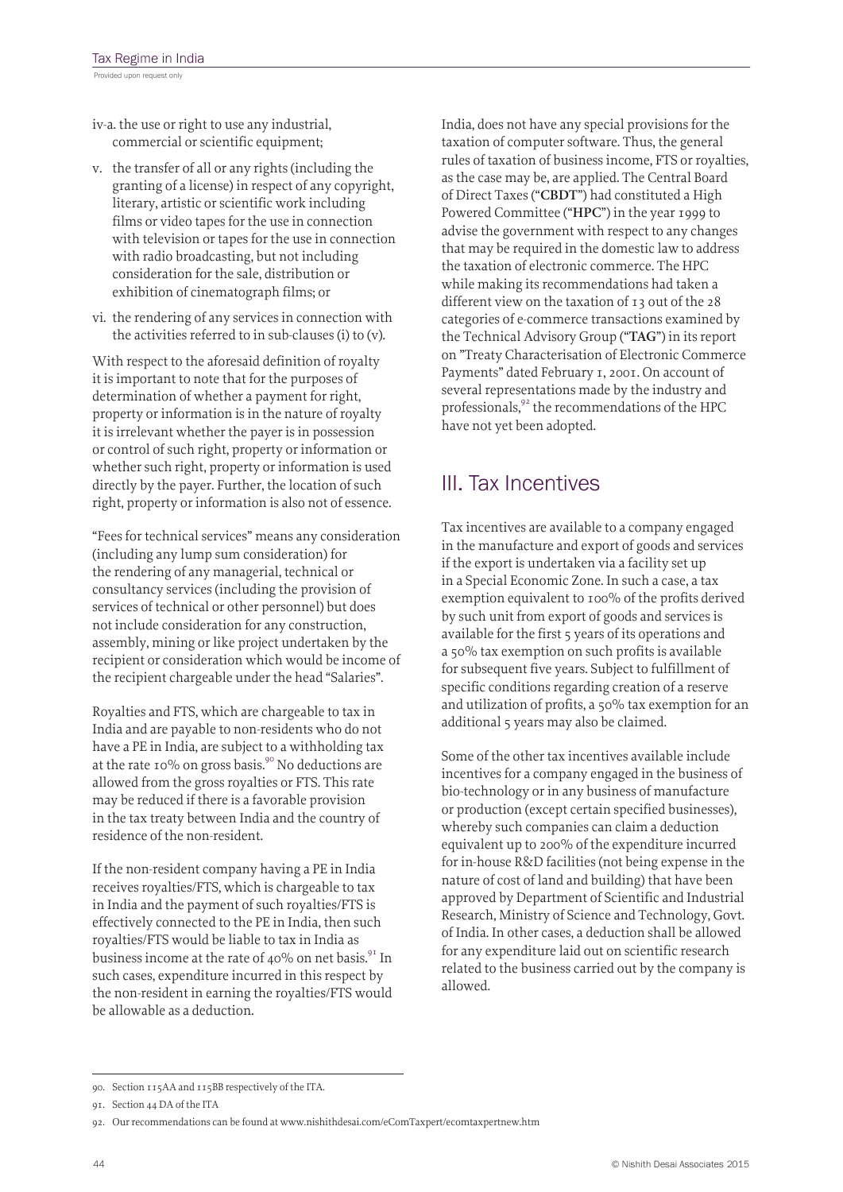- iv-a. the use or right to use any industrial, commercial or scientific equipment;
- v. the transfer of all or any rights (including the granting of a license) in respect of any copyright, literary, artistic or scientific work including films or video tapes for the use in connection with television or tapes for the use in connection with radio broadcasting, but not including consideration for the sale, distribution or exhibition of cinematograph films; or
- vi. the rendering of any services in connection with the activities referred to in sub-clauses (i) to (v).

With respect to the aforesaid definition of royalty it is important to note that for the purposes of determination of whether a payment for right, property or information is in the nature of royalty it is irrelevant whether the payer is in possession or control of such right, property or information or whether such right, property or information is used directly by the payer. Further, the location of such right, property or information is also not of essence.

"Fees for technical services" means any consideration (including any lump sum consideration) for the rendering of any managerial, technical or consultancy services (including the provision of services of technical or other personnel) but does not include consideration for any construction, assembly, mining or like project undertaken by the recipient or consideration which would be income of the recipient chargeable under the head "Salaries".

Royalties and FTS, which are chargeable to tax in India and are payable to non-residents who do not have a PE in India, are subject to a withholding tax at the rate 10% on gross basis.<sup>90</sup> No deductions are allowed from the gross royalties or FTS. This rate may be reduced if there is a favorable provision in the tax treaty between India and the country of residence of the non-resident.

If the non-resident company having a PE in India receives royalties/FTS, which is chargeable to tax in India and the payment of such royalties/FTS is effectively connected to the PE in India, then such royalties/FTS would be liable to tax in India as business income at the rate of 40% on net basis.<sup>91</sup> In such cases, expenditure incurred in this respect by the non-resident in earning the royalties/FTS would be allowable as a deduction.

India, does not have any special provisions for the taxation of computer software. Thus, the general rules of taxation of business income, FTS or royalties, as the case may be, are applied. The Central Board of Direct Taxes ("**CBDT**") had constituted a High Powered Committee ("**HPC**") in the year 1999 to advise the government with respect to any changes that may be required in the domestic law to address the taxation of electronic commerce. The HPC while making its recommendations had taken a different view on the taxation of 13 out of the 28 categories of e-commerce transactions examined by the Technical Advisory Group ("**TAG**") in its report on "Treaty Characterisation of Electronic Commerce Payments" dated February 1, 2001. On account of several representations made by the industry and professionals, $92$  the recommendations of the HPC have not yet been adopted.

# III. Tax Incentives

Tax incentives are available to a company engaged in the manufacture and export of goods and services if the export is undertaken via a facility set up in a Special Economic Zone. In such a case, a tax exemption equivalent to 100% of the profits derived by such unit from export of goods and services is available for the first 5 years of its operations and a 50% tax exemption on such profits is available for subsequent five years. Subject to fulfillment of specific conditions regarding creation of a reserve and utilization of profits, a 50% tax exemption for an additional 5 years may also be claimed.

Some of the other tax incentives available include incentives for a company engaged in the business of bio-technology or in any business of manufacture or production (except certain specified businesses), whereby such companies can claim a deduction equivalent up to 200% of the expenditure incurred for in-house R&D facilities (not being expense in the nature of cost of land and building) that have been approved by Department of Scientific and Industrial Research, Ministry of Science and Technology, Govt. of India. In other cases, a deduction shall be allowed for any expenditure laid out on scientific research related to the business carried out by the company is allowed.

<sup>90.</sup> Section 115AA and 115BB respectively of the ITA.

<sup>91.</sup> Section 44 DA of the ITA

<sup>92.</sup> Our recommendations can be found at www.nishithdesai.com/eComTaxpert/ecomtaxpertnew.htm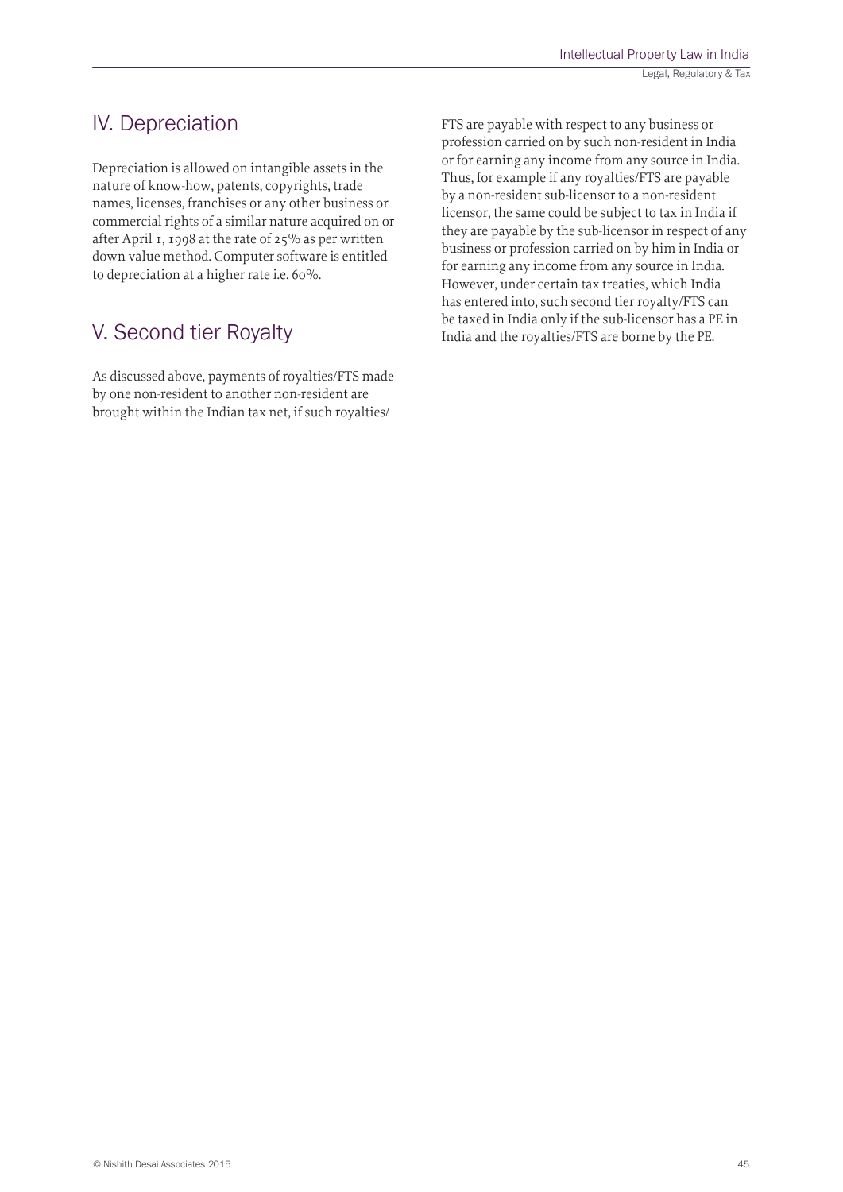### IV. Depreciation

Depreciation is allowed on intangible assets in the nature of know-how, patents, copyrights, trade names, licenses, franchises or any other business or commercial rights of a similar nature acquired on or after April 1, 1998 at the rate of 25% as per written down value method. Computer software is entitled to depreciation at a higher rate i.e. 60%.

### V. Second tier Royalty

As discussed above, payments of royalties/FTS made by one non-resident to another non-resident are brought within the Indian tax net, if such royalties/

FTS are payable with respect to any business or profession carried on by such non-resident in India or for earning any income from any source in India. Thus, for example if any royalties/FTS are payable by a non-resident sub-licensor to a non-resident licensor, the same could be subject to tax in India if they are payable by the sub-licensor in respect of any business or profession carried on by him in India or for earning any income from any source in India. However, under certain tax treaties, which India has entered into, such second tier royalty/FTS can be taxed in India only if the sub-licensor has a PE in India and the royalties/FTS are borne by the PE.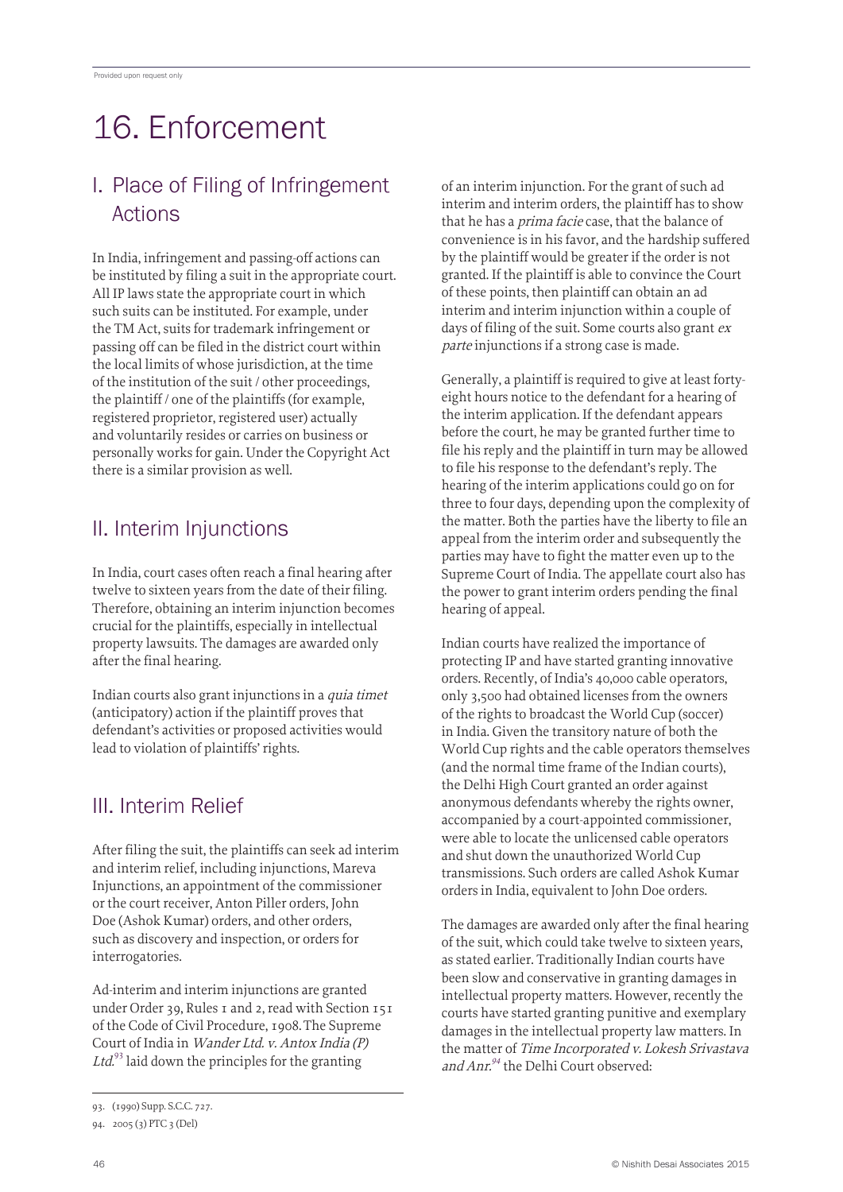# 16. Enforcement

### I. Place of Filing of Infringement Actions

In India, infringement and passing-off actions can be instituted by filing a suit in the appropriate court. All IP laws state the appropriate court in which such suits can be instituted. For example, under the TM Act, suits for trademark infringement or passing off can be filed in the district court within the local limits of whose jurisdiction, at the time of the institution of the suit / other proceedings, the plaintiff / one of the plaintiffs (for example, registered proprietor, registered user) actually and voluntarily resides or carries on business or personally works for gain. Under the Copyright Act there is a similar provision as well.

## II. Interim Injunctions

In India, court cases often reach a final hearing after twelve to sixteen years from the date of their filing. Therefore, obtaining an interim injunction becomes crucial for the plaintiffs, especially in intellectual property lawsuits. The damages are awarded only after the final hearing.

Indian courts also grant injunctions in a quia timet (anticipatory) action if the plaintiff proves that defendant's activities or proposed activities would lead to violation of plaintiffs' rights.

# III. Interim Relief

After filing the suit, the plaintiffs can seek ad interim and interim relief, including injunctions, Mareva Injunctions, an appointment of the commissioner or the court receiver, Anton Piller orders, John Doe (Ashok Kumar) orders, and other orders, such as discovery and inspection, or orders for interrogatories.

Ad-interim and interim injunctions are granted under Order 39, Rules 1 and 2, read with Section 151 of the Code of Civil Procedure, 1908.The Supreme Court of India in Wander Ltd. v. Antox India (P) Ltd.<sup>93</sup> laid down the principles for the granting

of an interim injunction. For the grant of such ad interim and interim orders, the plaintiff has to show that he has a *prima facie* case, that the balance of convenience is in his favor, and the hardship suffered by the plaintiff would be greater if the order is not granted. If the plaintiff is able to convince the Court of these points, then plaintiff can obtain an ad interim and interim injunction within a couple of days of filing of the suit. Some courts also grant  $ex$ parte injunctions if a strong case is made.

Generally, a plaintiff is required to give at least fortyeight hours notice to the defendant for a hearing of the interim application. If the defendant appears before the court, he may be granted further time to file his reply and the plaintiff in turn may be allowed to file his response to the defendant's reply. The hearing of the interim applications could go on for three to four days, depending upon the complexity of the matter. Both the parties have the liberty to file an appeal from the interim order and subsequently the parties may have to fight the matter even up to the Supreme Court of India. The appellate court also has the power to grant interim orders pending the final hearing of appeal.

Indian courts have realized the importance of protecting IP and have started granting innovative orders. Recently, of India's 40,000 cable operators, only 3,500 had obtained licenses from the owners of the rights to broadcast the World Cup (soccer) in India. Given the transitory nature of both the World Cup rights and the cable operators themselves (and the normal time frame of the Indian courts), the Delhi High Court granted an order against anonymous defendants whereby the rights owner, accompanied by a court-appointed commissioner, were able to locate the unlicensed cable operators and shut down the unauthorized World Cup transmissions. Such orders are called Ashok Kumar orders in India, equivalent to John Doe orders.

The damages are awarded only after the final hearing of the suit, which could take twelve to sixteen years, as stated earlier. Traditionally Indian courts have been slow and conservative in granting damages in intellectual property matters. However, recently the courts have started granting punitive and exemplary damages in the intellectual property law matters. In the matter of Time Incorporated v. Lokesh Srivastava and Anr. $94$ <sup>the</sup> Delhi Court observed:

<sup>93.</sup> (1990) Supp. S.C.C. 727.

<sup>94.</sup> 2005 (3) PTC 3 (Del)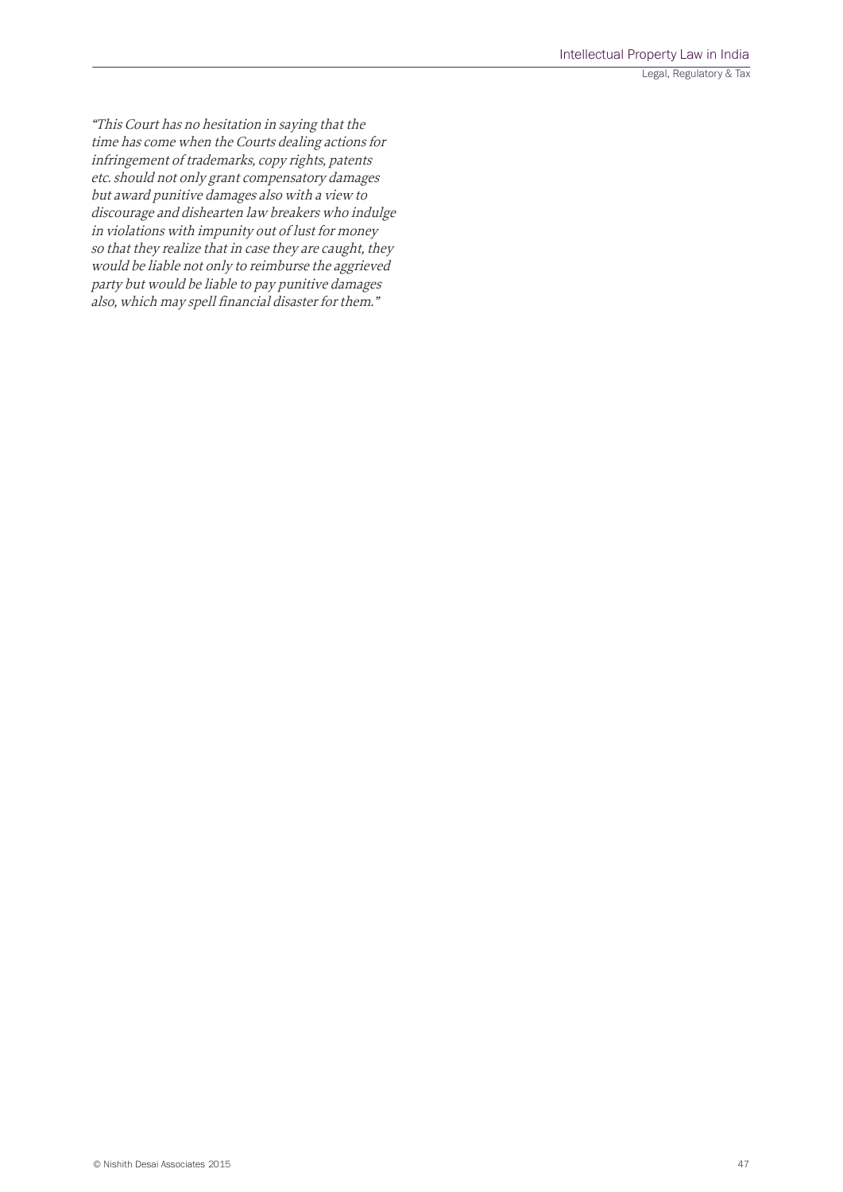Legal, Regulatory & Tax

"This Court has no hesitation in saying that the time has come when the Courts dealing actions for infringement of trademarks, copy rights, patents etc. should not only grant compensatory damages but award punitive damages also with a view to discourage and dishearten law breakers who indulge in violations with impunity out of lust for money so that they realize that in case they are caught, they would be liable not only to reimburse the aggrieved party but would be liable to pay punitive damages also, which may spell financial disaster for them."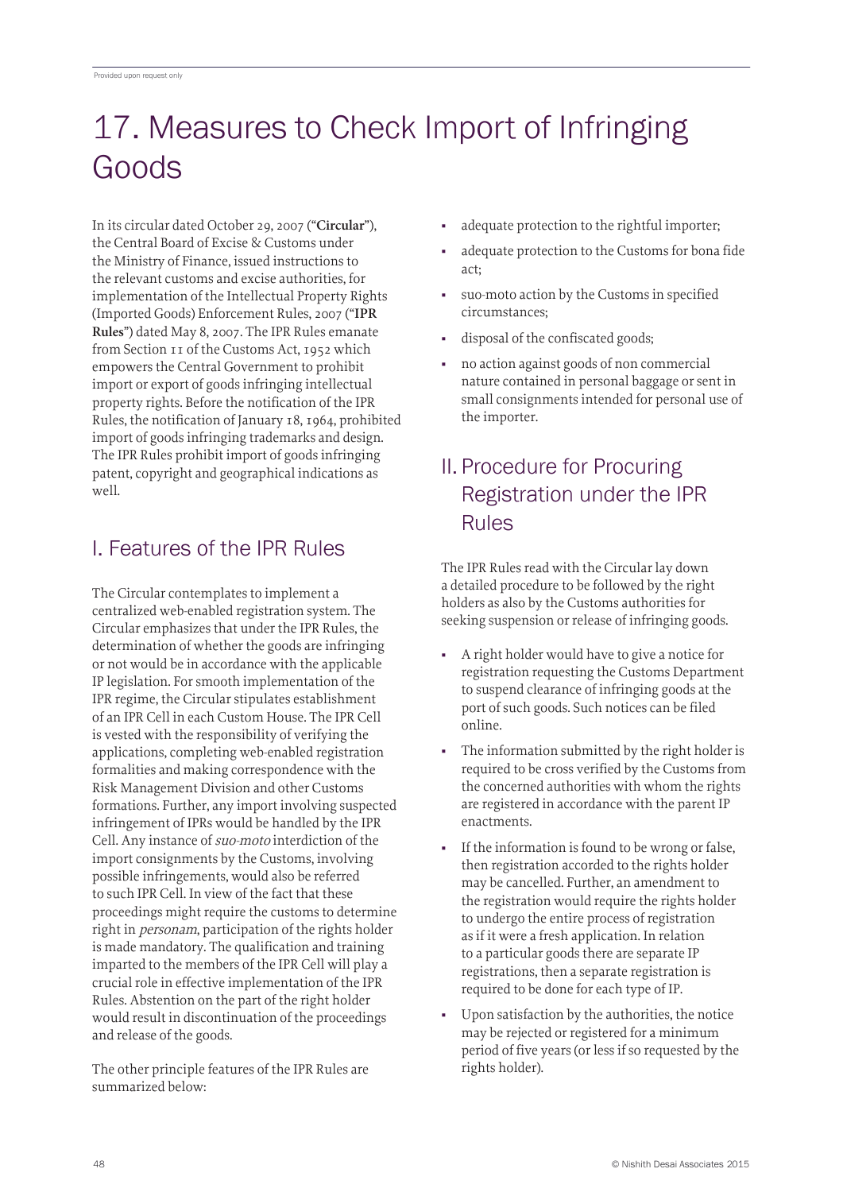# 17. Measures to Check Import of Infringing Goods

In its circular dated October 29, 2007 ("**Circular**"), the Central Board of Excise & Customs under the Ministry of Finance, issued instructions to the relevant customs and excise authorities, for implementation of the Intellectual Property Rights (Imported Goods) Enforcement Rules, 2007 ("**IPR Rules**") dated May 8, 2007. The IPR Rules emanate from Section 11 of the Customs Act, 1952 which empowers the Central Government to prohibit import or export of goods infringing intellectual property rights. Before the notification of the IPR Rules, the notification of January 18, 1964, prohibited import of goods infringing trademarks and design. The IPR Rules prohibit import of goods infringing patent, copyright and geographical indications as well.

## I. Features of the IPR Rules

The Circular contemplates to implement a centralized web-enabled registration system. The Circular emphasizes that under the IPR Rules, the determination of whether the goods are infringing or not would be in accordance with the applicable IP legislation. For smooth implementation of the IPR regime, the Circular stipulates establishment of an IPR Cell in each Custom House. The IPR Cell is vested with the responsibility of verifying the applications, completing web-enabled registration formalities and making correspondence with the Risk Management Division and other Customs formations. Further, any import involving suspected infringement of IPRs would be handled by the IPR Cell. Any instance of suo-moto interdiction of the import consignments by the Customs, involving possible infringements, would also be referred to such IPR Cell. In view of the fact that these proceedings might require the customs to determine right in personam, participation of the rights holder is made mandatory. The qualification and training imparted to the members of the IPR Cell will play a crucial role in effective implementation of the IPR Rules. Abstention on the part of the right holder would result in discontinuation of the proceedings and release of the goods.

The other principle features of the IPR Rules are summarized below:

- adequate protection to the rightful importer;
- adequate protection to the Customs for bona fide act;
- suo-moto action by the Customs in specified circumstances;
- disposal of the confiscated goods;
- no action against goods of non commercial nature contained in personal baggage or sent in small consignments intended for personal use of the importer.

## II. Procedure for Procuring Registration under the IPR Rules

The IPR Rules read with the Circular lay down a detailed procedure to be followed by the right holders as also by the Customs authorities for seeking suspension or release of infringing goods.

- A right holder would have to give a notice for registration requesting the Customs Department to suspend clearance of infringing goods at the port of such goods. Such notices can be filed online.
- The information submitted by the right holder is required to be cross verified by the Customs from the concerned authorities with whom the rights are registered in accordance with the parent IP enactments.
- If the information is found to be wrong or false, then registration accorded to the rights holder may be cancelled. Further, an amendment to the registration would require the rights holder to undergo the entire process of registration as if it were a fresh application. In relation to a particular goods there are separate IP registrations, then a separate registration is required to be done for each type of IP.
- Upon satisfaction by the authorities, the notice may be rejected or registered for a minimum period of five years (or less if so requested by the rights holder).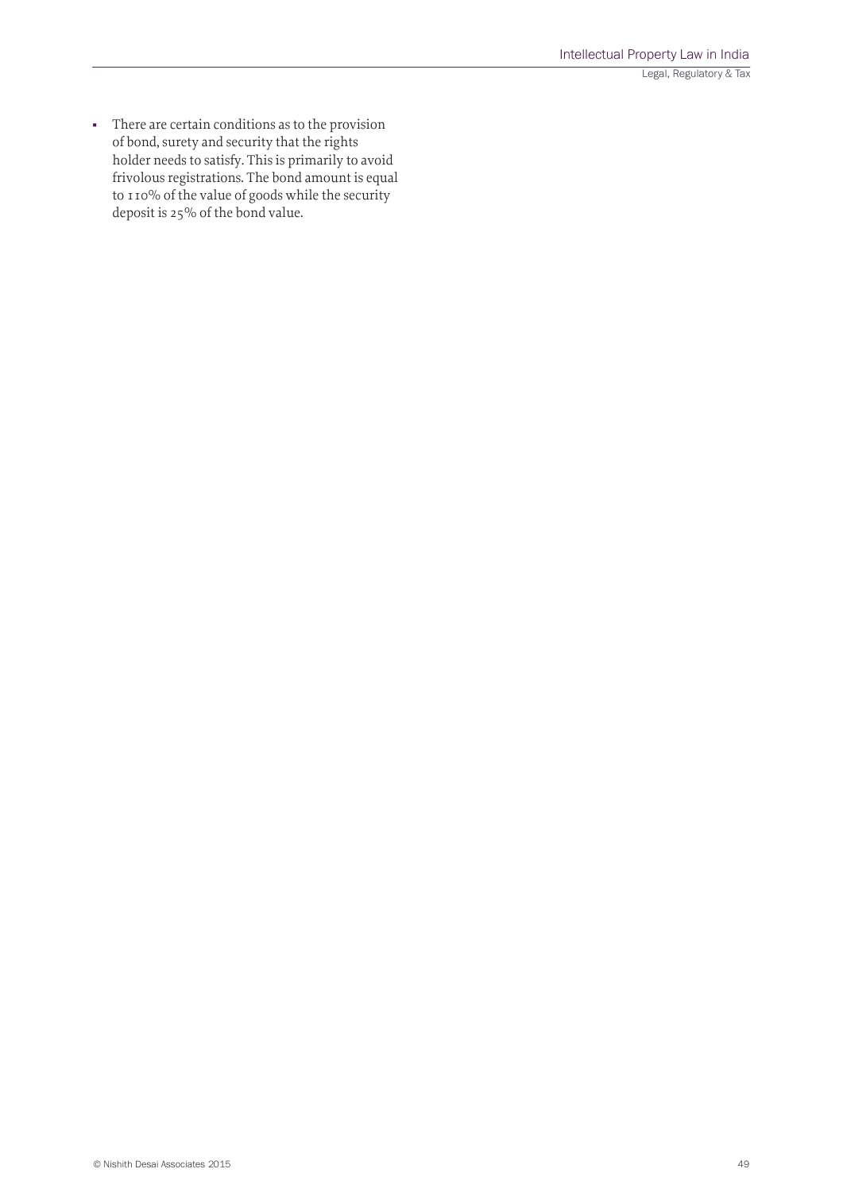■ There are certain conditions as to the provision of bond, surety and security that the rights holder needs to satisfy. This is primarily to avoid frivolous registrations. The bond amount is equal to 110% of the value of goods while the security deposit is 25% of the bond value.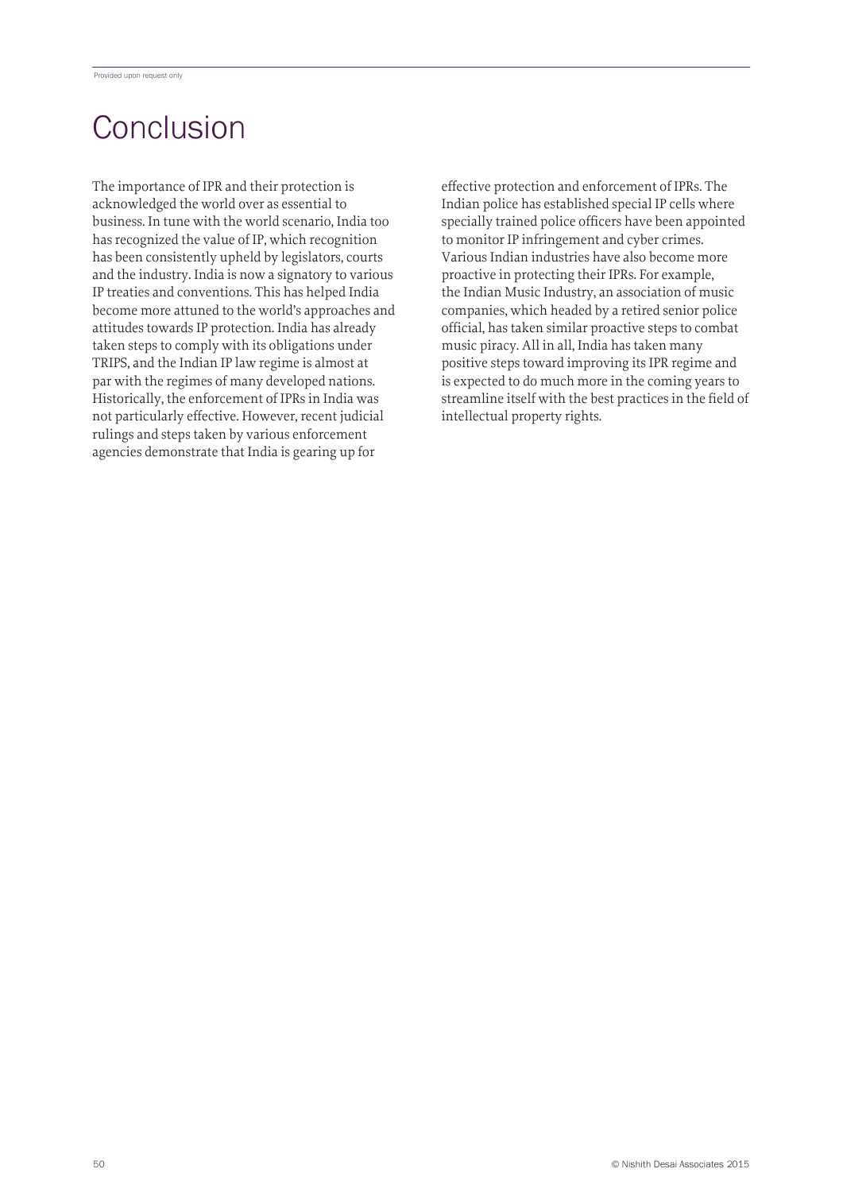# **Conclusion**

The importance of IPR and their protection is acknowledged the world over as essential to business. In tune with the world scenario, India too has recognized the value of IP, which recognition has been consistently upheld by legislators, courts and the industry. India is now a signatory to various IP treaties and conventions. This has helped India become more attuned to the world's approaches and attitudes towards IP protection. India has already taken steps to comply with its obligations under TRIPS, and the Indian IP law regime is almost at par with the regimes of many developed nations. Historically, the enforcement of IPRs in India was not particularly effective. However, recent judicial rulings and steps taken by various enforcement agencies demonstrate that India is gearing up for

effective protection and enforcement of IPRs. The Indian police has established special IP cells where specially trained police officers have been appointed to monitor IP infringement and cyber crimes. Various Indian industries have also become more proactive in protecting their IPRs. For example, the Indian Music Industry, an association of music companies, which headed by a retired senior police official, has taken similar proactive steps to combat music piracy. All in all, India has taken many positive steps toward improving its IPR regime and is expected to do much more in the coming years to streamline itself with the best practices in the field of intellectual property rights.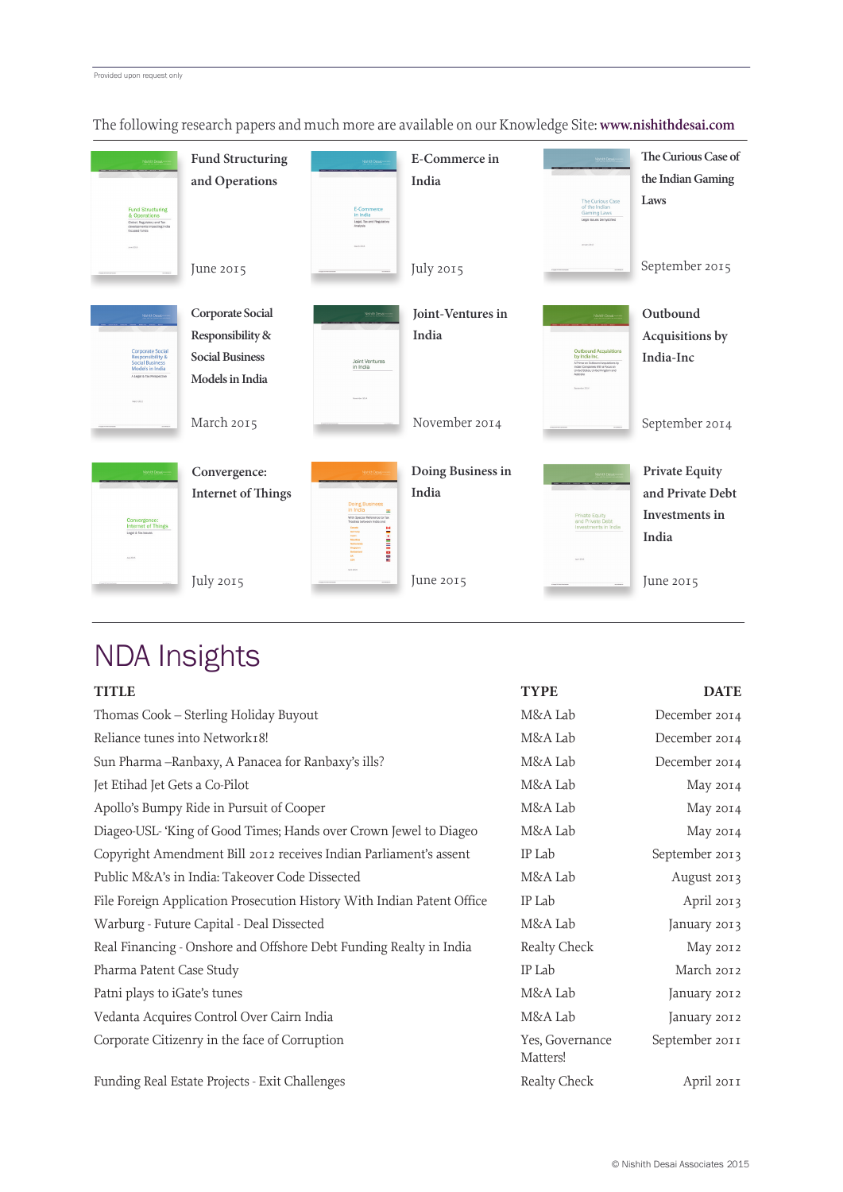| Nishith De<br><b>Fund Structuring</b><br>& Operations<br>Global, Regulatory and Tax<br>developments impacting India<br>focused funds<br>Arm 2015 | <b>Fund Structuring</b><br>and Operations | Nishith Desai.<br>E-Commerce<br>in India<br>Legal, Tax and Regulatory<br>Arabela<br>March 2014 | E-Commerce in<br>India | <b>The Curious Case</b><br>of the Indian<br><b>Gaming Laws</b><br>Legal Issues Demustified<br>January 2011 | The Curious Case of<br>the Indian Gaming<br>Laws |
|--------------------------------------------------------------------------------------------------------------------------------------------------|-------------------------------------------|------------------------------------------------------------------------------------------------|------------------------|------------------------------------------------------------------------------------------------------------|--------------------------------------------------|
|                                                                                                                                                  | June 2015                                 |                                                                                                | July 2015              |                                                                                                            | September 2015                                   |
| Nishith Des                                                                                                                                      | Corporate Social                          | Nahith Desa                                                                                    | Joint-Ventures in      | NanithDer                                                                                                  | Outbound                                         |
|                                                                                                                                                  | Responsibility &                          |                                                                                                | India                  |                                                                                                            | Acquisitions by                                  |
| <b>Corporate Social</b><br><b>Responsibility &amp;</b><br><b>Social Business</b>                                                                 | <b>Social Business</b>                    | Joint Ventures                                                                                 |                        | <b>Outbound Acquisitions</b><br>by India Inc.<br>A Primar on Outhmand Annualities by                       | India-Inc                                        |
| Models in India<br>A Legal & Tax Perspective                                                                                                     | Models in India                           | in India                                                                                       |                        | Indian Companies With a Focus on<br>United States, United Kingdom and<br>Antonio                           |                                                  |
| March 2017                                                                                                                                       |                                           | Spenter 2014                                                                                   |                        | Separator 205                                                                                              |                                                  |
|                                                                                                                                                  | March 2015                                |                                                                                                | November 2014          |                                                                                                            | September 2014                                   |
| <b>NshithDes</b>                                                                                                                                 | Convergence:                              | Nishih De                                                                                      | Doing Business in      |                                                                                                            | <b>Private Equity</b>                            |
|                                                                                                                                                  | <b>Internet of Things</b>                 |                                                                                                | India                  |                                                                                                            | and Private Debt                                 |
|                                                                                                                                                  |                                           | <b>Doing Business</b><br>in India<br>$\equiv$<br>With Special Reference to Tax                 |                        | <b>Private Equity</b>                                                                                      | Investments in                                   |
| Convergence:<br><b>Internet of Things</b><br>Legal & Tax Issues                                                                                  |                                           | Treaties between India and                                                                     |                        | and Private Debt<br>Investments in India                                                                   | India                                            |
| AA-2015                                                                                                                                          |                                           | <b>BBD HILL-RE</b><br>Germany<br>Japan<br>Malathan<br>Singapan<br>uk<br>usa                    |                        |                                                                                                            |                                                  |
|                                                                                                                                                  | July 2015                                 | Ave 2015                                                                                       | June 2015              | Avi 2017                                                                                                   | June 2015                                        |

The following research papers and much more are available on our Knowledge Site: **www.nishithdesai.com**

# NDA Insights

| <b>TITLE</b>                                                           | <b>TYPE</b>                 | <b>DATE</b>    |
|------------------------------------------------------------------------|-----------------------------|----------------|
| Thomas Cook - Sterling Holiday Buyout                                  | M&A Lab                     | December 2014  |
| Reliance tunes into Network18!                                         | M&A Lab                     | December 2014  |
| Sun Pharma -- Ranbaxy, A Panacea for Ranbaxy's ills?                   | M&A Lab                     | December 2014  |
| Jet Etihad Jet Gets a Co-Pilot                                         | M&A Lab                     | May 2014       |
| Apollo's Bumpy Ride in Pursuit of Cooper                               | M&A Lab                     | May 2014       |
| Diageo-USL-'King of Good Times; Hands over Crown Jewel to Diageo       | M&A Lab                     | May 2014       |
| Copyright Amendment Bill 2012 receives Indian Parliament's assent      | IP Lab                      | September 2013 |
| Public M&A's in India: Takeover Code Dissected                         | M&A Lab                     | August 2013    |
| File Foreign Application Prosecution History With Indian Patent Office | IP Lab                      | April 2013     |
| Warburg - Future Capital - Deal Dissected                              | M&A Lab                     | January 2013   |
| Real Financing - Onshore and Offshore Debt Funding Realty in India     | Realty Check                | May 2012       |
| Pharma Patent Case Study                                               | IP Lab                      | March 2012     |
| Patni plays to iGate's tunes                                           | M&A Lab                     | January 2012   |
| Vedanta Acquires Control Over Cairn India                              | M&A Lab                     | January 2012   |
| Corporate Citizenry in the face of Corruption                          | Yes, Governance<br>Matters! | September 2011 |
| Funding Real Estate Projects - Exit Challenges                         | Realty Check                | April 2011     |
|                                                                        |                             |                |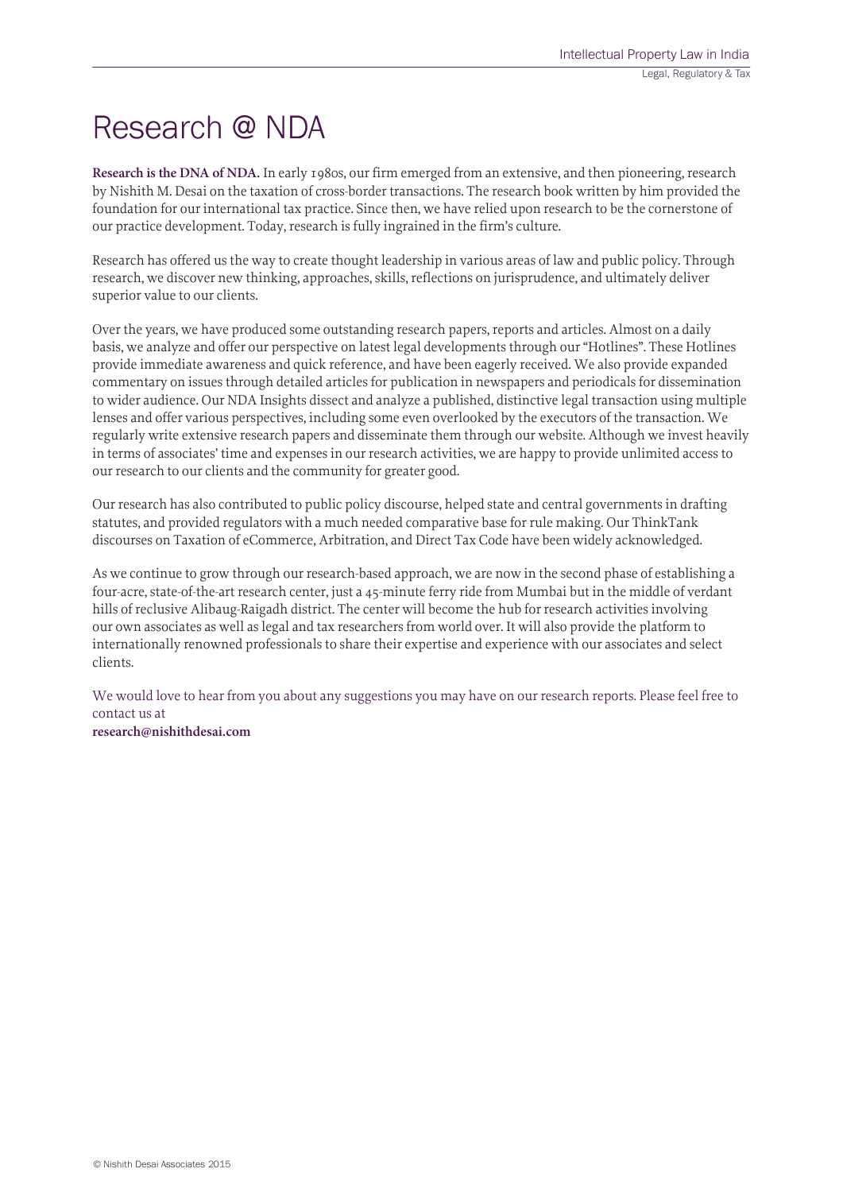# Research @ NDA

**Research is the DNA of NDA.** In early 1980s, our firm emerged from an extensive, and then pioneering, research by Nishith M. Desai on the taxation of cross-border transactions. The research book written by him provided the foundation for our international tax practice. Since then, we have relied upon research to be the cornerstone of our practice development. Today, research is fully ingrained in the firm's culture.

Research has offered us the way to create thought leadership in various areas of law and public policy. Through research, we discover new thinking, approaches, skills, reflections on jurisprudence, and ultimately deliver superior value to our clients.

Over the years, we have produced some outstanding research papers, reports and articles. Almost on a daily basis, we analyze and offer our perspective on latest legal developments through our "Hotlines". These Hotlines provide immediate awareness and quick reference, and have been eagerly received. We also provide expanded commentary on issues through detailed articles for publication in newspapers and periodicals for dissemination to wider audience. Our NDA Insights dissect and analyze a published, distinctive legal transaction using multiple lenses and offer various perspectives, including some even overlooked by the executors of the transaction. We regularly write extensive research papers and disseminate them through our website. Although we invest heavily in terms of associates' time and expenses in our research activities, we are happy to provide unlimited access to our research to our clients and the community for greater good.

Our research has also contributed to public policy discourse, helped state and central governments in drafting statutes, and provided regulators with a much needed comparative base for rule making. Our ThinkTank discourses on Taxation of eCommerce, Arbitration, and Direct Tax Code have been widely acknowledged.

As we continue to grow through our research-based approach, we are now in the second phase of establishing a four-acre, state-of-the-art research center, just a 45-minute ferry ride from Mumbai but in the middle of verdant hills of reclusive Alibaug-Raigadh district. The center will become the hub for research activities involving our own associates as well as legal and tax researchers from world over. It will also provide the platform to internationally renowned professionals to share their expertise and experience with our associates and select clients.

We would love to hear from you about any suggestions you may have on our research reports. Please feel free to contact us at **research@nishithdesai.com**